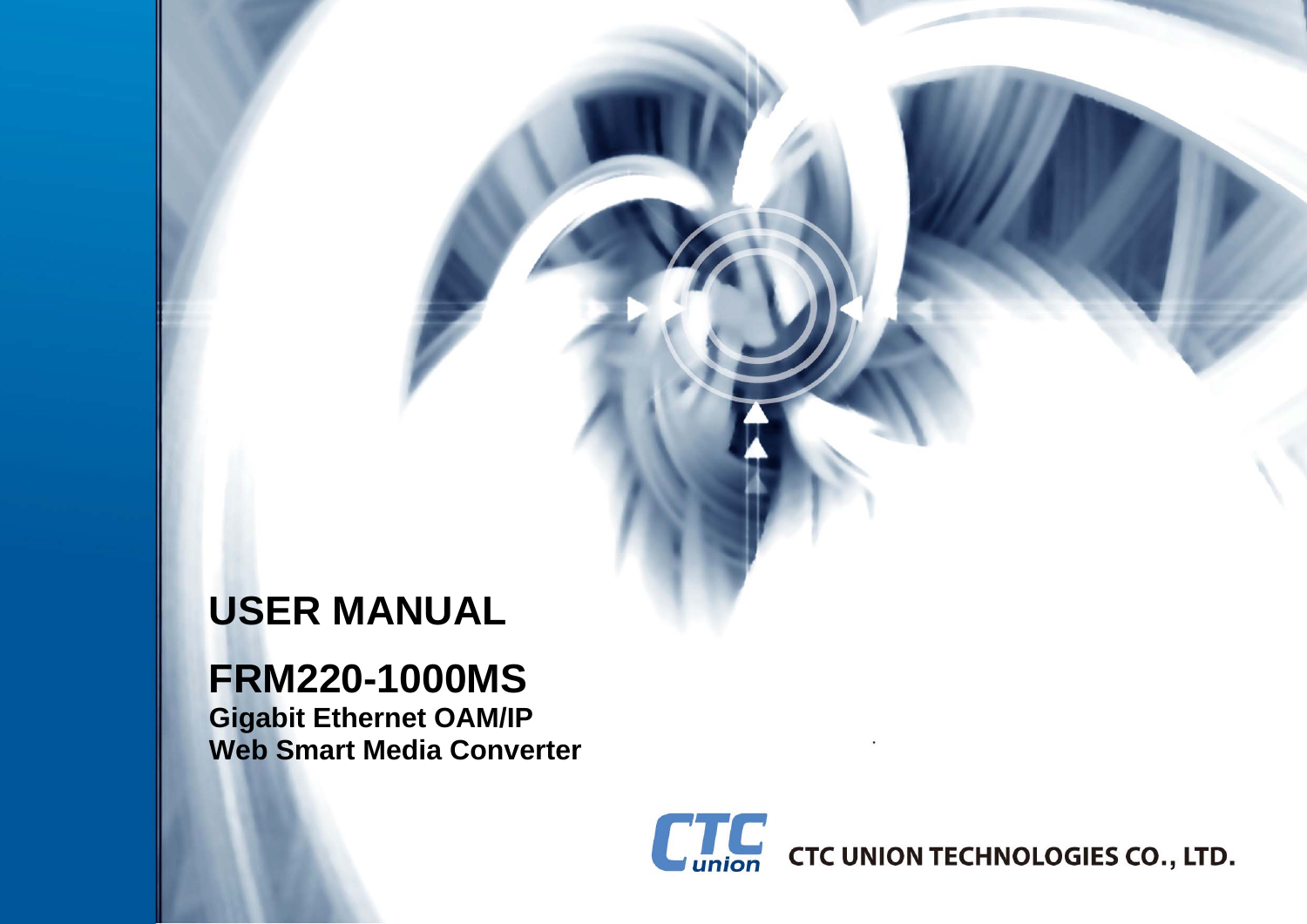# **USER MANUAL**

# **FRM220-1000MS**

**Gigabit Ethernet OAM/IP Web Smart Media Converter** 

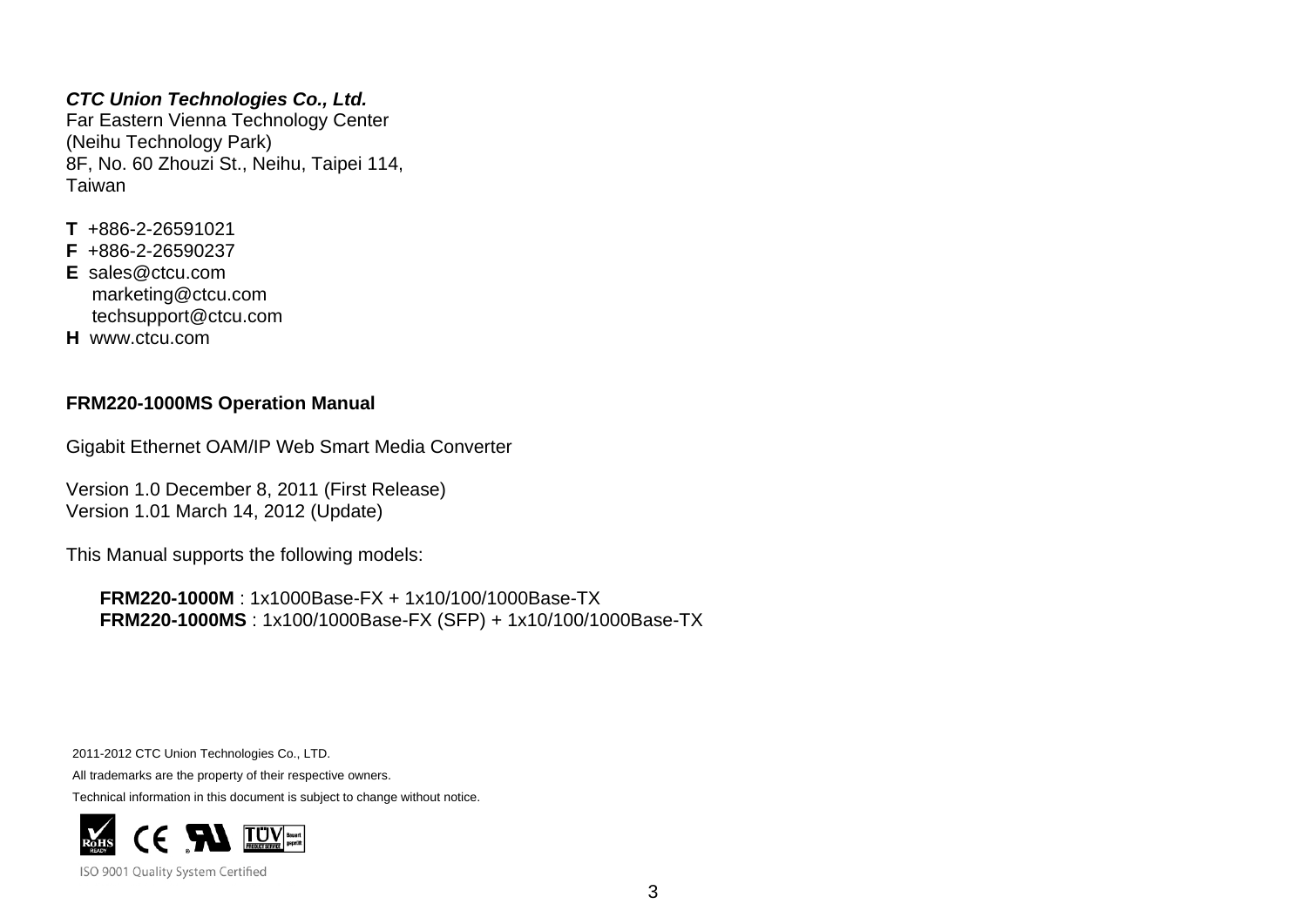#### *CTC Union Technologies Co., Ltd.*

Far Eastern Vienna Technology Center (Neihu Technology Park) 8F, No. 60 Zhouzi St., Neihu, Taipei 114, Taiwan

- **T** +886-2-26591021
- **F** +886-2-26590237
- **E** sales@ctcu.com marketing@ctcu.com techsupport@ctcu.com
- **H** www.ctcu.com

#### **FRM220-1000MS Operation Manual**

Gigabit Ethernet OAM/IP Web Smart Media Converter

Version 1.0 December 8, 2011 (First Release) Version 1.01 March 14, 2012 (Update)

This Manual supports the following models:

**FRM220-1000M** : 1x1000Base-FX + 1x10/100/1000Base-TX **FRM220-1000MS** : 1x100/1000Base-FX (SFP) + 1x10/100/1000Base-TX

2011-2012 CTC Union Technologies Co., LTD.

All trademarks are the property of their respective owners.

Technical information in this document is subject to change without notice.



ISO 9001 Quality System Certified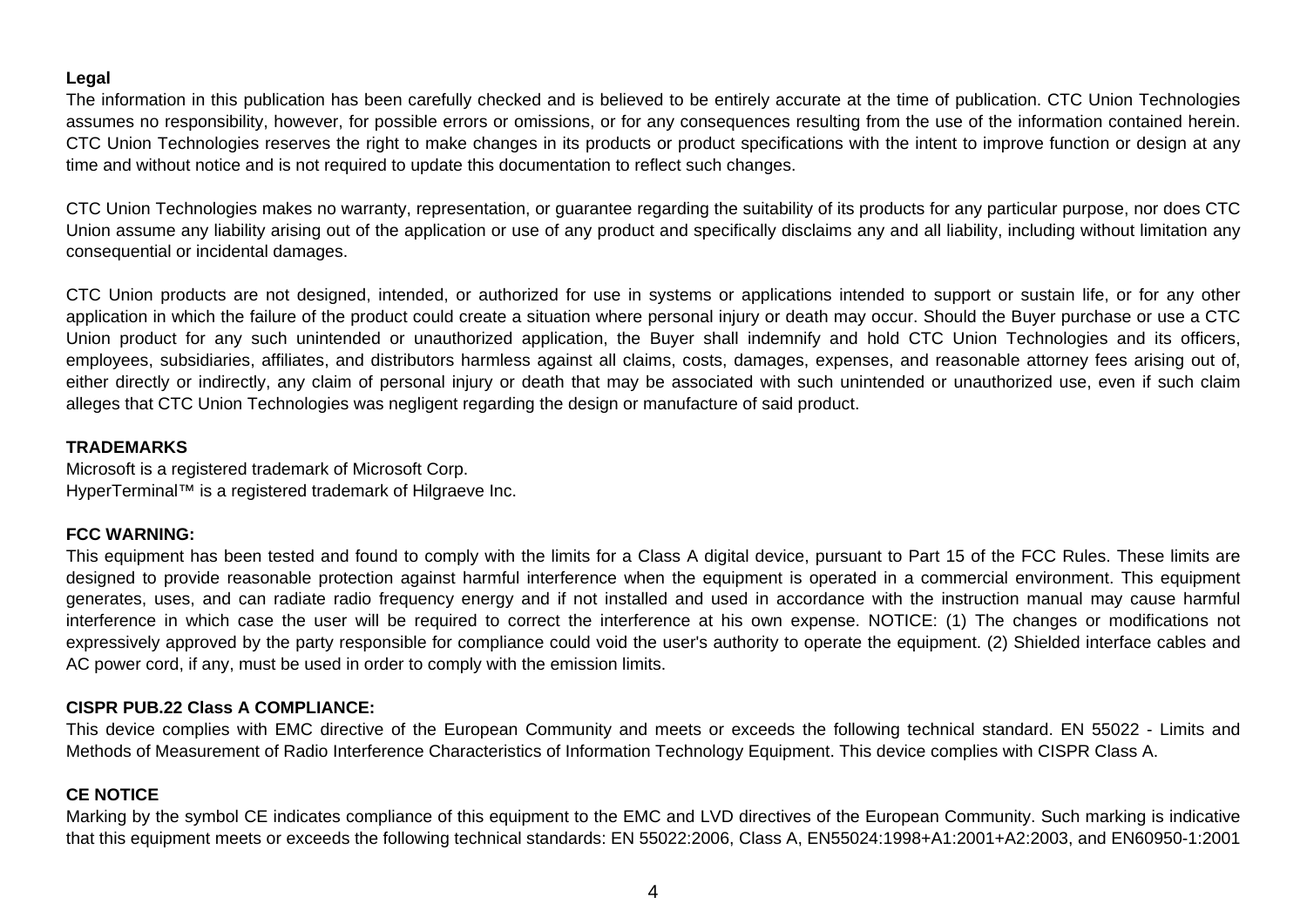#### **Legal**

The information in this publication has been carefully checked and is believed to be entirely accurate at the time of publication. CTC Union Technologies assumes no responsibility, however, for possible errors or omissions, or for any consequences resulting from the use of the information contained herein. CTC Union Technologies reserves the right to make changes in its products or product specifications with the intent to improve function or design at any time and without notice and is not required to update this documentation to reflect such changes.

CTC Union Technologies makes no warranty, representation, or guarantee regarding the suitability of its products for any particular purpose, nor does CTC Union assume any liability arising out of the application or use of any product and specifically disclaims any and all liability, including without limitation any consequential or incidental damages.

CTC Union products are not designed, intended, or authorized for use in systems or applications intended to support or sustain life, or for any other application in which the failure of the product could create a situation where personal injury or death may occur. Should the Buyer purchase or use a CTC Union product for any such unintended or unauthorized application, the Buyer shall indemnify and hold CTC Union Technologies and its officers, employees, subsidiaries, affiliates, and distributors harmless against all claims, costs, damages, expenses, and reasonable attorney fees arising out of, either directly or indirectly, any claim of personal injury or death that may be associated with such unintended or unauthorized use, even if such claim alleges that CTC Union Technologies was negligent regarding the design or manufacture of said product.

#### **TRADEMARKS**

Microsoft is a registered trademark of Microsoft Corp. HyperTerminal™ is a registered trademark of Hilgraeve Inc.

#### **FCC WARNING:**

This equipment has been tested and found to comply with the limits for a Class A digital device, pursuant to Part 15 of the FCC Rules. These limits are designed to provide reasonable protection against harmful interference when the equipment is operated in a commercial environment. This equipment generates, uses, and can radiate radio frequency energy and if not installed and used in accordance with the instruction manual may cause harmful interference in which case the user will be required to correct the interference at his own expense. NOTICE: (1) The changes or modifications not expressively approved by the party responsible for compliance could void the user's authority to operate the equipment. (2) Shielded interface cables and AC power cord, if any, must be used in order to comply with the emission limits.

#### **CISPR PUB.22 Class A COMPLIANCE:**

This device complies with EMC directive of the European Community and meets or exceeds the following technical standard. EN 55022 - Limits and Methods of Measurement of Radio Interference Characteristics of Information Technology Equipment. This device complies with CISPR Class A.

#### **CE NOTICE**

Marking by the symbol CE indicates compliance of this equipment to the EMC and LVD directives of the European Community. Such marking is indicative that this equipment meets or exceeds the following technical standards: EN 55022:2006, Class A, EN55024:1998+A1:2001+A2:2003, and EN60950-1:2001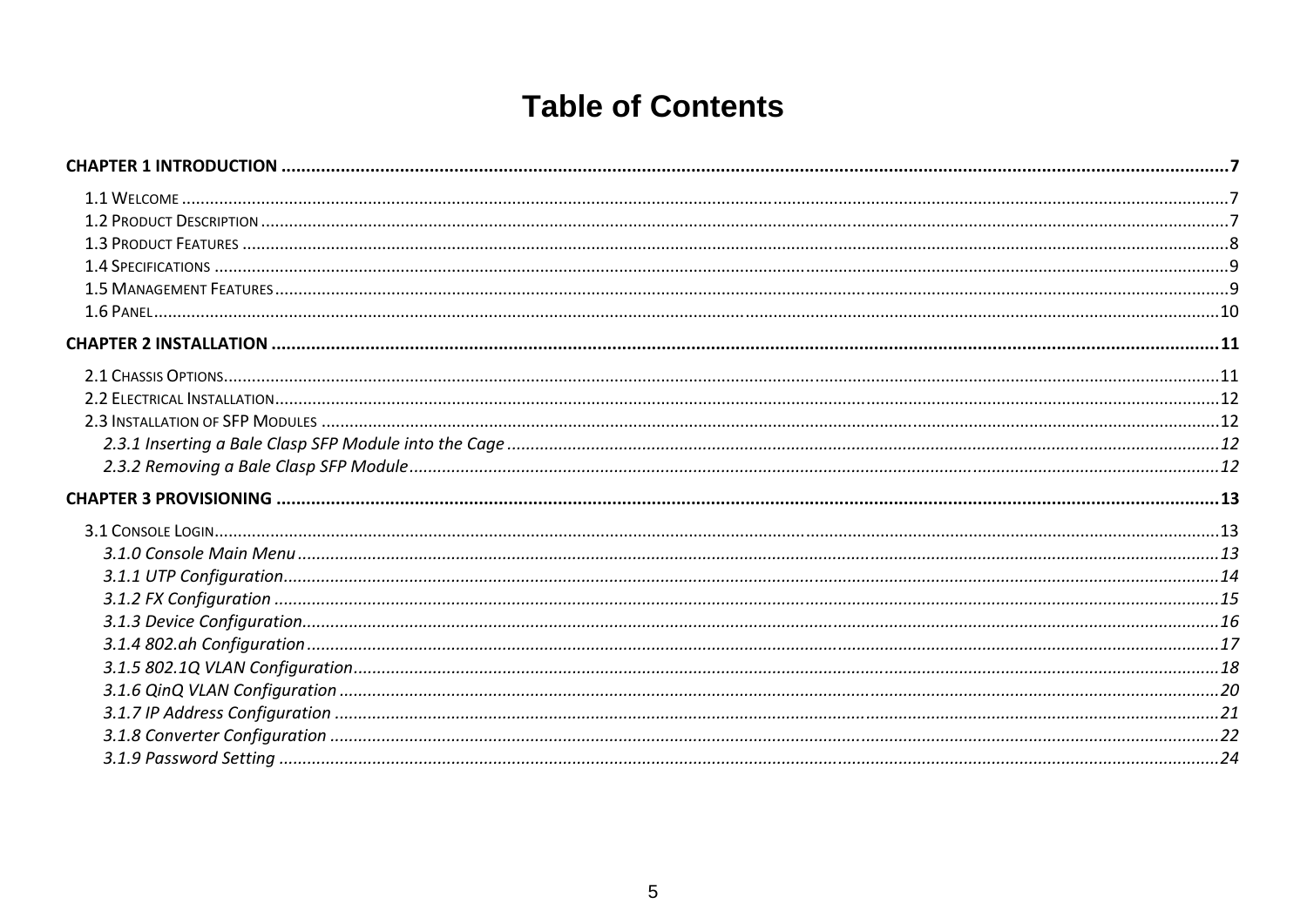# **Table of Contents**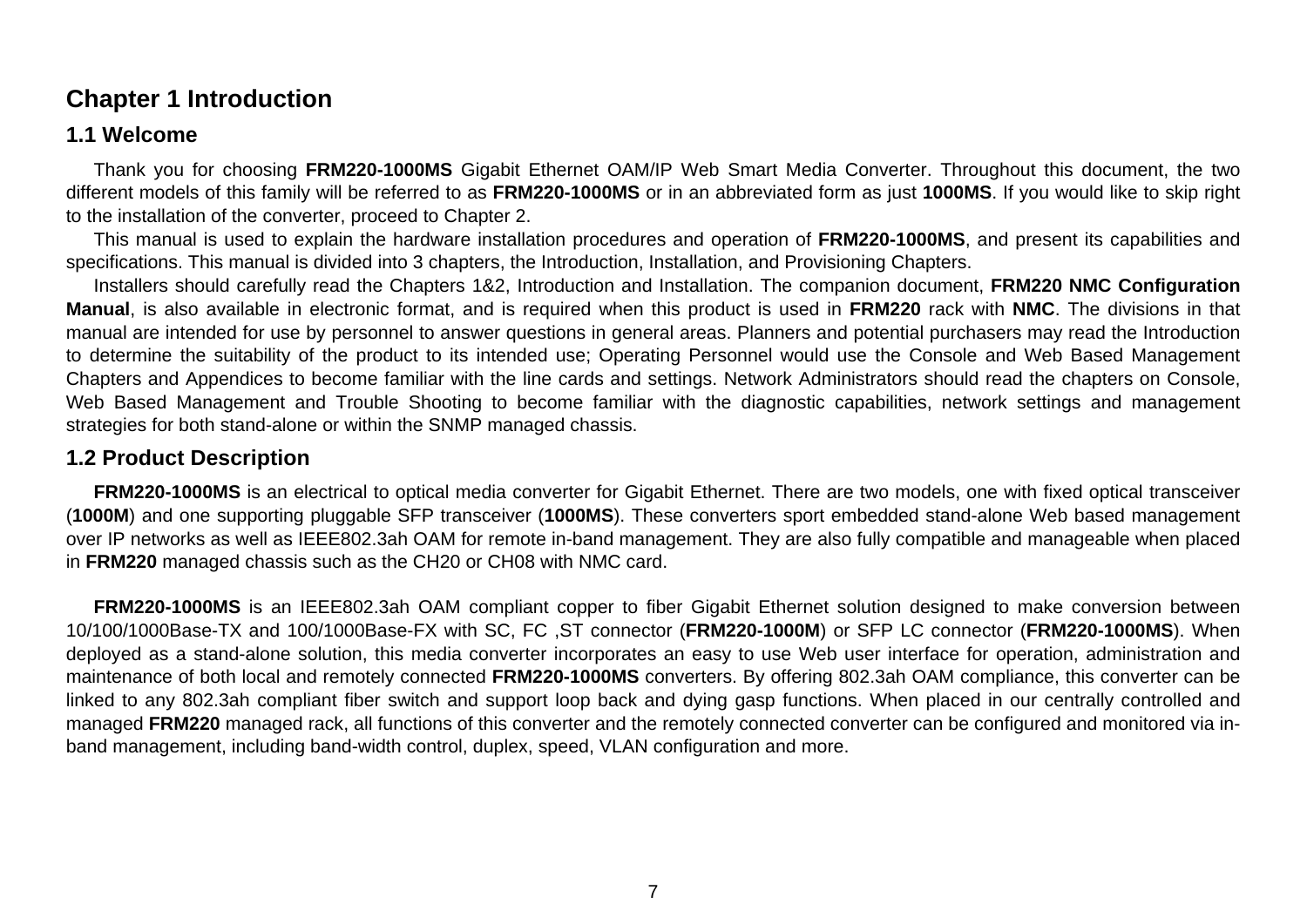### <span id="page-6-0"></span>**Chapter 1 Introduction**

### **1.1 Welcome**

Thank you for choosing **FRM220-1000MS** Gigabit Ethernet OAM/IP Web Smart Media Converter. Throughout this document, the two different models of this family will be referred to as **FRM220-1000MS** or in an abbreviated form as just **1000MS**. If you would like to skip right to the installation of the converter, proceed to Chapter 2.

This manual is used to explain the hardware installation procedures and operation of **FRM220-1000MS**, and present its capabilities and specifications. This manual is divided into 3 chapters, the Introduction, Installation, and Provisioning Chapters.

Installers should carefully read the Chapters 1&2, Introduction and Installation. The companion document, **FRM220 NMC Configuration Manual**, is also available in electronic format, and is required when this product is used in **FRM220** rack with **NMC**. The divisions in that manual are intended for use by personnel to answer questions in general areas. Planners and potential purchasers may read the Introduction to determine the suitability of the product to its intended use; Operating Personnel would use the Console and Web Based Management Chapters and Appendices to become familiar with the line cards and settings. Network Administrators should read the chapters on Console, Web Based Management and Trouble Shooting to become familiar with the diagnostic capabilities, network settings and management strategies for both stand-alone or within the SNMP managed chassis.

#### **1.2 Product Description**

**FRM220-1000MS** is an electrical to optical media converter for Gigabit Ethernet. There are two models, one with fixed optical transceiver (**1000M**) and one supporting pluggable SFP transceiver (**1000MS**). These converters sport embedded stand-alone Web based management over IP networks as well as IEEE802.3ah OAM for remote in-band management. They are also fully compatible and manageable when placed in **FRM220** managed chassis such as the CH20 or CH08 with NMC card.

**FRM220-1000MS** is an IEEE802.3ah OAM compliant copper to fiber Gigabit Ethernet solution designed to make conversion between 10/100/1000Base-TX and 100/1000Base-FX with SC, FC ,ST connector (**FRM220-1000M**) or SFP LC connector (**FRM220-1000MS**). When deployed as a stand-alone solution, this media converter incorporates an easy to use Web user interface for operation, administration and maintenance of both local and remotely connected **FRM220-1000MS** converters. By offering 802.3ah OAM compliance, this converter can be linked to any 802.3ah compliant fiber switch and support loop back and dying gasp functions. When placed in our centrally controlled and managed **FRM220** managed rack, all functions of this converter and the remotely connected converter can be configured and monitored via inband management, including band-width control, duplex, speed, VLAN configuration and more.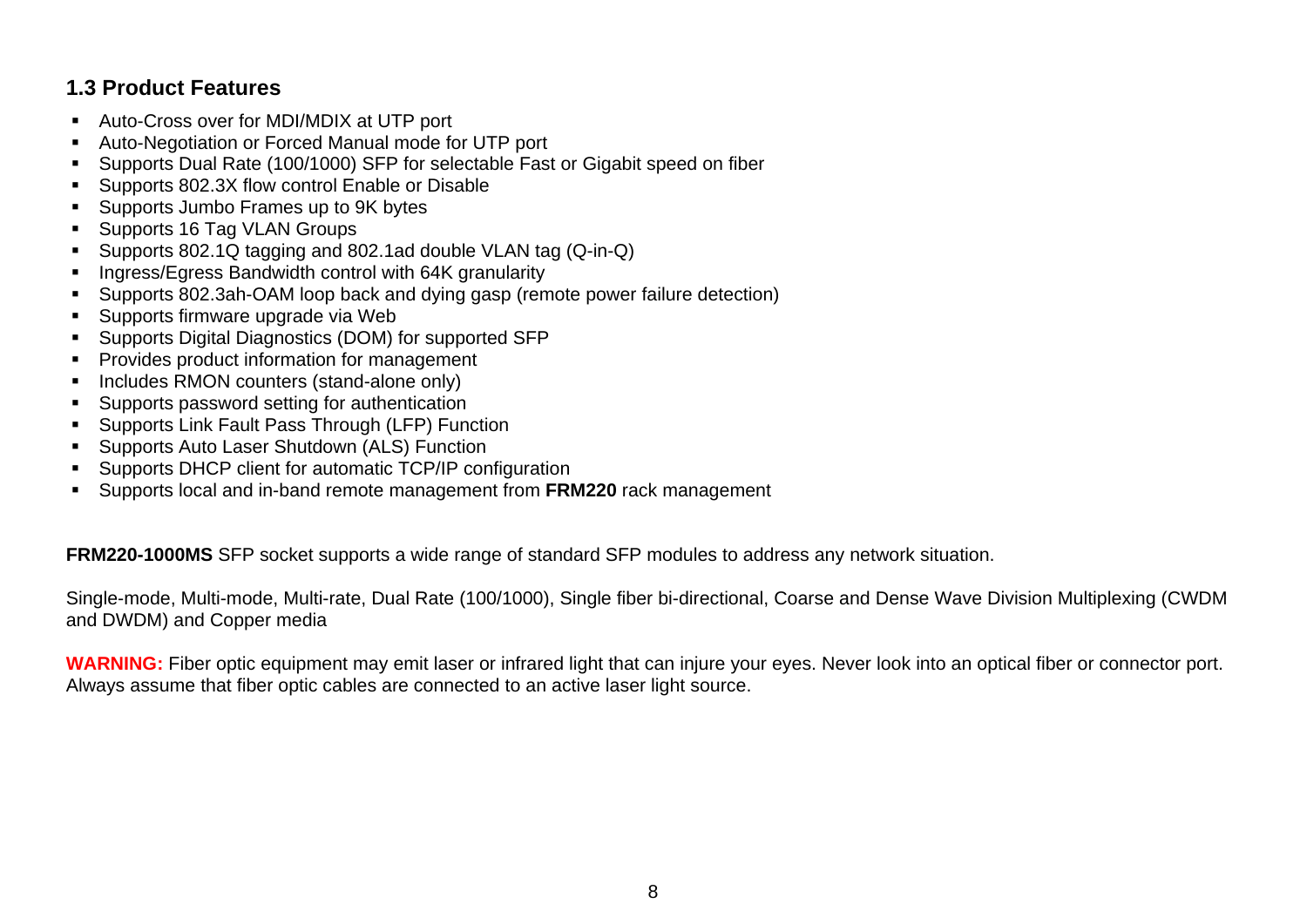### <span id="page-7-0"></span>**1.3 Product Features**

- Auto-Cross over for MDI/MDIX at UTP port
- Auto-Negotiation or Forced Manual mode for UTP port
- Supports Dual Rate (100/1000) SFP for selectable Fast or Gigabit speed on fiber
- Supports 802.3X flow control Enable or Disable
- Supports Jumbo Frames up to 9K bytes
- Supports 16 Tag VLAN Groups
- Supports 802.1Q tagging and 802.1ad double VLAN tag (Q-in-Q)
- **Ingress/Egress Bandwidth control with 64K granularity**
- Supports 802.3ah-OAM loop back and dying gasp (remote power failure detection)
- Supports firmware upgrade via Web
- Supports Digital Diagnostics (DOM) for supported SFP
- **Provides product information for management**
- Includes RMON counters (stand-alone only)
- Supports password setting for authentication
- Supports Link Fault Pass Through (LFP) Function
- Supports Auto Laser Shutdown (ALS) Function
- Supports DHCP client for automatic TCP/IP configuration
- Supports local and in-band remote management from **FRM220** rack management

**FRM220-1000MS** SFP socket supports a wide range of standard SFP modules to address any network situation.

Single-mode, Multi-mode, Multi-rate, Dual Rate (100/1000), Single fiber bi-directional, Coarse and Dense Wave Division Multiplexing (CWDM and DWDM) and Copper media

**WARNING:** Fiber optic equipment may emit laser or infrared light that can injure your eyes. Never look into an optical fiber or connector port. Always assume that fiber optic cables are connected to an active laser light source.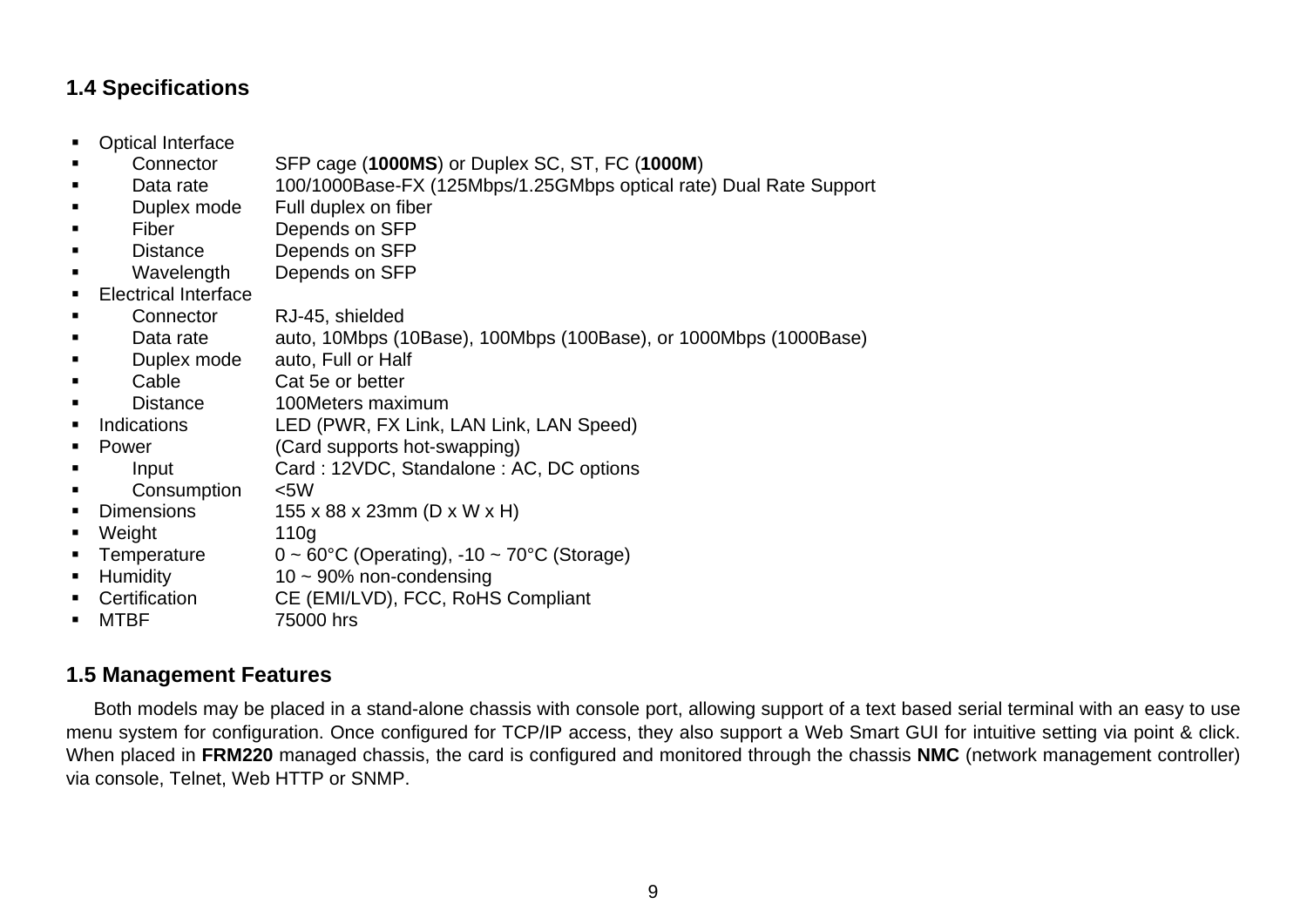### <span id="page-8-0"></span>**1.4 Specifications**

- Optical Interface
- Connector SFP cage (**1000MS**) or Duplex SC, ST, FC (**1000M**)
- Data rate 100/1000Base-FX (125Mbps/1.25GMbps optical rate) Dual Rate Support
- Duplex mode Full duplex on fiber
- Fiber Depends on SFP
- Distance Depends on SFP
- Wavelength Depends on SFP
- **Electrical Interface**
- Connector RJ-45, shielded
- Data rate auto, 10Mbps (10Base), 100Mbps (100Base), or 1000Mbps (1000Base)
- Duplex mode auto, Full or Half
- Cable Cat 5e or better
- Distance 100Meters maximum
- Indications LED (PWR, FX Link, LAN Link, LAN Speed)
- Power (Card supports hot-swapping)
	- Input Card : 12VDC, Standalone : AC, DC options
- Consumption <5W
- Dimensions 155 x 88 x 23mm (D x W x H)
- Weight 110g
- Temperature  $0 \sim 60^{\circ}$ C (Operating), -10 ~ 70 $^{\circ}$ C (Storage)
- Humidity 10 ~ 90% non-condensing
- Certification CE (EMI/LVD), FCC, RoHS Compliant
- MTBF 75000 hrs

### **1.5 Management Features**

Both models may be placed in a stand-alone chassis with console port, allowing support of a text based serial terminal with an easy to use menu system for configuration. Once configured for TCP/IP access, they also support a Web Smart GUI for intuitive setting via point & click. When placed in **FRM220** managed chassis, the card is configured and monitored through the chassis **NMC** (network management controller) via console, Telnet, Web HTTP or SNMP.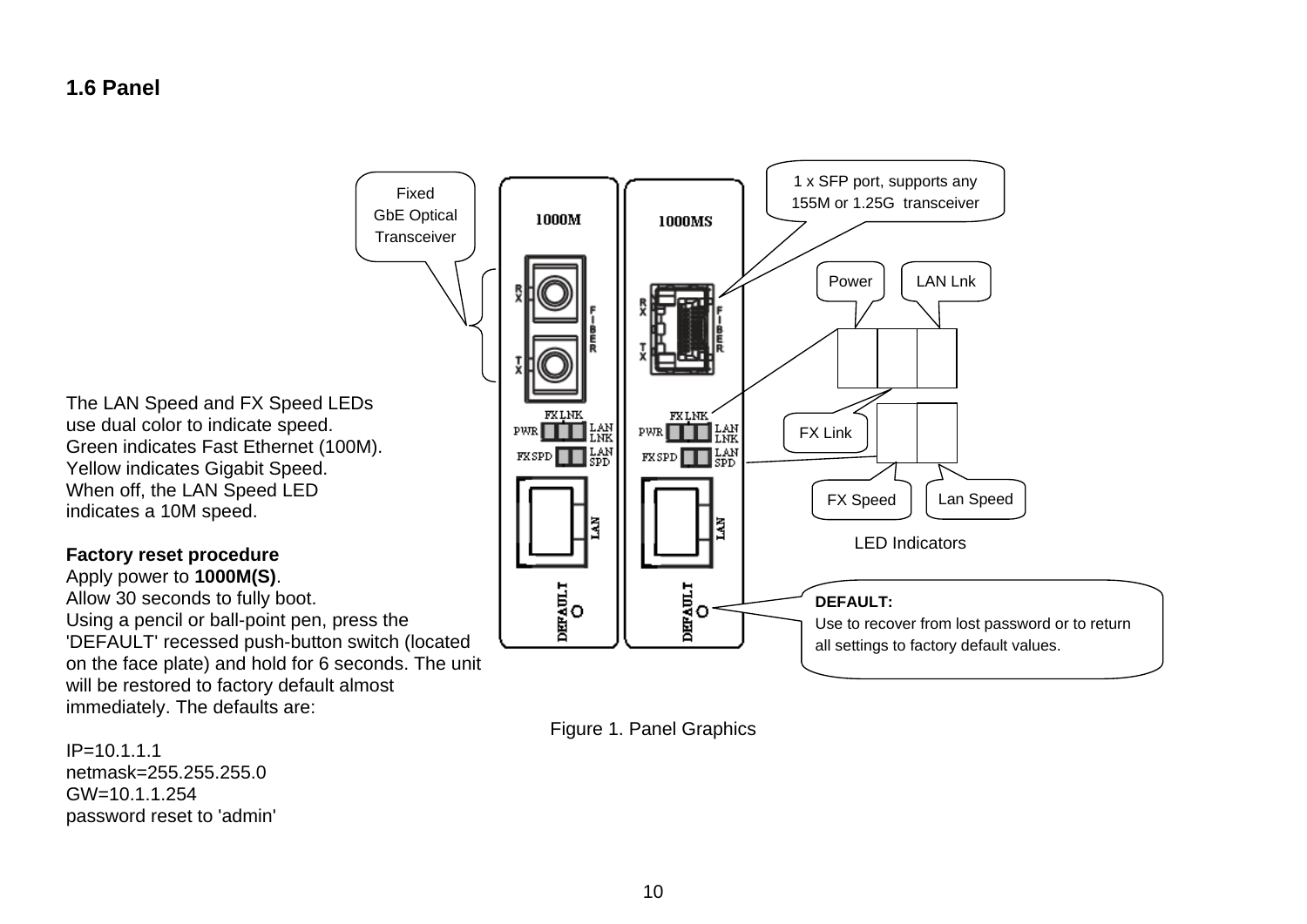### <span id="page-9-0"></span>**1.6 Panel**



Figure 1. Panel Graphics

The LAN Speed and FX Speed LEDs Green indicates Fast Ethernet (100M). Yellow indicates Gigabit Speed.

Apply power to **1000M(S)**. Using a pencil or ball-point pen, press the 'DEFAULT' recessed push-button switch (located on the face plate) and hold for 6 seconds. The unit will be restored to factory default almost immediately. The defaults are:

IP=10.1.1.1 netmask=255.255.255.0 GW=10.1.1.254 password reset to 'admin'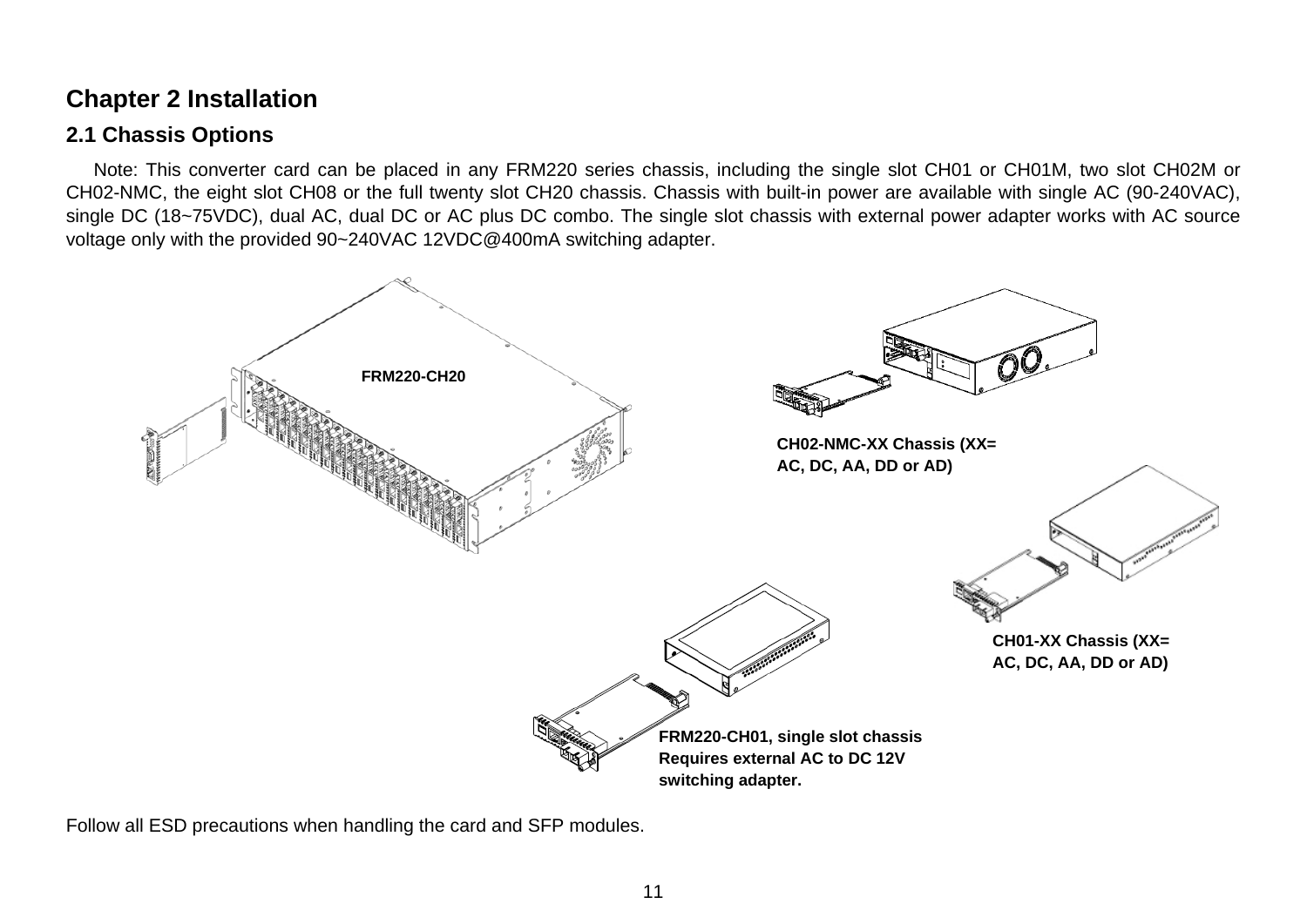### <span id="page-10-0"></span>**Chapter 2 Installation**

### **2.1 Chassis Options**

Note: This converter card can be placed in any FRM220 series chassis, including the single slot CH01 or CH01M, two slot CH02M or CH02-NMC, the eight slot CH08 or the full twenty slot CH20 chassis. Chassis with built-in power are available with single AC (90-240VAC), single DC (18~75VDC), dual AC, dual DC or AC plus DC combo. The single slot chassis with external power adapter works with AC source voltage only with the provided 90~240VAC 12VDC@400mA switching adapter.



Follow all ESD precautions when handling the card and SFP modules.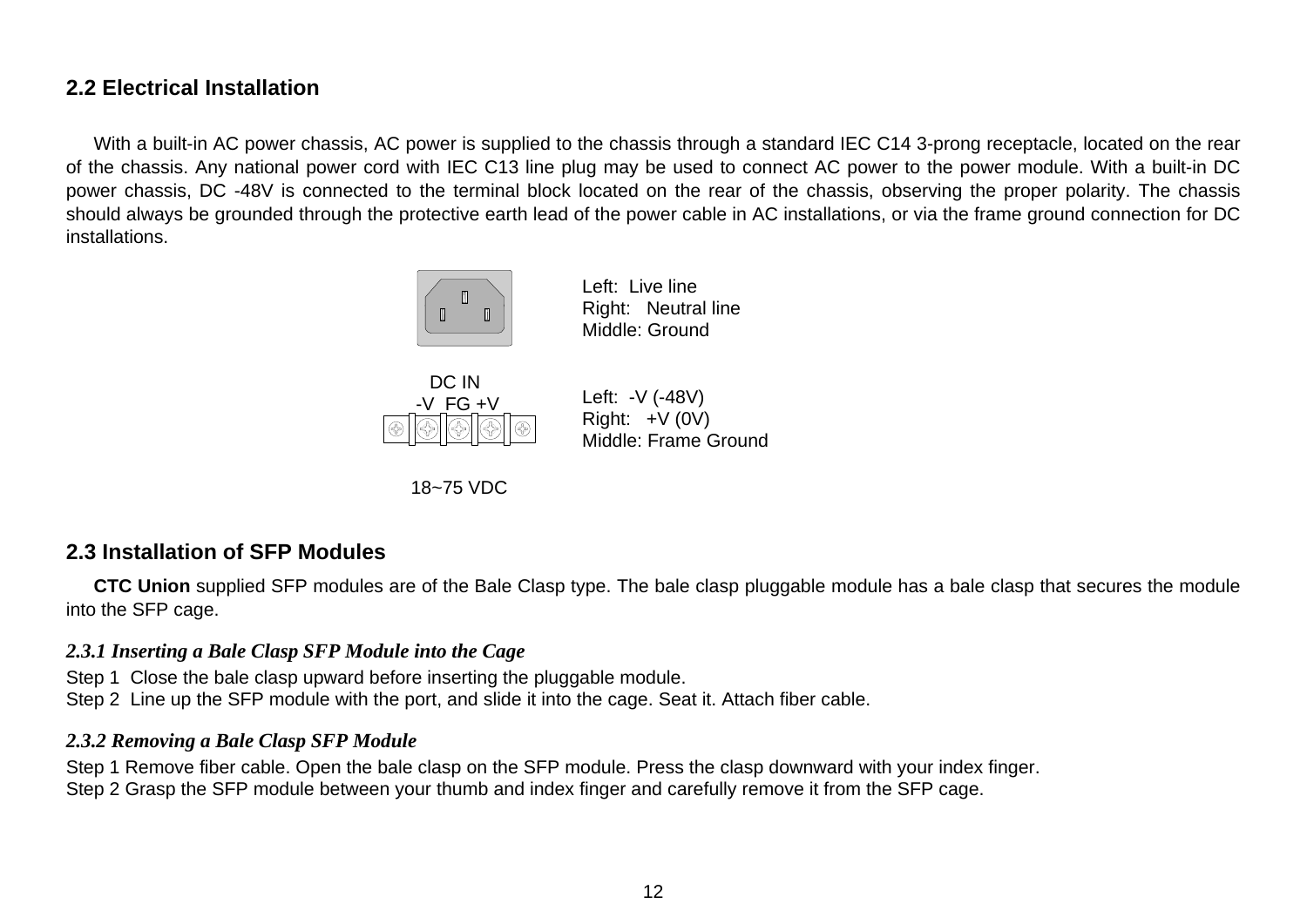### <span id="page-11-0"></span>**2.2 Electrical Installation**

With a built-in AC power chassis, AC power is supplied to the chassis through a standard IEC C14 3-prong receptacle, located on the rear of the chassis. Any national power cord with IEC C13 line plug may be used to connect AC power to the power module. With a built-in DC power chassis, DC -48V is connected to the terminal block located on the rear of the chassis, observing the proper polarity. The chassis should always be grounded through the protective earth lead of the power cable in AC installations, or via the frame ground connection for DC installations.



Left: Live line Right: Neutral line Middle: Ground



Right:  $+V$  (0V) Middle: Frame Ground

Left: -V (-48V)



### **2.3 Installation of SFP Modules**

**CTC Union** supplied SFP modules are of the Bale Clasp type. The bale clasp pluggable module has a bale clasp that secures the module into the SFP cage.

#### *2.3.1 Inserting a Bale Clasp SFP Module into the Cage*

Step 1 Close the bale clasp upward before inserting the pluggable module. Step 2 Line up the SFP module with the port, and slide it into the cage. Seat it. Attach fiber cable.

#### *2.3.2 Removing a Bale Clasp SFP Module*

Step 1 Remove fiber cable. Open the bale clasp on the SFP module. Press the clasp downward with your index finger. Step 2 Grasp the SFP module between your thumb and index finger and carefully remove it from the SFP cage.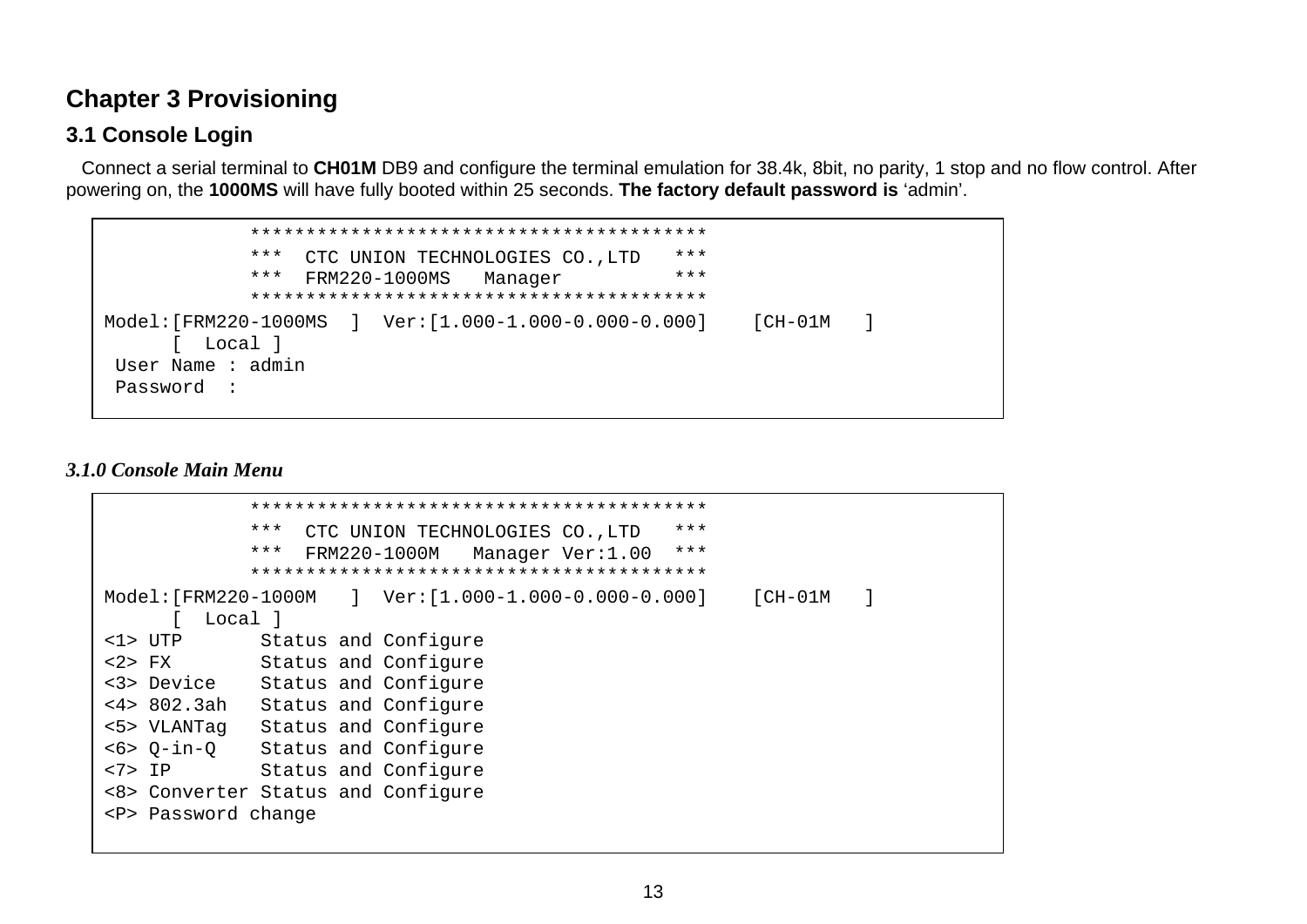### <span id="page-12-0"></span>**Chapter 3 Provisioning**

### **3.1 Console Login**

 Connect a serial terminal to **CH01M** DB9 and configure the terminal emulation for 38.4k, 8bit, no parity, 1 stop and no flow control. After powering on, the **1000MS** will have fully booted within 25 seconds. **The factory default password is** 'admin'.

```
 *****************************************  *** CTC UNION TECHNOLOGIES CO.,LTD *** 
             *** FRM220-1000MS Manager *** 
             ***************************************** Model:[FRM220-1000MS ] Ver:[1.000-1.000-0.000-0.000] [CH-01M ] 
     [ Local ]
 User Name : admin  Password :
```
#### *3.1.0 Console Main Menu*

|                         | ***<br>***<br>CTC UNION TECHNOLOGIES CO., LTD              |  |  |  |  |
|-------------------------|------------------------------------------------------------|--|--|--|--|
|                         | ***<br>***<br>FRM220-1000M<br>Manager Ver:1.00             |  |  |  |  |
|                         |                                                            |  |  |  |  |
| $Model: [FRM220-1000M]$ | $Ver:[1.000-1.000-0.000-0.000]$<br>$[CH-01M]$<br>$\sim$ 1. |  |  |  |  |
| Local l                 |                                                            |  |  |  |  |
| $\langle$ 1> UTP        | Status and Configure                                       |  |  |  |  |
| $2$ FX                  | Status and Configure                                       |  |  |  |  |
| <3> Device              | Status and Configure                                       |  |  |  |  |
| <4>802.3ah              | Status and Configure                                       |  |  |  |  |
| <5> VLANTaq             | Status and Configure                                       |  |  |  |  |
| $< 6 > Q-in-O$          | Status and Configure                                       |  |  |  |  |
| $<7>$ IP                | Status and Configure                                       |  |  |  |  |
|                         | <8> Converter Status and Configure                         |  |  |  |  |
| <p> Password change</p> |                                                            |  |  |  |  |
|                         |                                                            |  |  |  |  |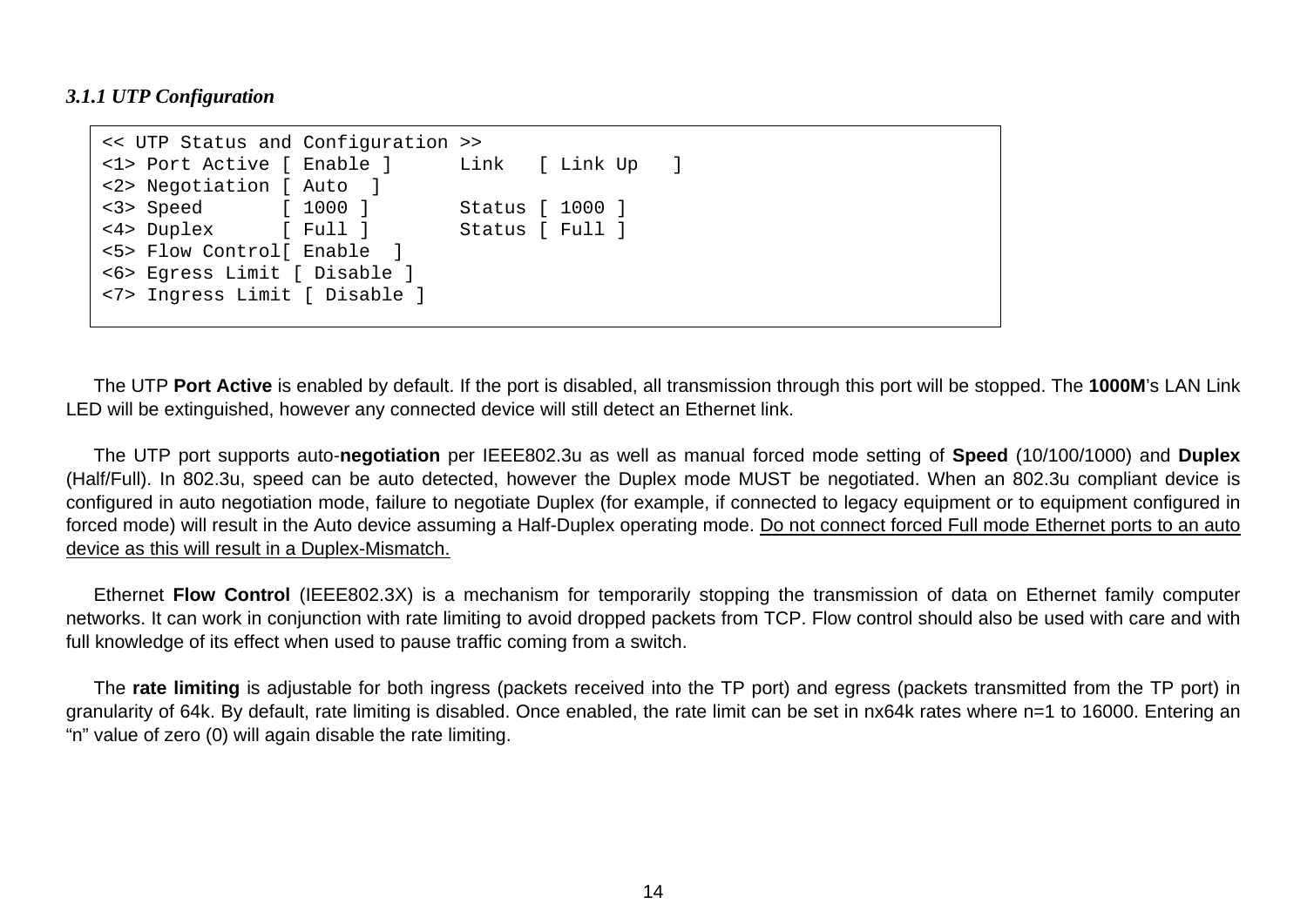#### <span id="page-13-0"></span>*3.1.1 UTP Configuration*

```
<< UTP Status and Configuration >> 
<1> Port Active [ Enable ] Link [ Link Up ] 
<2> Negotiation [ Auto ] 
<3> Speed [ 1000 ] Status [ 1000 ] 
<4> Duplex [ Full ] Status [ Full ] 
<5> Flow Control[ Enable ] 
<6> Egress Limit [ Disable ] 
<7> Ingress Limit [ Disable ]
```
The UTP **Port Active** is enabled by default. If the port is disabled, all transmission through this port will be stopped. The **1000M**'s LAN Link LED will be extinguished, however any connected device will still detect an Ethernet link.

The UTP port supports auto-**negotiation** per IEEE802.3u as well as manual forced mode setting of **Speed** (10/100/1000) and **Duplex** (Half/Full). In 802.3u, speed can be auto detected, however the Duplex mode MUST be negotiated. When an 802.3u compliant device is configured in auto negotiation mode, failure to negotiate Duplex (for example, if connected to legacy equipment or to equipment configured in forced mode) will result in the Auto device assuming a Half-Duplex operating mode. Do not connect forced Full mode Ethernet ports to an auto device as this will result in a Duplex-Mismatch.

Ethernet **Flow Control** (IEEE802.3X) is a mechanism for temporarily stopping the transmission of data on Ethernet family computer networks. It can work in conjunction with rate limiting to avoid dropped packets from TCP. Flow control should also be used with care and with full knowledge of its effect when used to pause traffic coming from a switch.

The **rate limiting** is adjustable for both ingress (packets received into the TP port) and egress (packets transmitted from the TP port) in granularity of 64k. By default, rate limiting is disabled. Once enabled, the rate limit can be set in nx64k rates where n=1 to 16000. Entering an "n" value of zero (0) will again disable the rate limiting.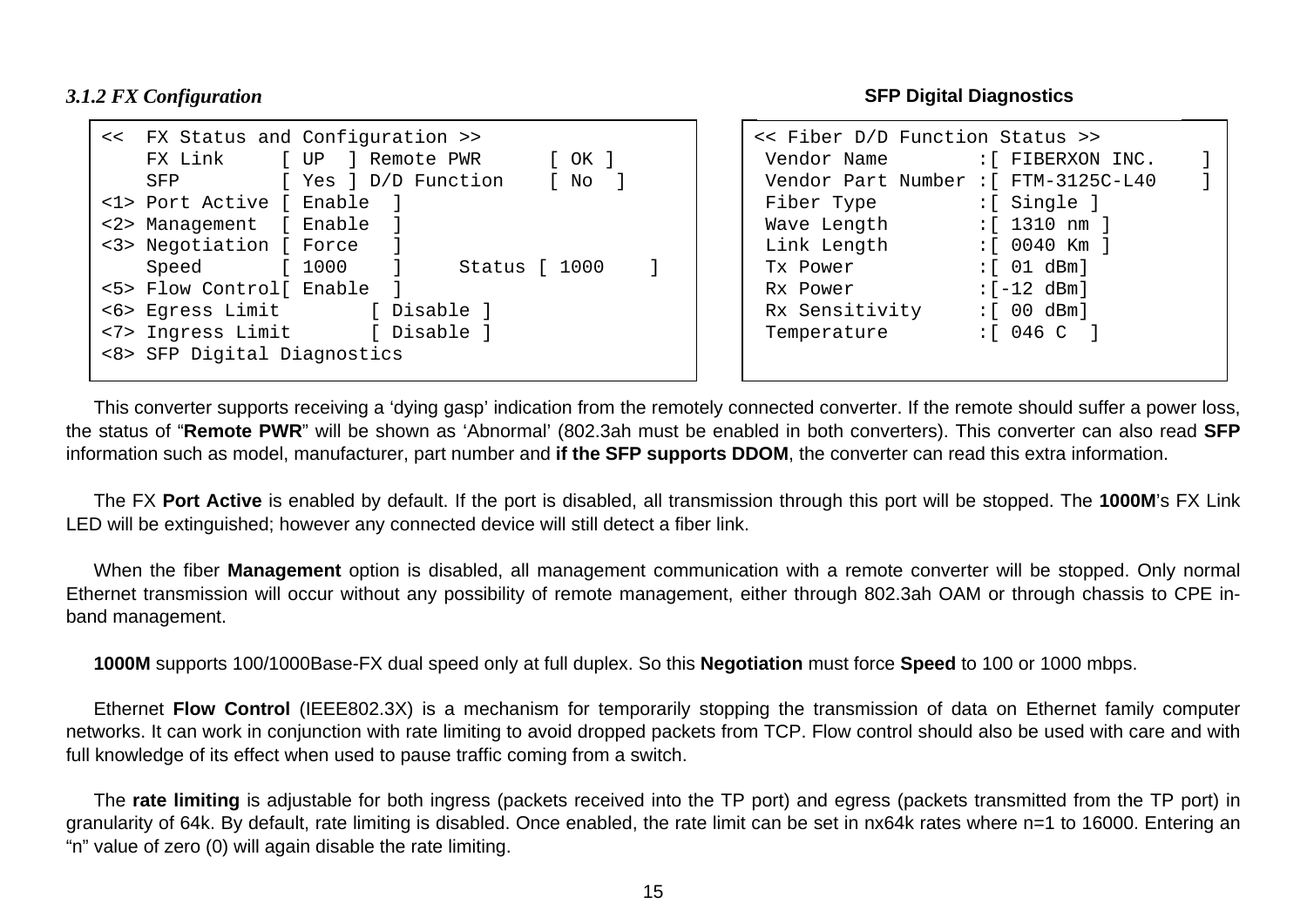<span id="page-14-0"></span>*3.1.2 FX Configuration* 

|                             | << FX Status and Configuration >>                |
|-----------------------------|--------------------------------------------------|
|                             | FX Link [UP ] Remote PWR<br>OK I<br>$\mathbf{L}$ |
| SFP                         | [ Yes ] D/D Function [ No ]                      |
| <1> Port Active [ Enable    |                                                  |
| <2> Management [ Enable ]   |                                                  |
| <3> Negotiation [ Force ]   |                                                  |
| Speed [1000                 | $\sim$ 1<br>Status [ 1000                        |
| <5> Flow Control[ Enable ]  |                                                  |
|                             | <6> Egress Limit [ Disable ]                     |
|                             | <7> Ingress Limit [ Disable ]                    |
| <8> SFP Digital Diagnostics |                                                  |
|                             |                                                  |

**SFP Digital Diagnostics** 

| << Fiber D/D Function Status >>      |                    |  |  |  |
|--------------------------------------|--------------------|--|--|--|
| Vendor Name                          | :[ FIBERXON INC.   |  |  |  |
| Vendor Part Number : [ FTM-3125C-L40 |                    |  |  |  |
| Fiber Type                           | :[ Single ]        |  |  |  |
| Wave Length                          | :[ 1310 nm ]       |  |  |  |
| Link Length                          | :[ 0040 Km ]       |  |  |  |
| Tx Power                             | :[ 01 dBm]         |  |  |  |
| Rx Power                             | $:[-12,dBm]$       |  |  |  |
| Rx Sensitivity                       | $:[00\text{ dBm}]$ |  |  |  |
| Temperature                          | :[ 046 C ]         |  |  |  |
|                                      |                    |  |  |  |
|                                      |                    |  |  |  |

This converter supports receiving a 'dying gasp' indication from the remotely connected converter. If the remote should suffer a power loss, the status of "**Remote PWR**" will be shown as 'Abnormal' (802.3ah must be enabled in both converters). This converter can also read **SFP** information such as model, manufacturer, part number and **if the SFP supports DDOM**, the converter can read this extra information.

The FX **Port Active** is enabled by default. If the port is disabled, all transmission through this port will be stopped. The **1000M**'s FX Link LED will be extinguished; however any connected device will still detect a fiber link.

When the fiber **Management** option is disabled, all management communication with a remote converter will be stopped. Only normal Ethernet transmission will occur without any possibility of remote management, either through 802.3ah OAM or through chassis to CPE inband management.

**1000M** supports 100/1000Base-FX dual speed only at full duplex. So this **Negotiation** must force **Speed** to 100 or 1000 mbps.

Ethernet **Flow Control** (IEEE802.3X) is a mechanism for temporarily stopping the transmission of data on Ethernet family computer networks. It can work in conjunction with rate limiting to avoid dropped packets from TCP. Flow control should also be used with care and with full knowledge of its effect when used to pause traffic coming from a switch.

The **rate limiting** is adjustable for both ingress (packets received into the TP port) and egress (packets transmitted from the TP port) in granularity of 64k. By default, rate limiting is disabled. Once enabled, the rate limit can be set in nx64k rates where n=1 to 16000. Entering an "n" value of zero (0) will again disable the rate limiting.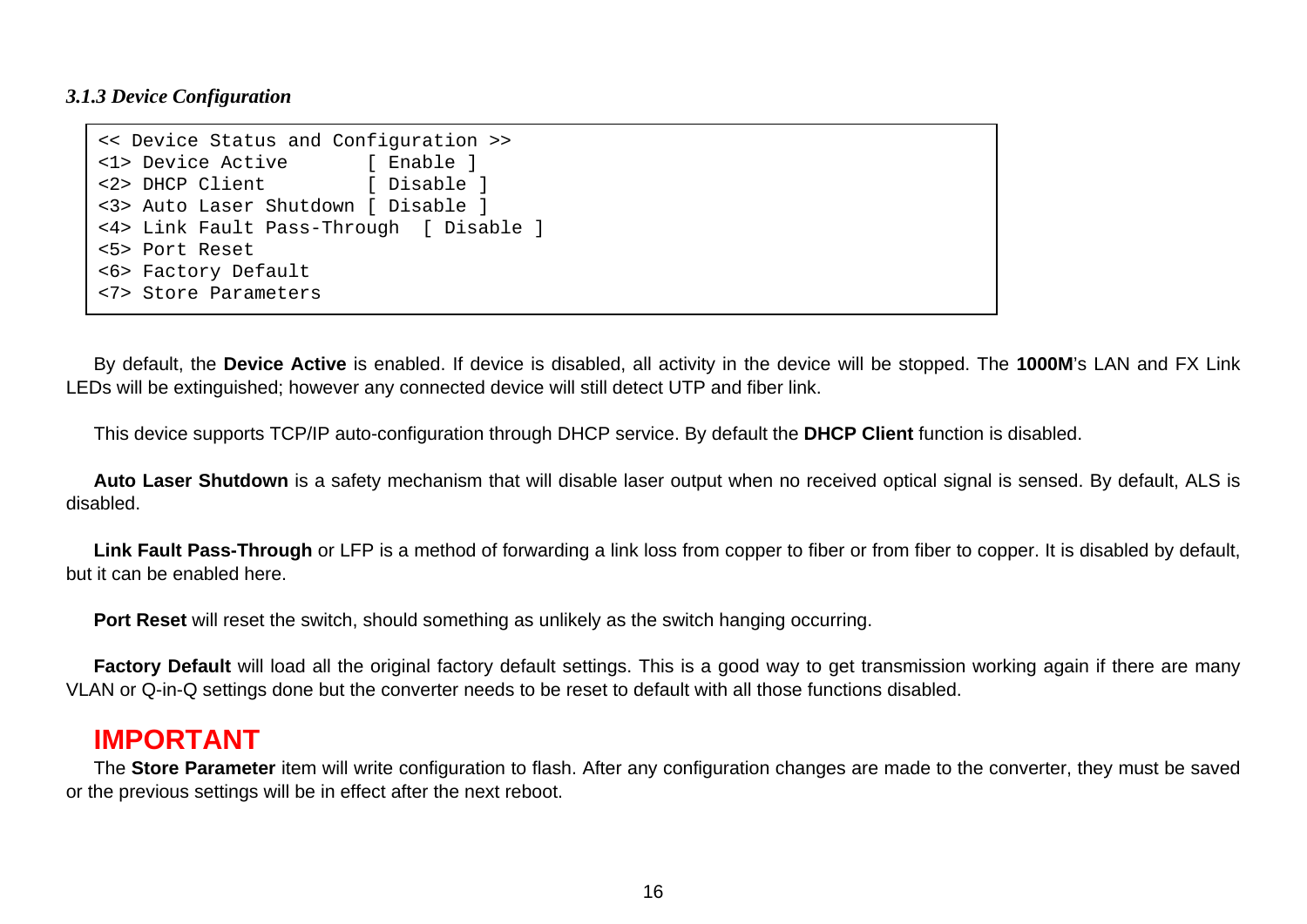#### <span id="page-15-0"></span>*3.1.3 Device Configuration*

```
<< Device Status and Configuration >> 
<1> Device Active [ Enable ]
<2> DHCP Client [ Disable ]
<3> Auto Laser Shutdown [ Disable ] 
<4> Link Fault Pass-Through [ Disable ] 
<5> Port Reset <6> Factory Default 
<7> Store Parameters
```
By default, the **Device Active** is enabled. If device is disabled, all activity in the device will be stopped. The **1000M**'s LAN and FX Link LEDs will be extinguished; however any connected device will still detect UTP and fiber link.

This device supports TCP/IP auto-configuration through DHCP service. By default the **DHCP Client** function is disabled.

**Auto Laser Shutdown** is a safety mechanism that will disable laser output when no received optical signal is sensed. By default, ALS is disabled.

Link Fault Pass-Through or LFP is a method of forwarding a link loss from copper to fiber or from fiber to copper. It is disabled by default, but it can be enabled here.

**Port Reset** will reset the switch, should something as unlikely as the switch hanging occurring.

**Factory Default** will load all the original factory default settings. This is a good way to get transmission working again if there are many VLAN or Q-in-Q settings done but the converter needs to be reset to default with all those functions disabled.

### **IMPORTANT**

The **Store Parameter** item will write configuration to flash. After any configuration changes are made to the converter, they must be saved or the previous settings will be in effect after the next reboot.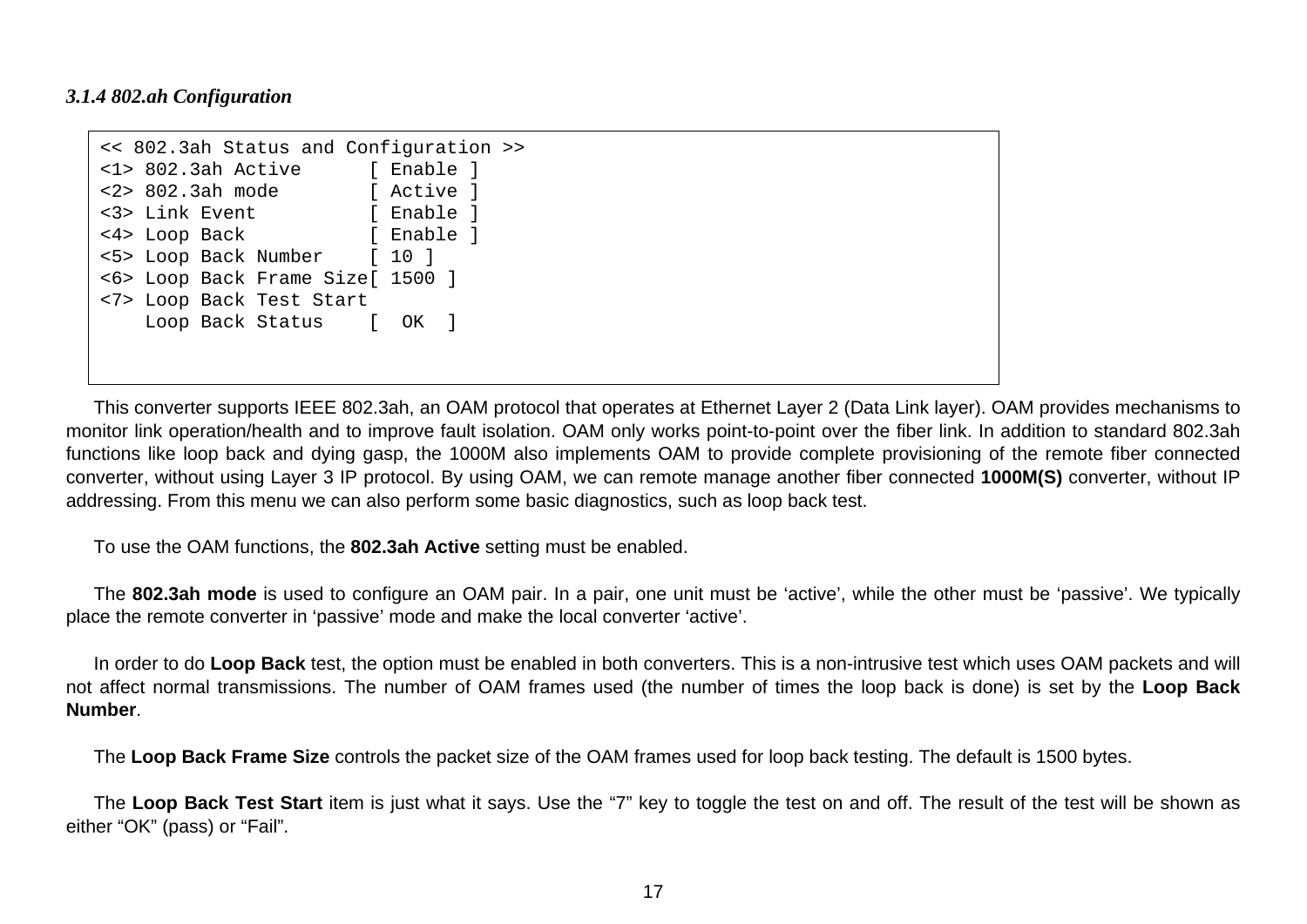#### <span id="page-16-0"></span>*3.1.4 802.ah Configuration*

```
<< 802.3ah Status and Configuration >> 
<1> 802.3ah Active [ Enable ] 
<2> 802.3ah mode [ Active ] 
<3> Link Event [ Enable ]
<4> Loop Back [ Enable ] 
<5> Loop Back Number [ 10 ] 
<6> Loop Back Frame Size[ 1500 ] 
<7> Loop Back Test Start 
    Loop Back Status [ OK ]
```
This converter supports IEEE 802.3ah, an OAM protocol that operates at Ethernet Layer 2 (Data Link layer). OAM provides mechanisms to monitor link operation/health and to improve fault isolation. OAM only works point-to-point over the fiber link. In addition to standard 802.3ah functions like loop back and dying gasp, the 1000M also implements OAM to provide complete provisioning of the remote fiber connected converter, without using Layer 3 IP protocol. By using OAM, we can remote manage another fiber connected **1000M(S)** converter, without IP addressing. From this menu we can also perform some basic diagnostics, such as loop back test.

To use the OAM functions, the **802.3ah Active** setting must be enabled.

The **802.3ah mode** is used to configure an OAM pair. In a pair, one unit must be 'active', while the other must be 'passive'. We typically place the remote converter in 'passive' mode and make the local converter 'active'.

In order to do **Loop Back** test, the option must be enabled in both converters. This is a non-intrusive test which uses OAM packets and will not affect normal transmissions. The number of OAM frames used (the number of times the loop back is done) is set by the **Loop Back Number**.

The **Loop Back Frame Size** controls the packet size of the OAM frames used for loop back testing. The default is 1500 bytes.

The **Loop Back Test Start** item is just what it says. Use the "7" key to toggle the test on and off. The result of the test will be shown as either "OK" (pass) or "Fail".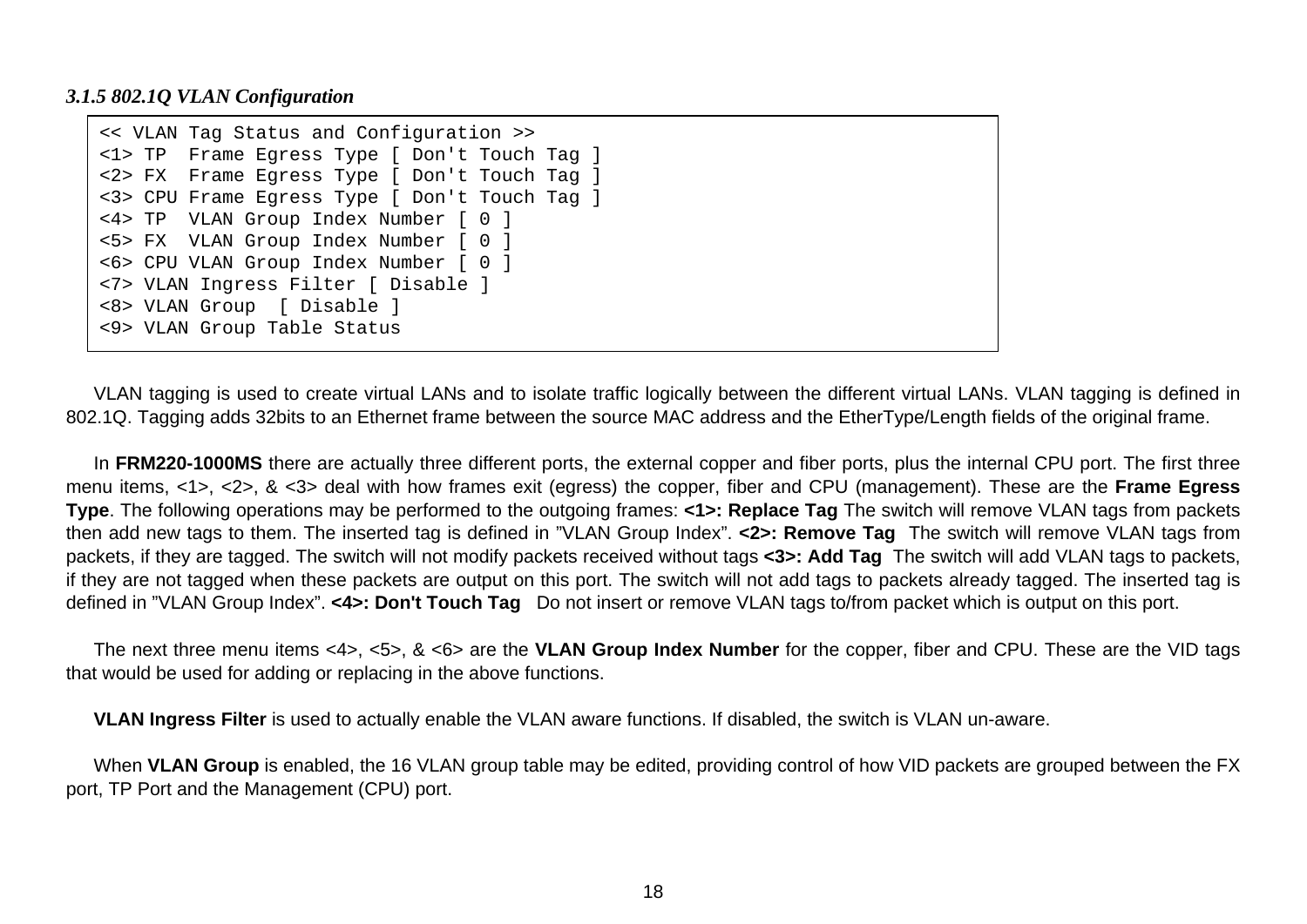#### <span id="page-17-0"></span>*3.1.5 802.1Q VLAN Configuration*

```
<< VLAN Tag Status and Configuration >> 
<1> TP Frame Egress Type [ Don't Touch Tag ] 
<2> FX Frame Egress Type [ Don't Touch Tag ] 
<3> CPU Frame Egress Type [ Don't Touch Tag ] 
<4> TP VLAN Group Index Number [ 0 ] 
<5> FX VLAN Group Index Number [ 0 ] 
<6> CPU VLAN Group Index Number [ 0 ] 
<7> VLAN Ingress Filter [ Disable ] 
<8> VLAN Group [ Disable ] 
<9> VLAN Group Table Status
```
VLAN tagging is used to create virtual LANs and to isolate traffic logically between the different virtual LANs. VLAN tagging is defined in 802.1Q. Tagging adds 32bits to an Ethernet frame between the source MAC address and the EtherType/Length fields of the original frame.

In **FRM220-1000MS** there are actually three different ports, the external copper and fiber ports, plus the internal CPU port. The first three menu items, <1>, <2>, & <3> deal with how frames exit (egress) the copper, fiber and CPU (management). These are the **Frame Egress Type**. The following operations may be performed to the outgoing frames: **<1>: Replace Tag** The switch will remove VLAN tags from packets then add new tags to them. The inserted tag is defined in "VLAN Group Index". **<2>: Remove Tag** The switch will remove VLAN tags from packets, if they are tagged. The switch will not modify packets received without tags **<3>: Add Tag** The switch will add VLAN tags to packets, if they are not tagged when these packets are output on this port. The switch will not add tags to packets already tagged. The inserted tag is defined in "VLAN Group Index". **<4>: Don't Touch Tag** Do not insert or remove VLAN tags to/from packet which is output on this port.

The next three menu items <4>, <5>, & <6> are the **VLAN Group Index Number** for the copper, fiber and CPU. These are the VID tags that would be used for adding or replacing in the above functions.

**VLAN Ingress Filter** is used to actually enable the VLAN aware functions. If disabled, the switch is VLAN un-aware.

When **VLAN Group** is enabled, the 16 VLAN group table may be edited, providing control of how VID packets are grouped between the FX port, TP Port and the Management (CPU) port.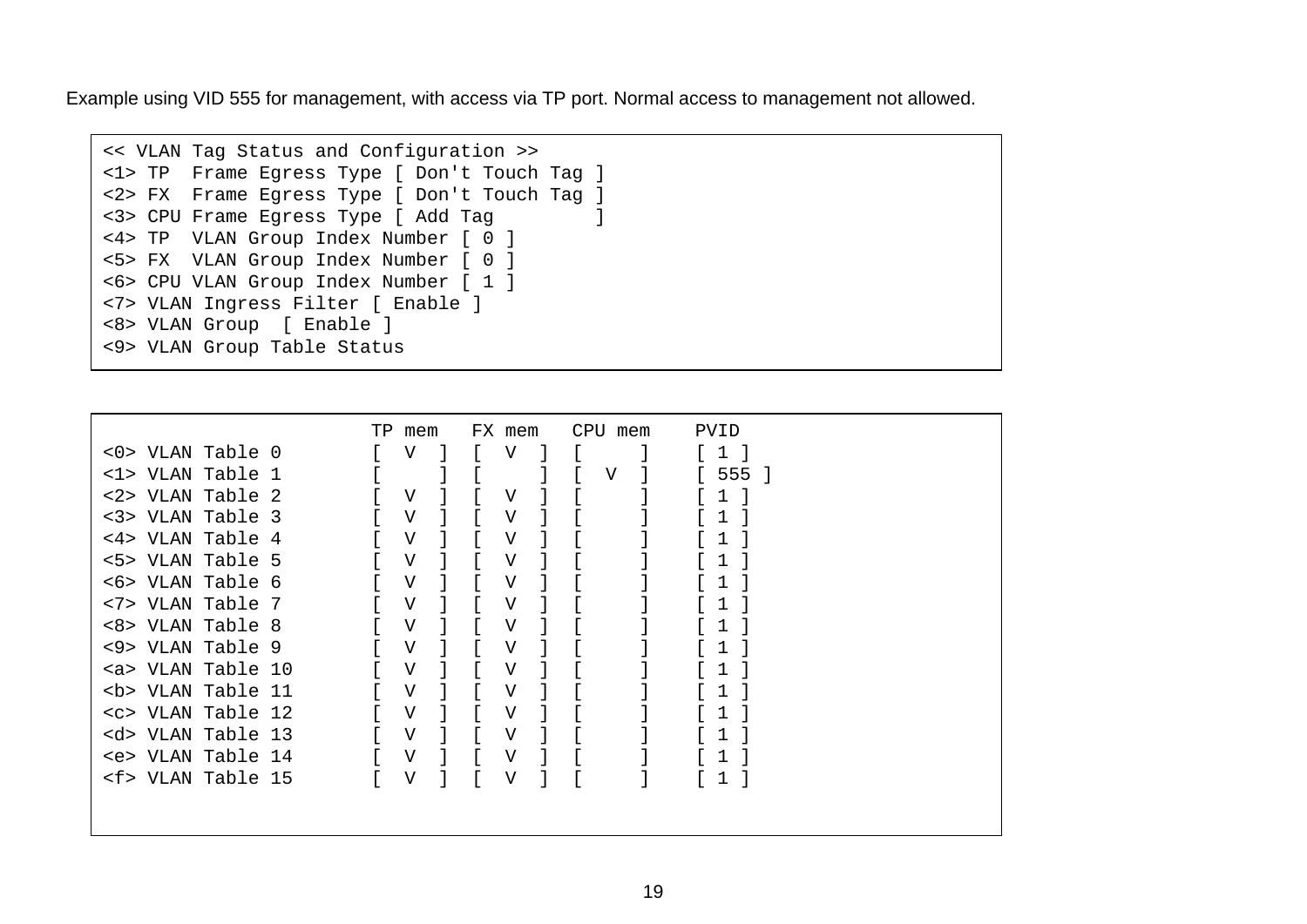Example using VID 555 for management, with access via TP port. Normal access to management not allowed.

```
<< VLAN Tag Status and Configuration >> 
<1> TP Frame Egress Type [ Don't Touch Tag ] 
<2> FX Frame Egress Type [ Don't Touch Tag ] 
<3> CPU Frame Egress Type [ Add Tag ] 
<4> TP VLAN Group Index Number [ 0 ] 
<5> FX VLAN Group Index Number [ 0 ] 
<6> CPU VLAN Group Index Number [ 1 ] 
<7> VLAN Ingress Filter [ Enable ] 
<8> VLAN Group [ Enable ] 
<9> VLAN Group Table Status
```

|                       | TP.<br>mem     | FX mem | CPU mem | PVID |
|-----------------------|----------------|--------|---------|------|
| <0> VLAN Table 0      | V              | V      |         |      |
| <1> VLAN Table 1      |                |        | V       | 555  |
| <2> VLAN Table 2      | V              | V      |         |      |
| <3> VLAN Table 3      | V              | V      |         |      |
| <4> VLAN Table 4      | V              | V      |         |      |
| <5> VLAN Table 5      | V              | V      |         |      |
| <6> VLAN Table 6      | V              | V      |         |      |
| <7> VLAN Table 7      | V              | V      |         |      |
| <8> VLAN Table 8      | V              | V      |         |      |
| <9> VLAN Table 9      | $\overline{V}$ | V      |         |      |
| <a> VLAN Table 10</a> | V              | ٦T     |         |      |
| <b> VLAN Table 11</b> | V              | V      |         |      |
| <c> VLAN Table 12</c> | V              | V      |         |      |
| <d> VLAN Table 13</d> | V              | V      |         |      |
| <e> VLAN Table 14</e> | $\overline{V}$ | V      |         |      |
| <f> VLAN Table 15</f> | V              | V      |         | 1    |
|                       |                |        |         |      |
|                       |                |        |         |      |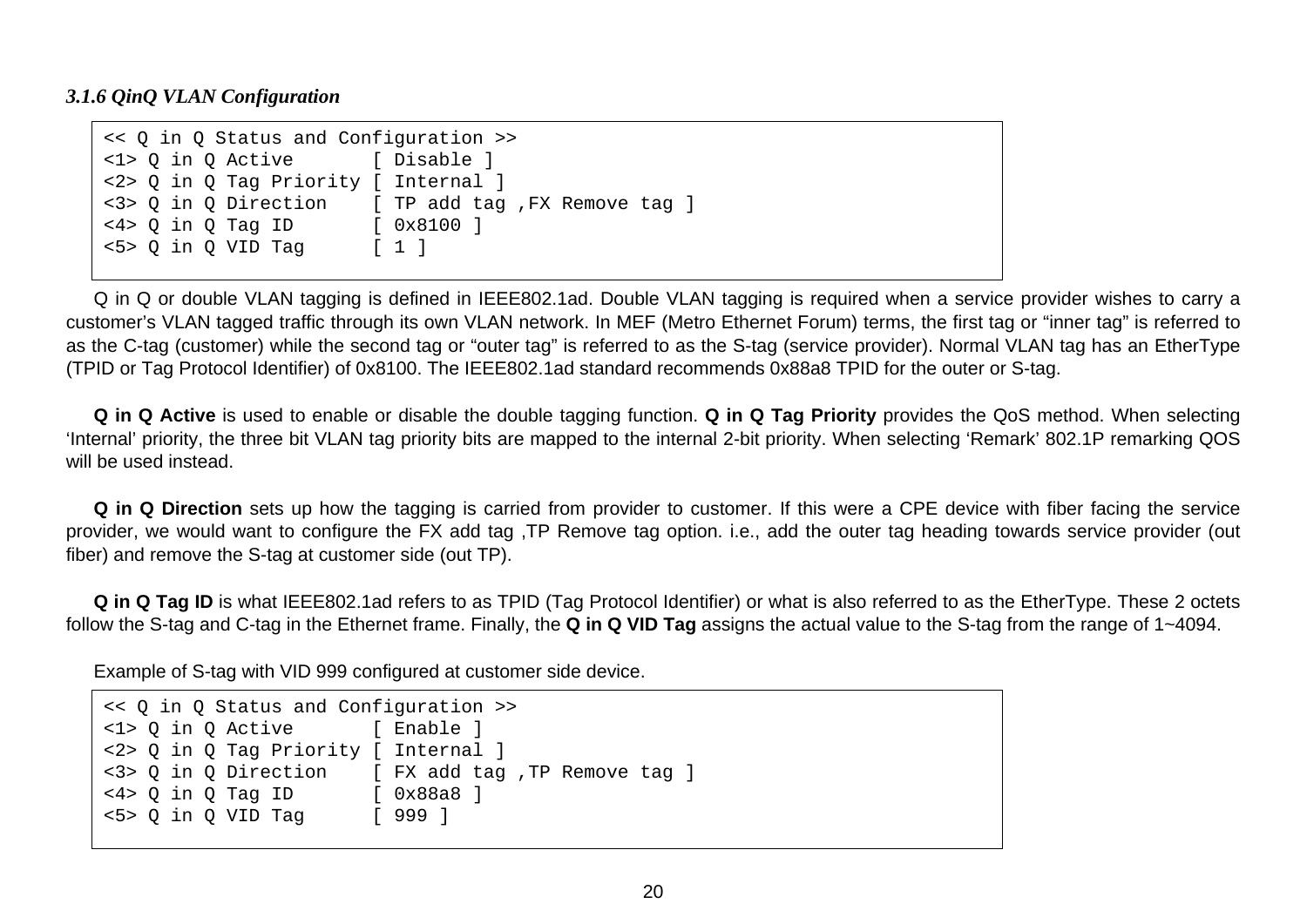#### <span id="page-19-0"></span>*3.1.6 QinQ VLAN Configuration*

```
<< Q in Q Status and Configuration >> 
<1> Q in Q Active [ Disable ] 
<2> Q in Q Tag Priority [ Internal ] 
<3> Q in Q Direction [ TP add tag ,FX Remove tag ] 
<4> Q in Q Tag ID [ 0x8100 ] 
<5> Q in Q VID Tag [ 1 ]
```
Q in Q or double VLAN tagging is defined in IEEE802.1ad. Double VLAN tagging is required when a service provider wishes to carry a customer's VLAN tagged traffic through its own VLAN network. In MEF (Metro Ethernet Forum) terms, the first tag or "inner tag" is referred to as the C-tag (customer) while the second tag or "outer tag" is referred to as the S-tag (service provider). Normal VLAN tag has an EtherType (TPID or Tag Protocol Identifier) of 0x8100. The IEEE802.1ad standard recommends 0x88a8 TPID for the outer or S-tag.

**Q in Q Active** is used to enable or disable the double tagging function. **Q in Q Tag Priority** provides the QoS method. When selecting 'Internal' priority, the three bit VLAN tag priority bits are mapped to the internal 2-bit priority. When selecting 'Remark' 802.1P remarking QOS will be used instead.

**Q in Q Direction** sets up how the tagging is carried from provider to customer. If this were a CPE device with fiber facing the service provider, we would want to configure the FX add tag ,TP Remove tag option. i.e., add the outer tag heading towards service provider (out fiber) and remove the S-tag at customer side (out TP).

**Q in Q Tag ID** is what IEEE802.1ad refers to as TPID (Tag Protocol Identifier) or what is also referred to as the EtherType. These 2 octets follow the S-tag and C-tag in the Ethernet frame. Finally, the **Q in Q VID Tag** assigns the actual value to the S-tag from the range of 1~4094.

Example of S-tag with VID 999 configured at customer side device.

| << Q in Q Status and Configuration >>                 |  |                                                     |  |  |  |
|-------------------------------------------------------|--|-----------------------------------------------------|--|--|--|
| <1> 0 in 0 Active [ Enable ]                          |  |                                                     |  |  |  |
| <2> 0 in 0 Tag Priority [ Internal ]                  |  |                                                     |  |  |  |
|                                                       |  | <3> Q in Q Direction [ FX add tag , TP Remove tag ] |  |  |  |
| $\langle 4 \rangle$ Q in O Tag ID [ $0 \times 88a8$ ] |  |                                                     |  |  |  |
| $5>0$ in 0 VID Taq                                    |  | [ 999 ]                                             |  |  |  |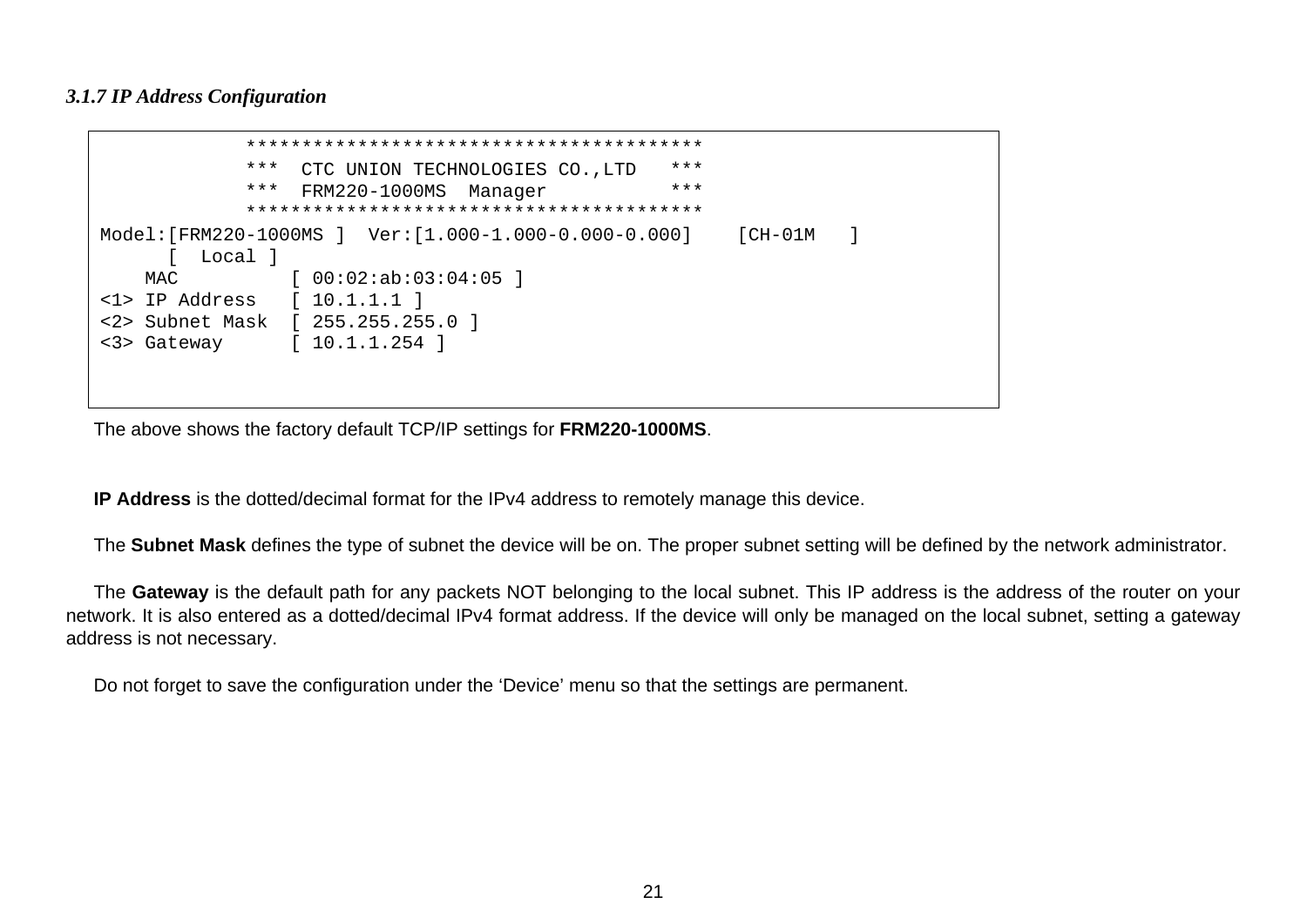#### <span id="page-20-0"></span>*3.1.7 IP Address Configuration*

```
 ***************************************** CTC UNION TECHNOLOGIES CO., LTD ***
                  *** FRM220-1000MS Manager *** 
                      ***************************************** Model:[FRM220-1000MS ] Ver:[1.000-1.000-0.000-0.000] [CH-01M ] 
       [ Local ] 
   MAC [00:02:ab:03:04:05]<1> IP Address [ 10.1.1.1 ] 
<2> Subnet Mask [ 255.255.255.0 ] 
<3> Gateway [ 10.1.1.254 ]
```
The above shows the factory default TCP/IP settings for **FRM220-1000MS**.

**IP Address** is the dotted/decimal format for the IPv4 address to remotely manage this device.

The **Subnet Mask** defines the type of subnet the device will be on. The proper subnet setting will be defined by the network administrator.

The **Gateway** is the default path for any packets NOT belonging to the local subnet. This IP address is the address of the router on your network. It is also entered as a dotted/decimal IPv4 format address. If the device will only be managed on the local subnet, setting a gateway address is not necessary.

Do not forget to save the configuration under the 'Device' menu so that the settings are permanent.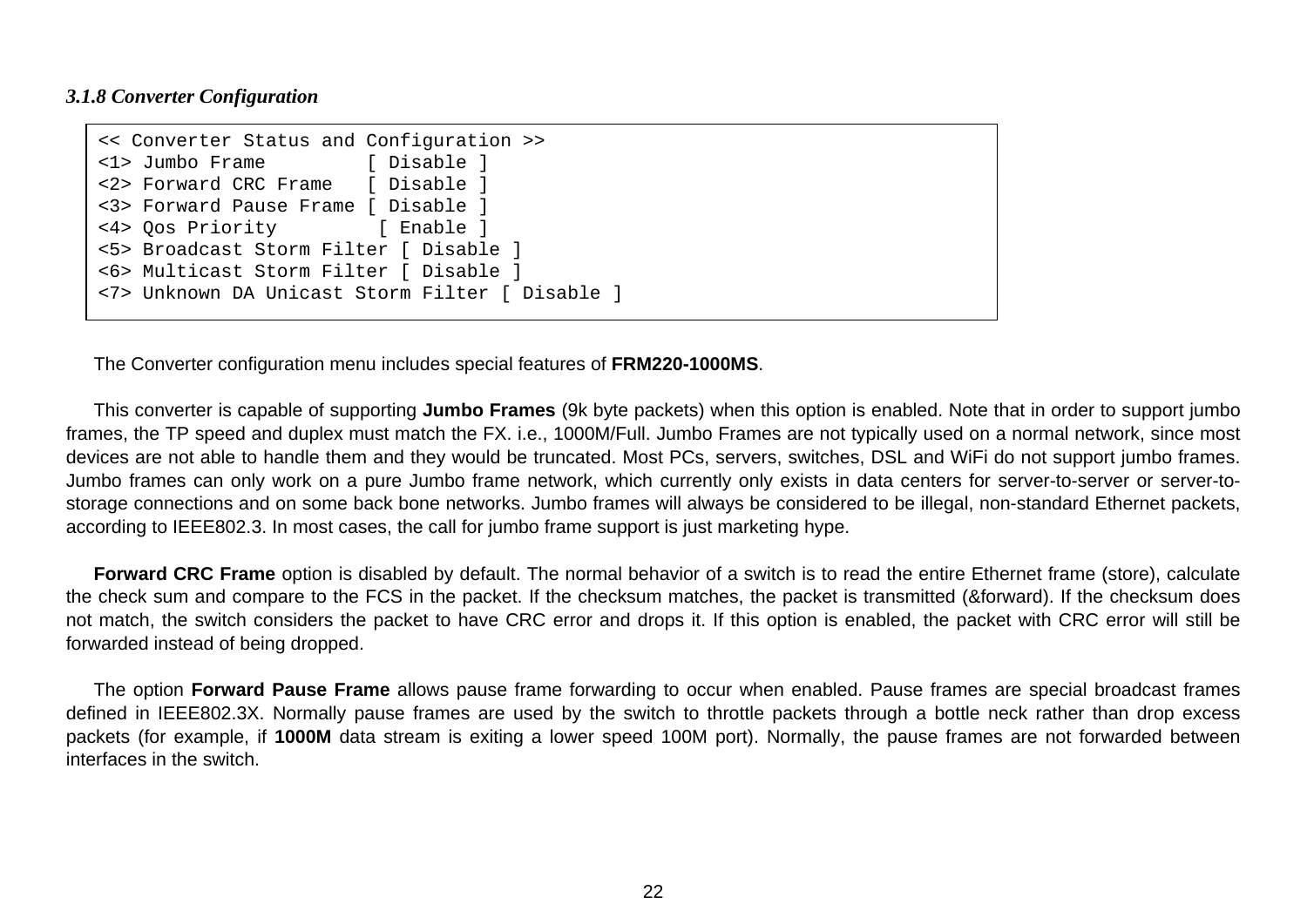#### <span id="page-21-0"></span>*3.1.8 Converter Configuration*

```
<< Converter Status and Configuration >> 
<1> Jumbo Frame [ Disable ] 
<2> Forward CRC Frame [ Disable ] 
<3> Forward Pause Frame [ Disable ] 
<4> Qos Priority [ Enable ] 
<5> Broadcast Storm Filter [ Disable ] 
<6> Multicast Storm Filter [ Disable ] 
<7> Unknown DA Unicast Storm Filter [ Disable ]
```
The Converter configuration menu includes special features of **FRM220-1000MS**.

This converter is capable of supporting **Jumbo Frames** (9k byte packets) when this option is enabled. Note that in order to support jumbo frames, the TP speed and duplex must match the FX. i.e., 1000M/Full. Jumbo Frames are not typically used on a normal network, since most devices are not able to handle them and they would be truncated. Most PCs, servers, switches, DSL and WiFi do not support jumbo frames. Jumbo frames can only work on a pure Jumbo frame network, which currently only exists in data centers for server-to-server or server-tostorage connections and on some back bone networks. Jumbo frames will always be considered to be illegal, non-standard Ethernet packets, according to IEEE802.3. In most cases, the call for jumbo frame support is just marketing hype.

**Forward CRC Frame** option is disabled by default. The normal behavior of a switch is to read the entire Ethernet frame (store), calculate the check sum and compare to the FCS in the packet. If the checksum matches, the packet is transmitted (&forward). If the checksum does not match, the switch considers the packet to have CRC error and drops it. If this option is enabled, the packet with CRC error will still be forwarded instead of being dropped.

The option **Forward Pause Frame** allows pause frame forwarding to occur when enabled. Pause frames are special broadcast frames defined in IEEE802.3X. Normally pause frames are used by the switch to throttle packets through a bottle neck rather than drop excess packets (for example, if **1000M** data stream is exiting a lower speed 100M port). Normally, the pause frames are not forwarded between interfaces in the switch.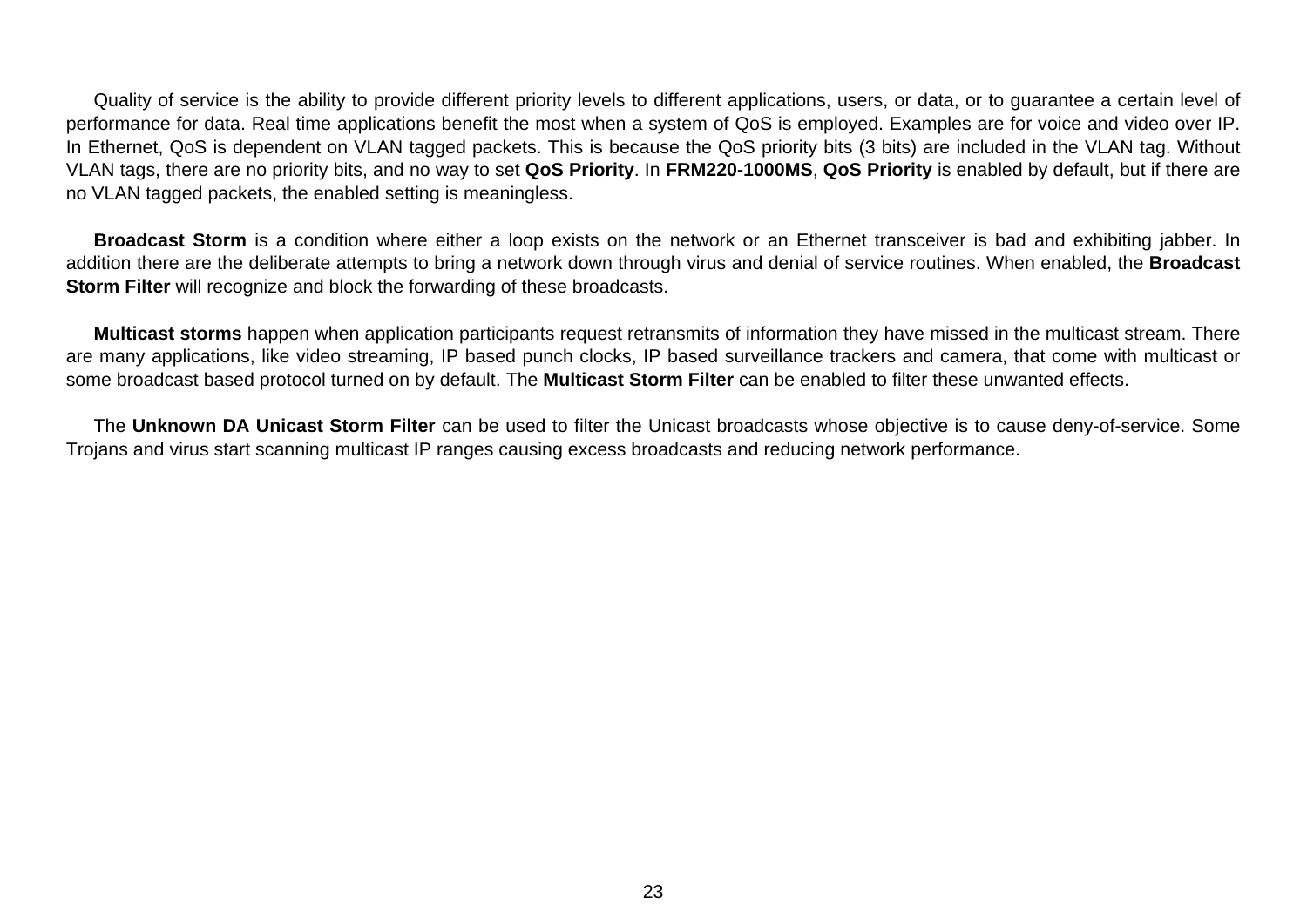Quality of service is the ability to provide different priority levels to different applications, users, or data, or to guarantee a certain level of performance for data. Real time applications benefit the most when a system of QoS is employed. Examples are for voice and video over IP. In Ethernet, QoS is dependent on VLAN tagged packets. This is because the QoS priority bits (3 bits) are included in the VLAN tag. Without VLAN tags, there are no priority bits, and no way to set **QoS Priority**. In **FRM220-1000MS**, **QoS Priority** is enabled by default, but if there are no VLAN tagged packets, the enabled setting is meaningless.

**Broadcast Storm** is a condition where either a loop exists on the network or an Ethernet transceiver is bad and exhibiting jabber. In addition there are the deliberate attempts to bring a network down through virus and denial of service routines. When enabled, the **Broadcast Storm Filter** will recognize and block the forwarding of these broadcasts.

**Multicast storms** happen when application participants request retransmits of information they have missed in the multicast stream. There are many applications, like video streaming, IP based punch clocks, IP based surveillance trackers and camera, that come with multicast or some broadcast based protocol turned on by default. The **Multicast Storm Filter** can be enabled to filter these unwanted effects.

The **Unknown DA Unicast Storm Filter** can be used to filter the Unicast broadcasts whose objective is to cause deny-of-service. Some Trojans and virus start scanning multicast IP ranges causing excess broadcasts and reducing network performance.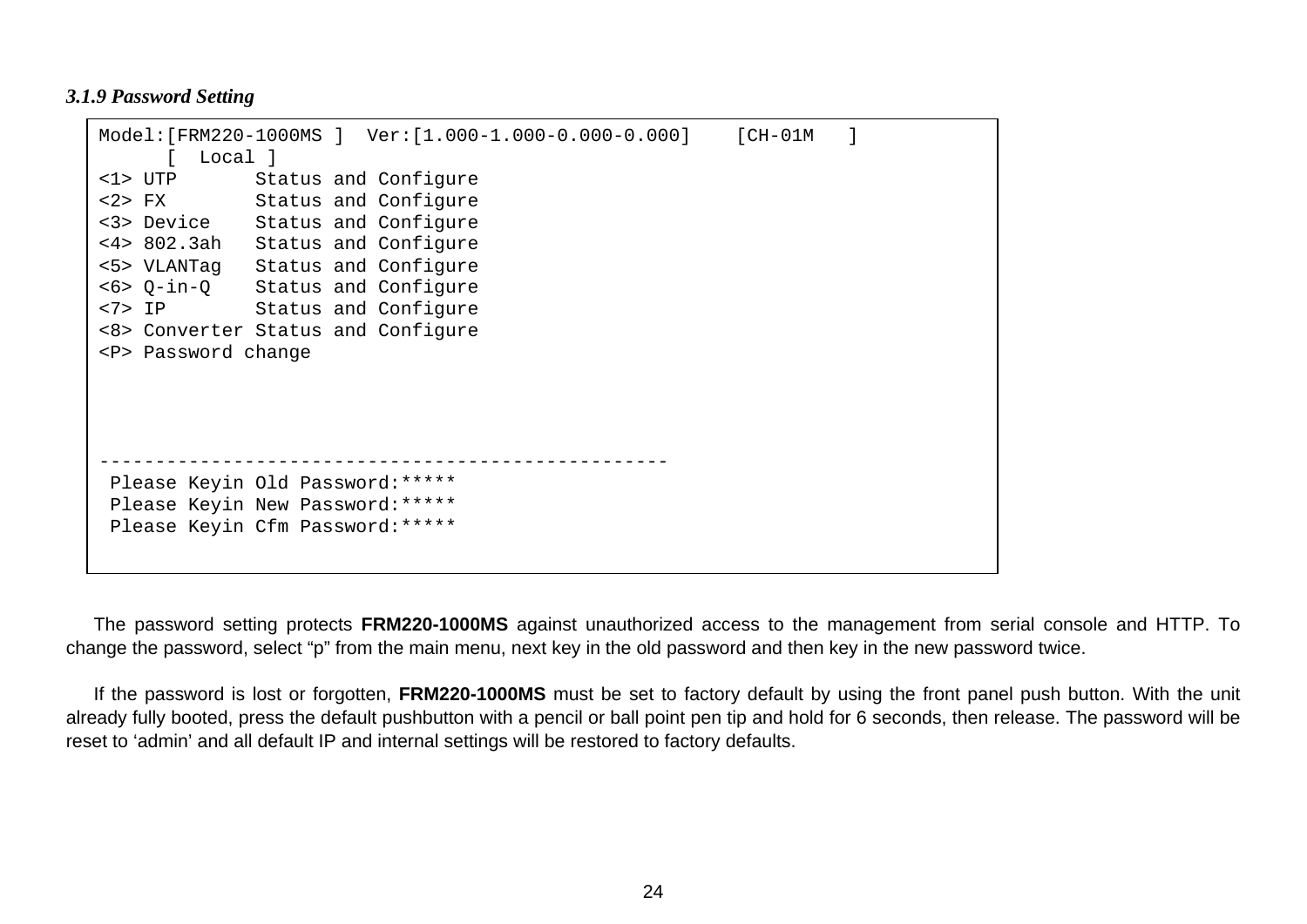#### <span id="page-23-0"></span>*3.1.9 Password Setting*

```
Model:[FRM220-1000MS ] Ver:[1.000-1.000-0.000-0.000] [CH-01M ] 
      [ Local ] 
<1> UTP Status and Configure 
<2> FX Status and Configure 
<3> Device Status and Configure 
<4> 802.3ah Status and Configure 
<5> VLANTag Status and Configure 
<6> Q-in-Q Status and Configure 
<7> IP Status and Configure 
<8> Converter Status and Configure 
<P> Password change 
---------------------------------------------------  Please Keyin Old Password:***** 
 Please Keyin New Password:***** 
 Please Keyin Cfm Password:*****
```
The password setting protects **FRM220-1000MS** against unauthorized access to the management from serial console and HTTP. To change the password, select "p" from the main menu, next key in the old password and then key in the new password twice.

If the password is lost or forgotten, **FRM220-1000MS** must be set to factory default by using the front panel push button. With the unit already fully booted, press the default pushbutton with a pencil or ball point pen tip and hold for 6 seconds, then release. The password will be reset to 'admin' and all default IP and internal settings will be restored to factory defaults.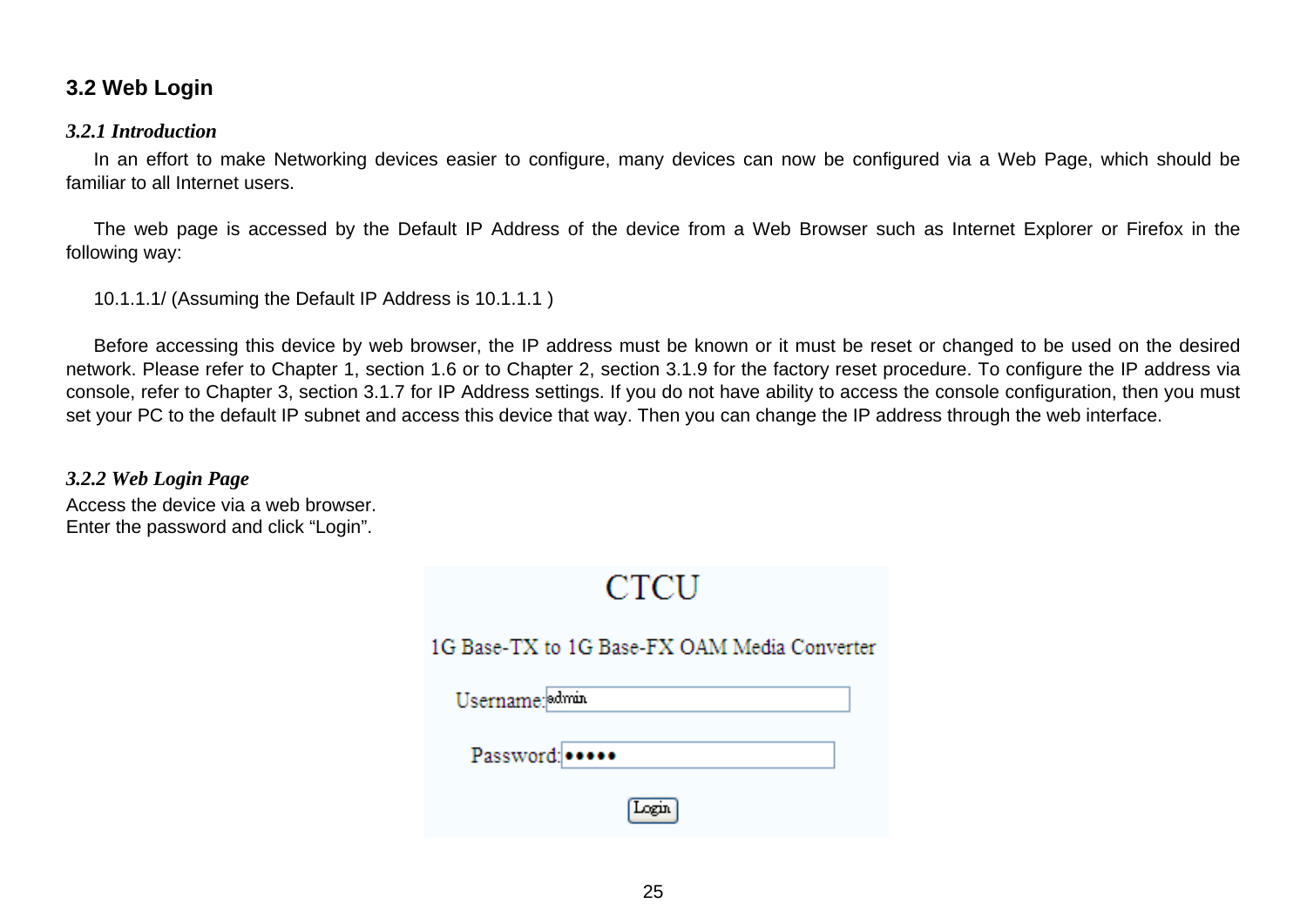### <span id="page-24-0"></span>**3.2 Web Login**

#### *3.2.1 Introduction*

In an effort to make Networking devices easier to configure, many devices can now be configured via a Web Page, which should be familiar to all Internet users.

The web page is accessed by the Default IP Address of the device from a Web Browser such as Internet Explorer or Firefox in the following way:

10.1.1.1/ (Assuming the Default IP Address is 10.1.1.1 )

Before accessing this device by web browser, the IP address must be known or it must be reset or changed to be used on the desired network. Please refer to Chapter 1, section 1.6 or to Chapter 2, section 3.1.9 for the factory reset procedure. To configure the IP address via console, refer to Chapter 3, section 3.1.7 for IP Address settings. If you do not have ability to access the console configuration, then you must set your PC to the default IP subnet and access this device that way. Then you can change the IP address through the web interface.

*3.2.2 Web Login Page*  Access the device via a web browser. Enter the password and click "Login".

| CTCU                                         |
|----------------------------------------------|
| 1G Base-TX to 1G Base-FX OAM Media Converter |
| Username: admin                              |
| Password:                                    |
|                                              |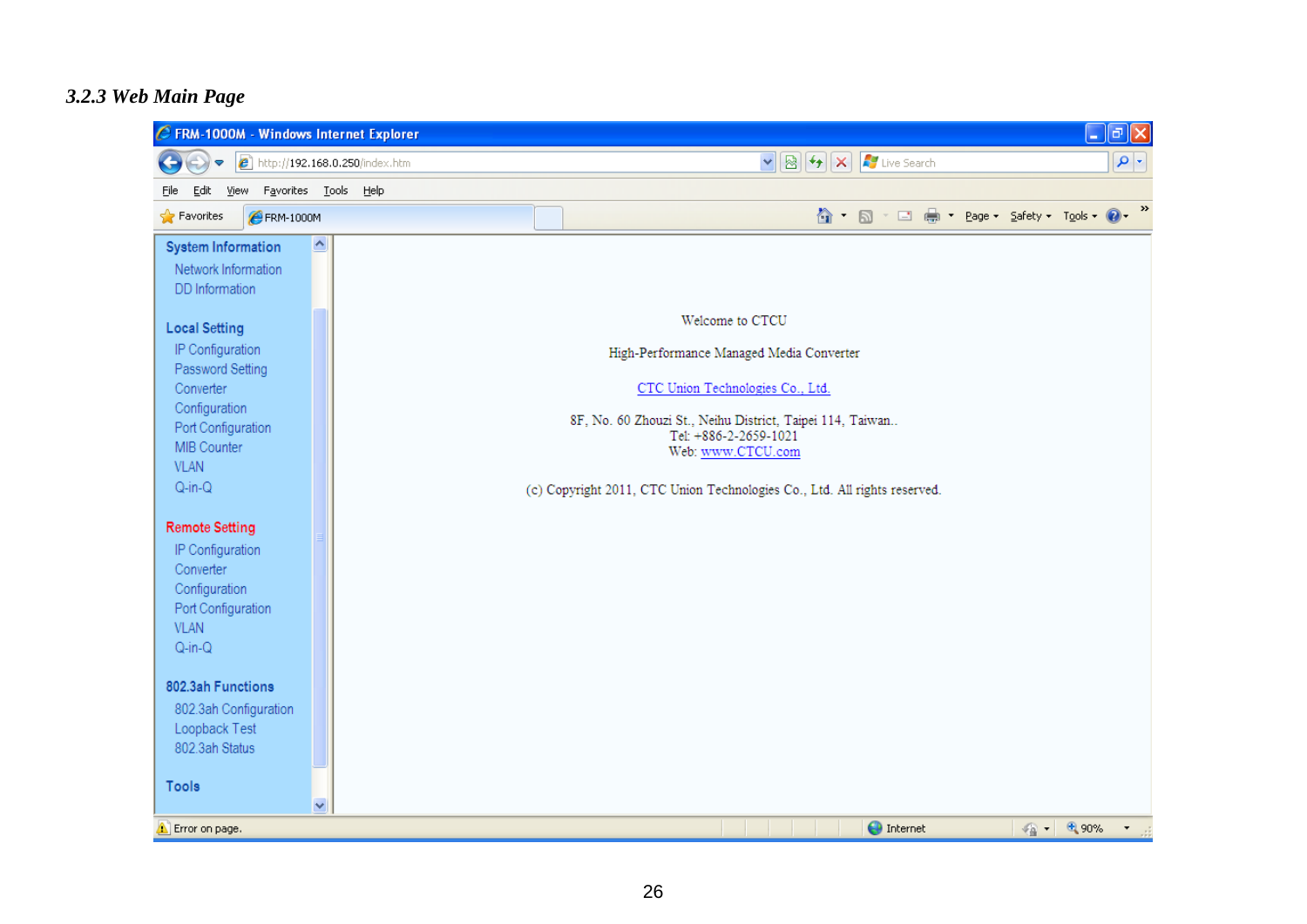#### <span id="page-25-0"></span>*3.2.3 Web Main Page*

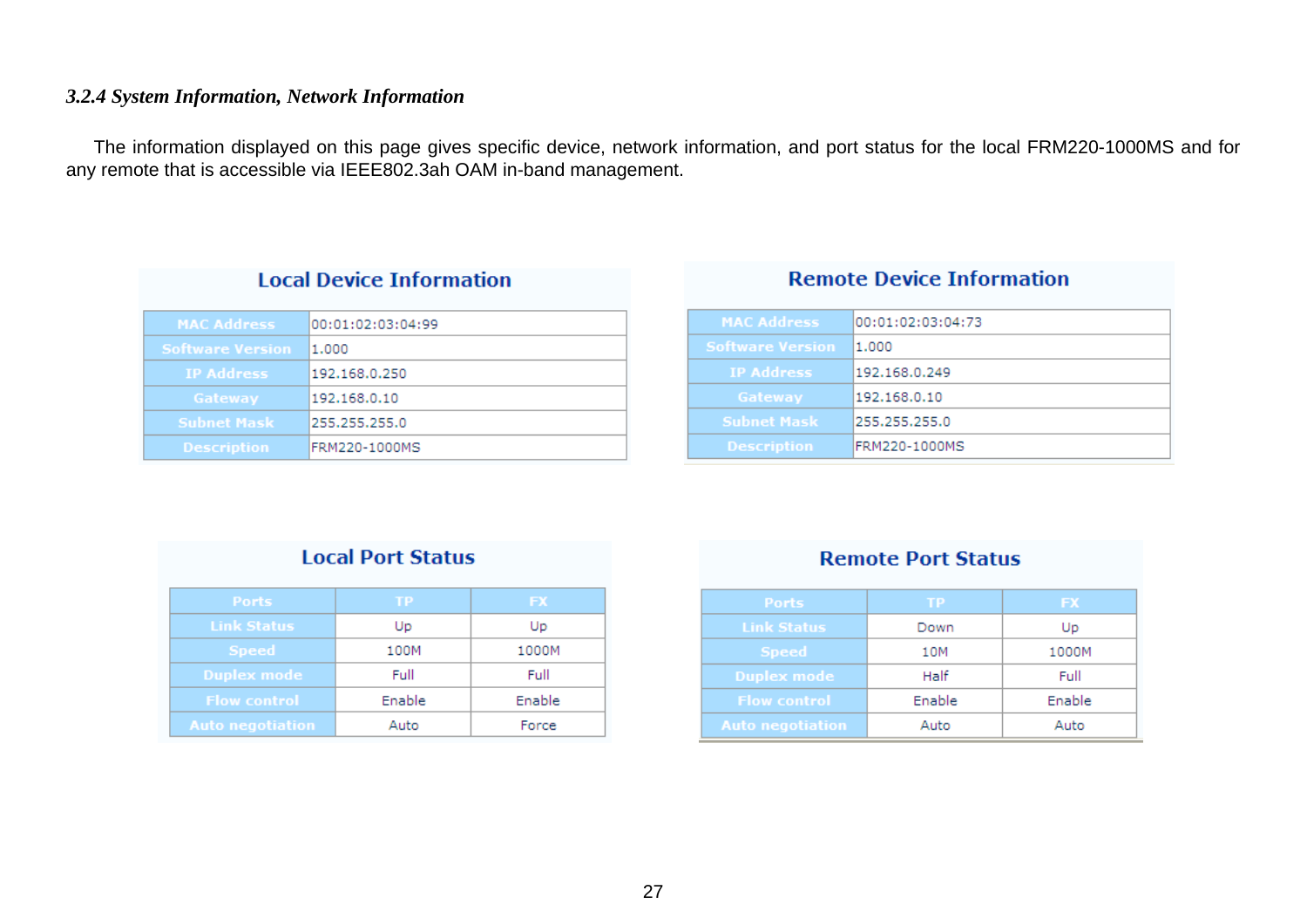#### <span id="page-26-0"></span>*3.2.4 System Information, Network Information*

The information displayed on this page gives specific device, network information, and port status for the local FRM220-1000MS and for any remote that is accessible via IEEE802.3ah OAM in-band management.

| <b>Local Device Information</b> |                   |  |  |
|---------------------------------|-------------------|--|--|
| <b>MAC Address</b>              | 00:01:02:03:04:99 |  |  |
| <b>Software Version</b>         | 1.000             |  |  |
| <b>IP Address</b>               | 192.168.0.250     |  |  |
| Gateway                         | 192.168.0.10      |  |  |
| <b>Subnet Mask</b>              | 255.255.255.0     |  |  |
| <b>Description</b>              | FRM220-1000MS     |  |  |

### **Remote Device Information**

| <b>MAC Address</b>      | 00:01:02:03:04:73 |
|-------------------------|-------------------|
| <b>Software Version</b> | 1.000             |
| <b>IP Address</b>       | 192.168.0.249     |
| Gateway                 | 192.168.0.10      |
| <b>Subnet Mask</b>      | 255.255.255.0     |
| <b>Description</b>      | FRM220-1000MS     |

### **Local Port Status**

| <b>Ports</b>            | TP     | <b>FX</b> |
|-------------------------|--------|-----------|
| <b>Link Status</b>      | Up     | Up        |
| <b>Speed</b>            | 100M   | 1000M     |
| Duplex mode             | Full   | Full      |
| <b>Flow control</b>     | Enable | Enable    |
| <b>Auto negotiation</b> | Auto   | Force     |

#### **Remote Port Status**

| <b>Ports</b>            | ΤР     | <b>FX</b> |
|-------------------------|--------|-----------|
| <b>Link Status</b>      | Down   | Up        |
| <b>Speed</b>            | 10M    | 1000M     |
| Duplex mode             | Half   | Full      |
| <b>Flow control</b>     | Enable | Enable    |
| <b>Auto negotiation</b> | Auto   | Auto      |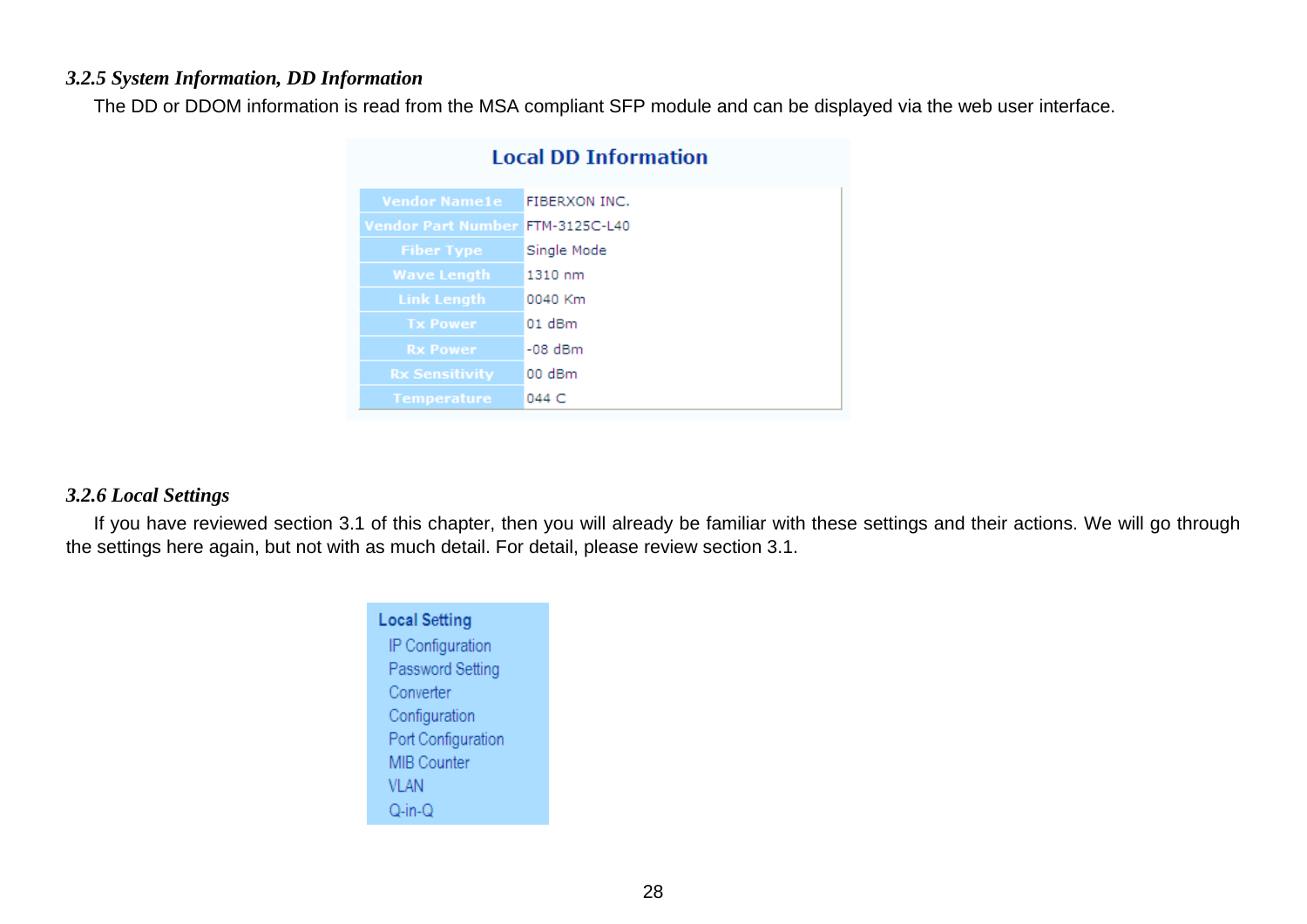#### <span id="page-27-0"></span>*3.2.5 System Information, DD Information*

The DD or DDOM information is read from the MSA compliant SFP module and can be displayed via the web user interface.

| Local DD Information             |               |  |
|----------------------------------|---------------|--|
| <b>Vendor Name1e</b>             | FIBERXON INC. |  |
| Vendor Part Number FTM-3125C-L40 |               |  |
| <b>Fiber Type</b>                | Single Mode   |  |
| <b>Wave Length</b>               | 1310 nm       |  |
| <b>Link Length</b>               | 0040 Km       |  |
| <b>Tx Power</b>                  | $01$ dBm      |  |
| <b>Rx Power</b>                  | -08 dBm       |  |
| <b>Rx Sensitivity</b>            | 00 dBm        |  |
| <b>Temperature</b>               | 044 C         |  |

#### the company of the company of the **Contract**

#### *3.2.6 Local Settings*

If you have reviewed section 3.1 of this chapter, then you will already be familiar with these settings and their actions. We will go through the settings here again, but not with as much detail. For detail, please review section 3.1.

| <b>Local Setting</b> |
|----------------------|
| IP Configuration     |
| Password Setting     |
| Converter            |
| Configuration        |
| Port Configuration   |
| <b>MIB Counter</b>   |
| VI AN                |
| $Q-in-Q$             |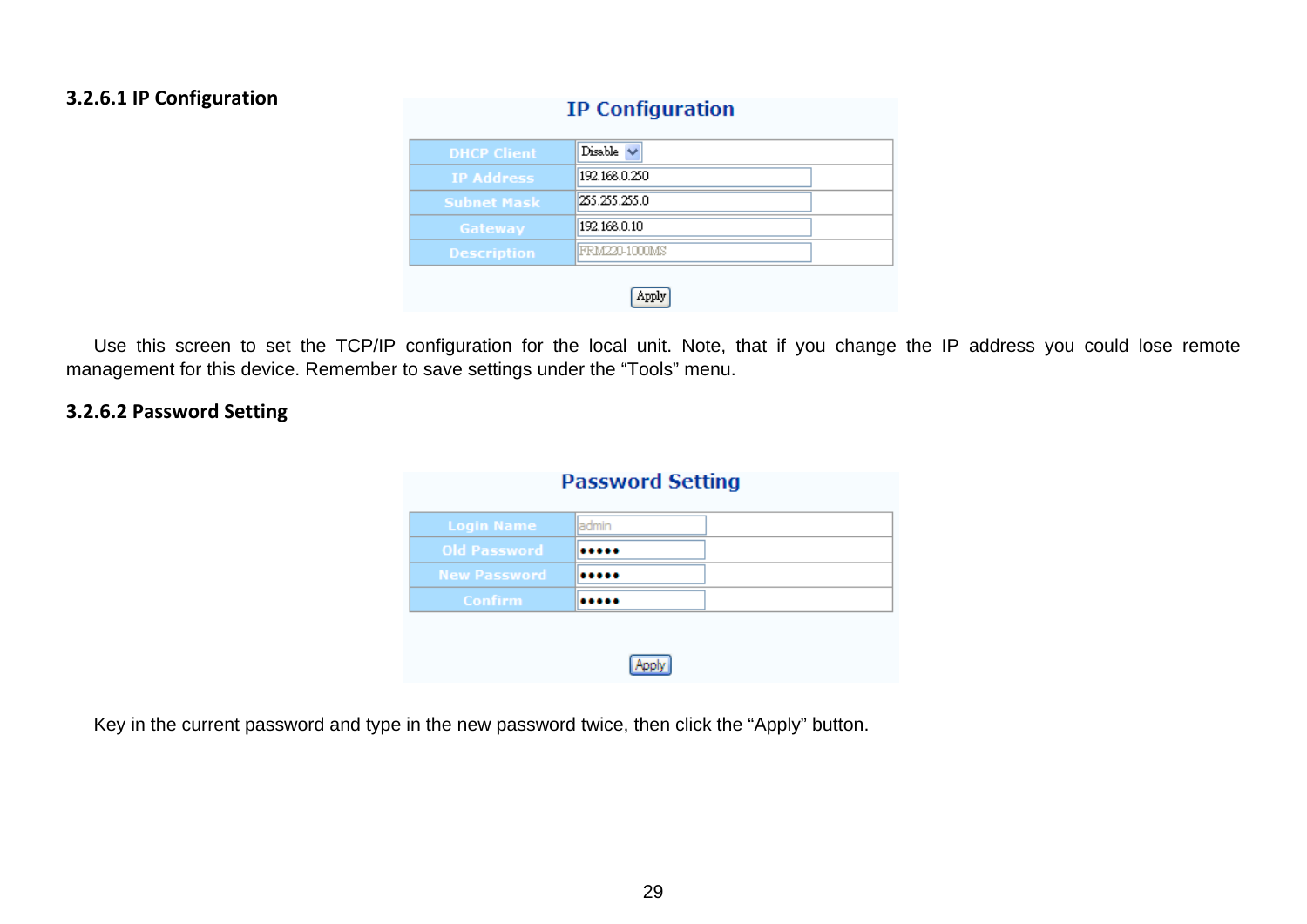#### **3.2.6.1 IP Configuration**

| <b>DHCP</b> Client | Disable        |  |  |
|--------------------|----------------|--|--|
| <b>IP Address</b>  | 192.168.0.250  |  |  |
| <b>Subnet Mask</b> | 1255.255.255.0 |  |  |
| Gateway            | 192.168.0.10   |  |  |
| <b>Description</b> | IFRM220-1000MS |  |  |
|                    |                |  |  |

**IP Configuration** 

Use this screen to set the TCP/IP configuration for the local unit. Note, that if you change the IP address you could lose remote management for this device. Remember to save settings under the "Tools" menu.

#### **3.2.6.2 Password Setting**

| <b>Password Setting</b> |        |  |
|-------------------------|--------|--|
| <b>Login Name</b>       | ladmin |  |
| <b>Old Password</b>     |        |  |
| <b>New Password</b>     |        |  |
| <b>Confirm</b>          |        |  |

Key in the current password and type in the new password twice, then click the "Apply" button.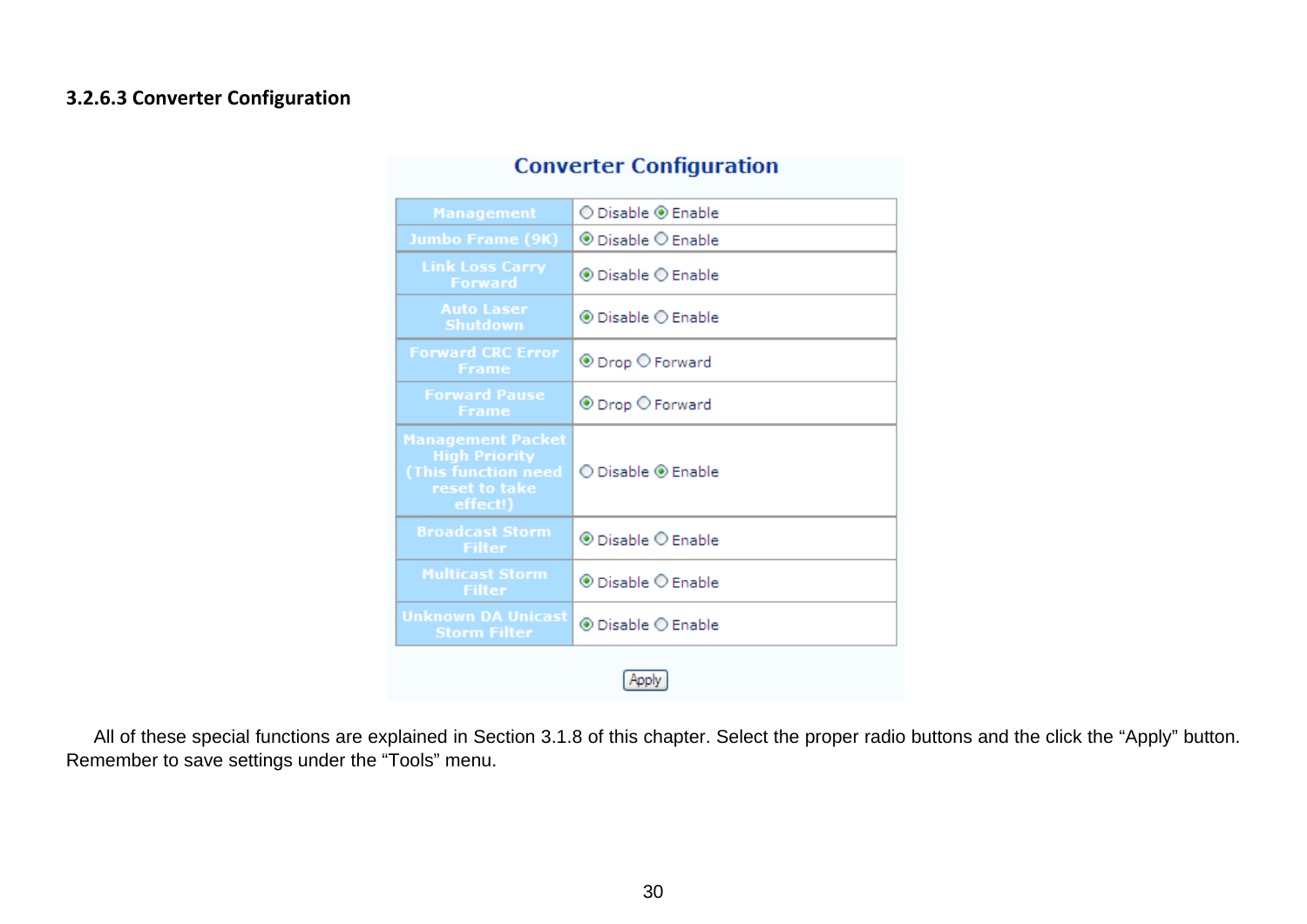#### **3.2.6.3 Converter Configuration**

| <b>Management</b>                                                                                    | ◯ Disable ◉ Enable                                |  |
|------------------------------------------------------------------------------------------------------|---------------------------------------------------|--|
| <b>Jumbo Frame (9K)</b>                                                                              | $\circledcirc$ Disable $\circlearrowright$ Enable |  |
| <b>Link Loss Carry</b><br><b>Forward</b>                                                             | ◉ Disable ← Enable                                |  |
| <b>Auto Laser</b><br>Shutdown                                                                        | $\circledcirc$ Disable $\circlearrowright$ Enable |  |
| <b>Forward CRC Error</b><br><b>Frame</b>                                                             | ⊕ Drop ○ Forward                                  |  |
| <b>Forward Pause</b><br><b>Frame</b>                                                                 | ⊕ Drop O Forward                                  |  |
| <b>Management Packet</b><br><b>High Priority</b><br>(This function need<br>reset to take<br>effect!) | ⊙ Disable ◉ Enable                                |  |
| <b>Broadcast Storm</b><br><b>Filter</b>                                                              | $\circledcirc$ Disable $\circlearrowright$ Enable |  |
| <b>Multicast Storm</b><br><b>Filter</b>                                                              | $\circledcirc$ Disable $\circlearrowright$ Enable |  |
| <b>Unknown DA Unicast</b><br><b>Storm Filter</b>                                                     | ◉ Disable ○ Enable                                |  |
|                                                                                                      |                                                   |  |

## **Converter Configuration**

All of these special functions are explained in Section 3.1.8 of this chapter. Select the proper radio buttons and the click the "Apply" button. Remember to save settings under the "Tools" menu.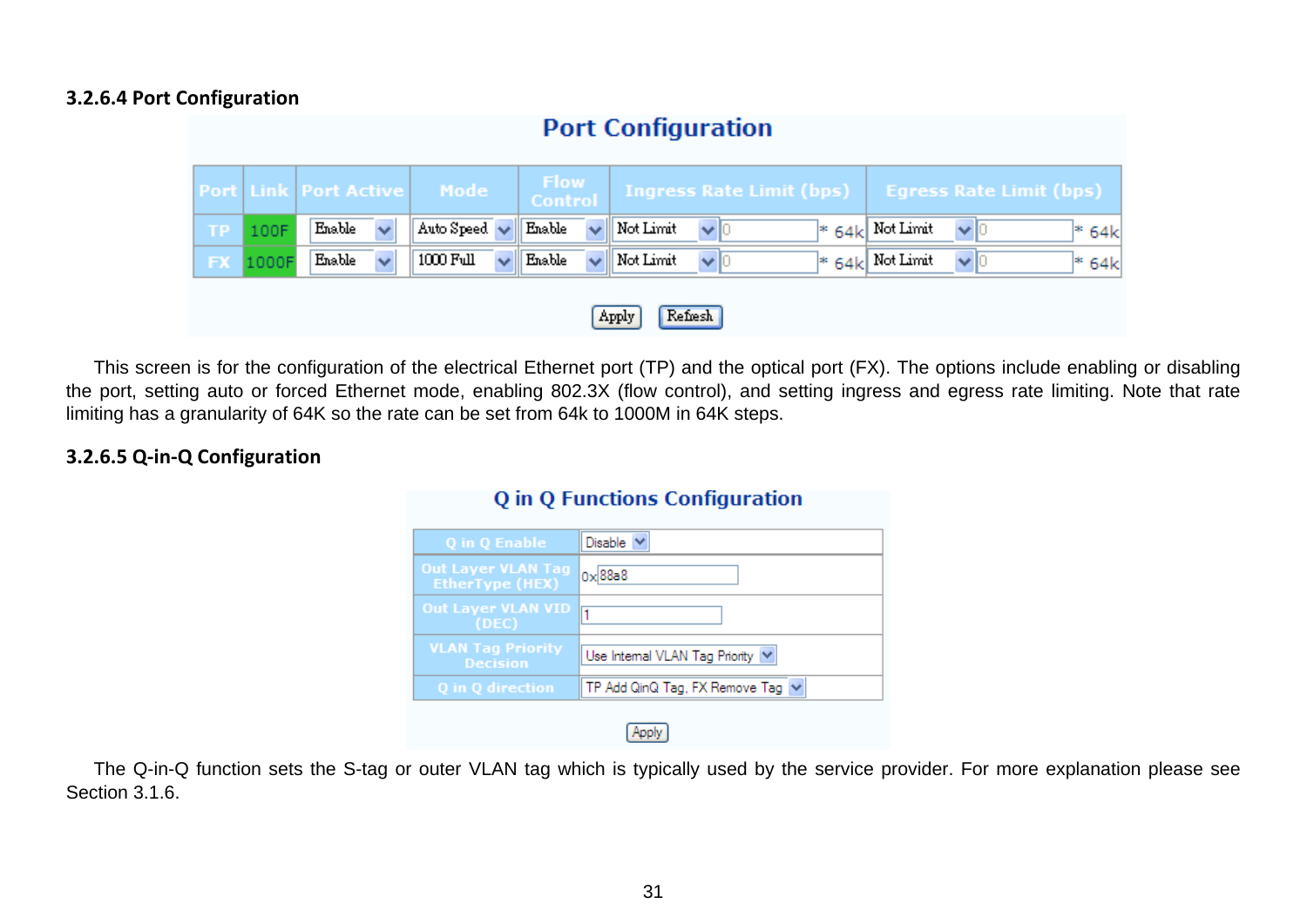#### **3.2.6.4 Port Configuration**

| <b>Port Configuration</b> |                  |                              |                           |                 |                                 |                                                     |
|---------------------------|------------------|------------------------------|---------------------------|-----------------|---------------------------------|-----------------------------------------------------|
|                           |                  | <b>Port Link Port Active</b> | Mode                      | Flow<br>Control | <b>Ingress Rate Limit (bps)</b> | <b>Egress Rate Limit (bps)</b>                      |
| <b>TP</b>                 | 100F             | Enable<br>$\checkmark$       | Auto Speed $\vee$         | Enable          | Not Limit<br>$\vee$ 0           | $ *$ 64 $ $ Not Limit<br>$\vee$ $\vdash$<br>$* 64k$ |
| <b>FX</b>                 | 1000F            | Enable<br>$\checkmark$       | 1000 Full<br>$\checkmark$ | Enable          | Not Limit<br>$\vee$ 10          | $ *$ 64k Not Limit<br>$\vee$ K<br>$* 64k$           |
|                           | Refresh<br>Apply |                              |                           |                 |                                 |                                                     |

This screen is for the configuration of the electrical Ethernet port (TP) and the optical port (FX). The options include enabling or disabling the port, setting auto or forced Ethernet mode, enabling 802.3X (flow control), and setting ingress and egress rate limiting. Note that rate limiting has a granularity of 64K so the rate can be set from 64k to 1000M in 64K steps.

#### **3.2.6.5 Q‐in‐Q Configuration**

| Q in Q Enable                                       | Disable                               |  |  |
|-----------------------------------------------------|---------------------------------------|--|--|
| <b>Out Layer VLAN Tag</b><br><b>EtherType (HEX)</b> | $0 \times 88a8$                       |  |  |
| <b>Out Layer VLAN VID</b><br>(DEC)                  |                                       |  |  |
| <b>VLAN Tag Priority</b><br><b>Decision</b>         | Use Internal VLAN Tag Priority $\vee$ |  |  |
| Q in Q direction                                    | TP Add QinQ Tag, FX Remove Tag $\vee$ |  |  |
|                                                     |                                       |  |  |

**O** in O Functions Configuration

### The Q-in-Q function sets the S-tag or outer VLAN tag which is typically used by the service provider. For more explanation please see Section 3.1.6.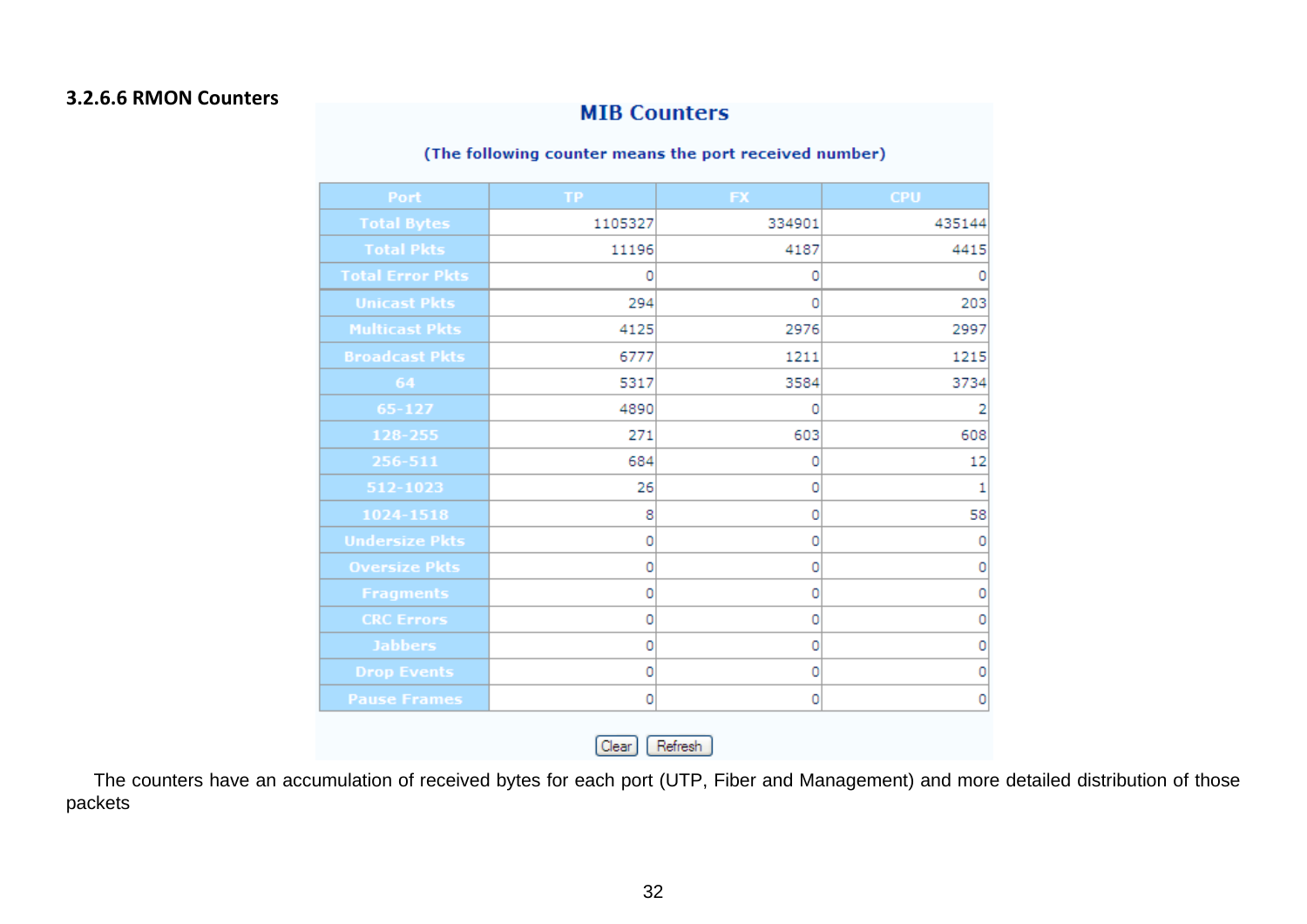#### **3.2.6.6 RMON Counters**

### **MIB Counters**

#### (The following counter means the port received number)

| Port                    | TP.     | <b>FX</b> | <b>CPU</b> |
|-------------------------|---------|-----------|------------|
| <b>Total Bytes</b>      | 1105327 | 334901    | 435144     |
| <b>Total Pkts</b>       | 11196   | 4187      | 4415       |
| <b>Total Error Pkts</b> | 0       | 0         | 0          |
| <b>Unicast Pkts</b>     | 294     | 0         | 203        |
| <b>Multicast Pkts</b>   | 4125    | 2976      | 2997       |
| <b>Broadcast Pkts</b>   | 6777    | 1211      | 1215       |
| 64                      | 5317    | 3584      | 3734       |
| 65-127                  | 4890    | 0         | 2          |
| 128-255                 | 271     | 603       | 608        |
| 256-511                 | 684     | 0         | 12         |
| 512-1023                | 26      | 0         | 1          |
| 1024-1518               | 8       | 0         | 58         |
| <b>Undersize Pkts</b>   | 0       | 0         | 0          |
| <b>Oversize Pkts</b>    | 0       | 0         | 0          |
| <b>Fragments</b>        | 0       | 0         | 0          |
| <b>CRC Errors</b>       | 0       | 0         | 0          |
| <b>Jabbers</b>          | 0       | 0         | 0          |
| <b>Drop Events</b>      | 0       | 0         | 0          |
| <b>Pause Frames</b>     | 0       | 0         | 0          |

 $(Clear]$ Refresh

The counters have an accumulation of received bytes for each port (UTP, Fiber and Management) and more detailed distribution of those packets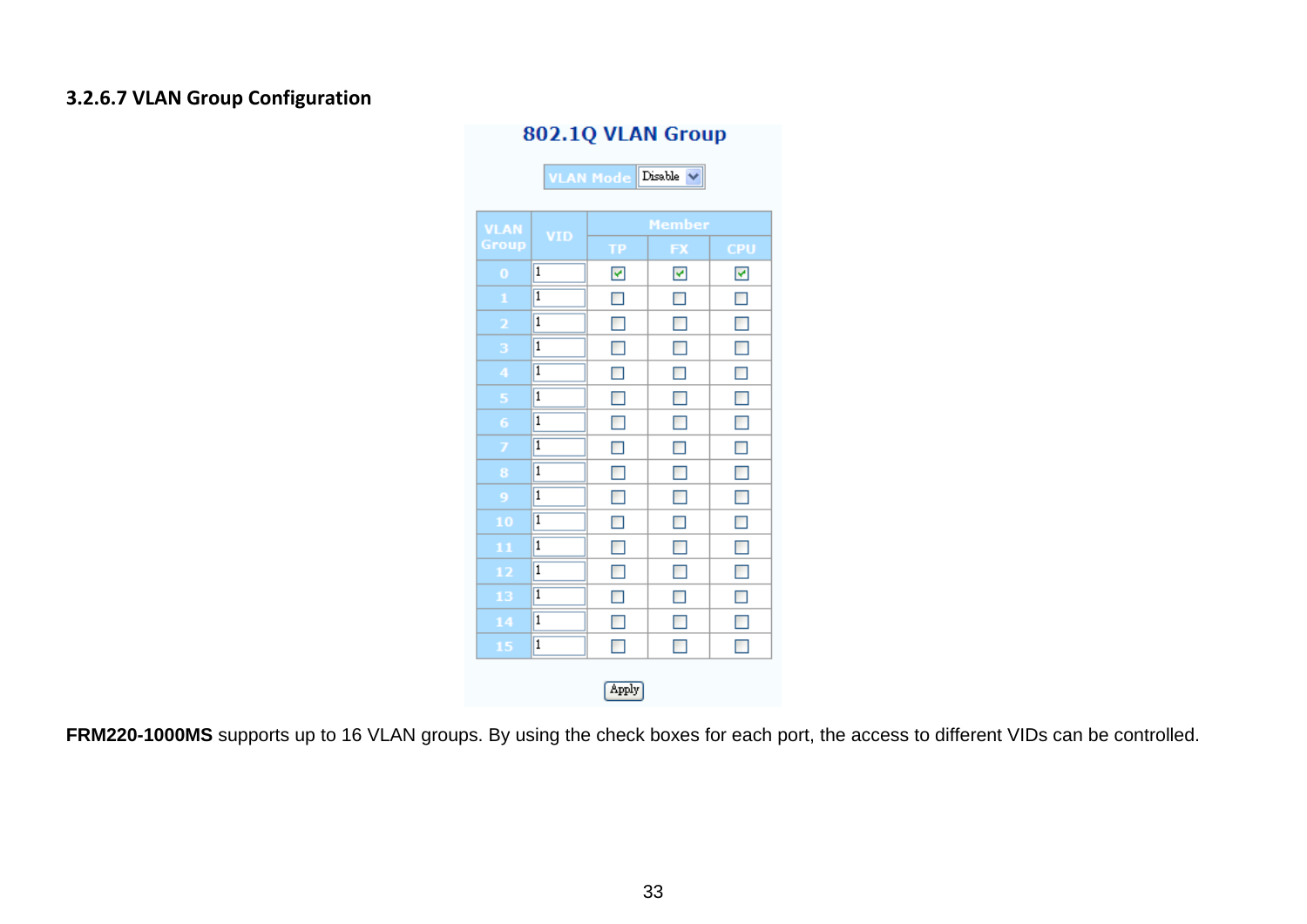#### **3.2.6.7 VLAN Group Configuration**

### 802.1Q VLAN Group

VLAN Mode Disable V

| <b>VLAN</b> |                         | Member                |                |            |  |
|-------------|-------------------------|-----------------------|----------------|------------|--|
| Group       | <b>VID</b>              | ТP                    | FX             | <b>CPU</b> |  |
| $\bf{0}$    | $\overline{\mathbf{1}}$ | $\blacktriangleright$ | Y              | Y          |  |
| 1           | $\overline{1}$          | П                     | $\Box$         | □          |  |
| 2           | $\overline{1}$          | П                     | $\blacksquare$ | $\Box$     |  |
| 3           | $\overline{1}$          | П                     | $\Box$         | $\Box$     |  |
| 4           | $\overline{1}$          | П                     | П              | $\Box$     |  |
| 5           | $\overline{1}$          | П                     | П              | $\Box$     |  |
| 6           | $\overline{1}$          | П                     | $\blacksquare$ | $\Box$     |  |
| 7           | $\overline{1}$          | ⊓                     | $\Box$         | $\Box$     |  |
| 8           | $\overline{1}$          | П                     | $\Box$         | $\Box$     |  |
| 9           | $\overline{1}$          | П                     | $\blacksquare$ | $\Box$     |  |
| 10          | $\overline{1}$          | П                     | $\Box$         | $\Box$     |  |
| 11          | $\overline{1}$          | П                     | $\Box$         | $\Box$     |  |
| 12          | 1                       | П                     | П              | $\Box$     |  |
| 13          | $\overline{1}$          | П                     | П              | $\Box$     |  |
| 14          | $\overline{1}$          |                       | П              | $\Box$     |  |
| 15          | 1                       | П                     | $\blacksquare$ | $\Box$     |  |
|             | Apply                   |                       |                |            |  |

**FRM220-1000MS** supports up to 16 VLAN groups. By using the check boxes for each port, the access to different VIDs can be controlled.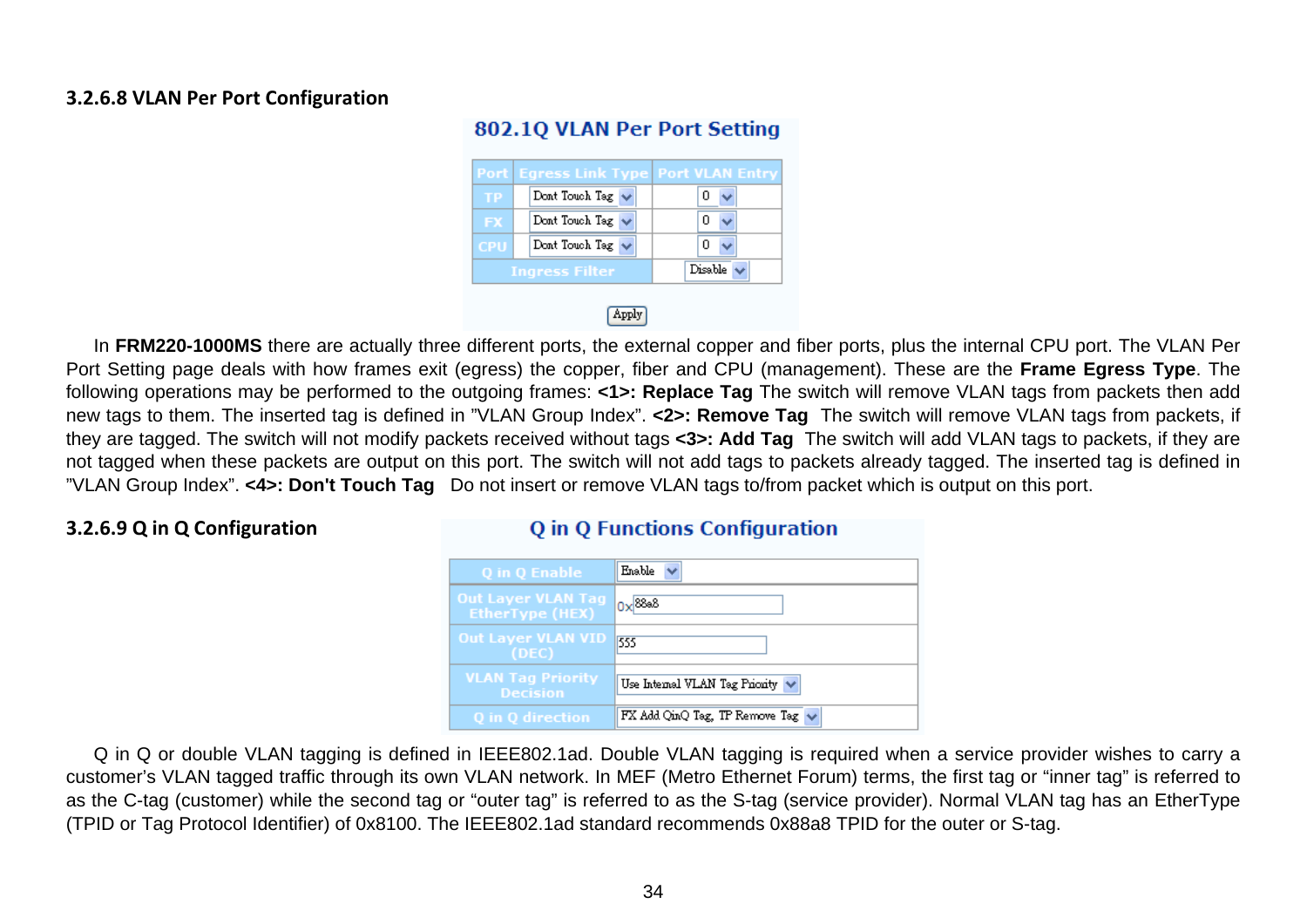#### **3.2.6.8 VLAN Per Port Configuration**

|            | <b>Port Eqress Link Type Port VLAN Entry</b> |         |
|------------|----------------------------------------------|---------|
| <b>TP</b>  | Dont Touch Tag $\vee$                        |         |
| <b>FX</b>  | Dont Touch Tag $\sqrt{}$                     |         |
| <b>CPU</b> | Dont Touch Tag                               |         |
|            | <b>Ingress Filter</b>                        | Disable |

#### 802.10 VLAN Per Port Setting

#### Apply

In **FRM220-1000MS** there are actually three different ports, the external copper and fiber ports, plus the internal CPU port. The VLAN Per Port Setting page deals with how frames exit (egress) the copper, fiber and CPU (management). These are the **Frame Egress Type**. The following operations may be performed to the outgoing frames: **<1>: Replace Tag** The switch will remove VLAN tags from packets then add new tags to them. The inserted tag is defined in "VLAN Group Index". **<2>: Remove Tag** The switch will remove VLAN tags from packets, if they are tagged. The switch will not modify packets received without tags **<3>: Add Tag** The switch will add VLAN tags to packets, if they are not tagged when these packets are output on this port. The switch will not add tags to packets already tagged. The inserted tag is defined in "VLAN Group Index". **<4>: Don't Touch Tag** Do not insert or remove VLAN tags to/from packet which is output on this port.

#### **3.2.6.9 Q in Q Configuration**

#### **O** in O Functions Configuration

| Q in Q Enable                                       | Enable                                |
|-----------------------------------------------------|---------------------------------------|
| <b>Out Layer VLAN Tag</b><br><b>EtherType (HEX)</b> | $0x$ <sup>88a8</sup>                  |
| <b>Out Layer VLAN VID</b><br>(DEC)                  | 555                                   |
| <b>VLAN Tag Priority</b><br><b>Decision</b>         | Use Internal VLAN Tag Priority $\vee$ |
| Q in Q direction                                    | FX Add QinQ Tag, TP Remove Tag $\vee$ |

Q in Q or double VLAN tagging is defined in IEEE802.1ad. Double VLAN tagging is required when a service provider wishes to carry a customer's VLAN tagged traffic through its own VLAN network. In MEF (Metro Ethernet Forum) terms, the first tag or "inner tag" is referred to as the C-tag (customer) while the second tag or "outer tag" is referred to as the S-tag (service provider). Normal VLAN tag has an EtherType (TPID or Tag Protocol Identifier) of 0x8100. The IEEE802.1ad standard recommends 0x88a8 TPID for the outer or S-tag.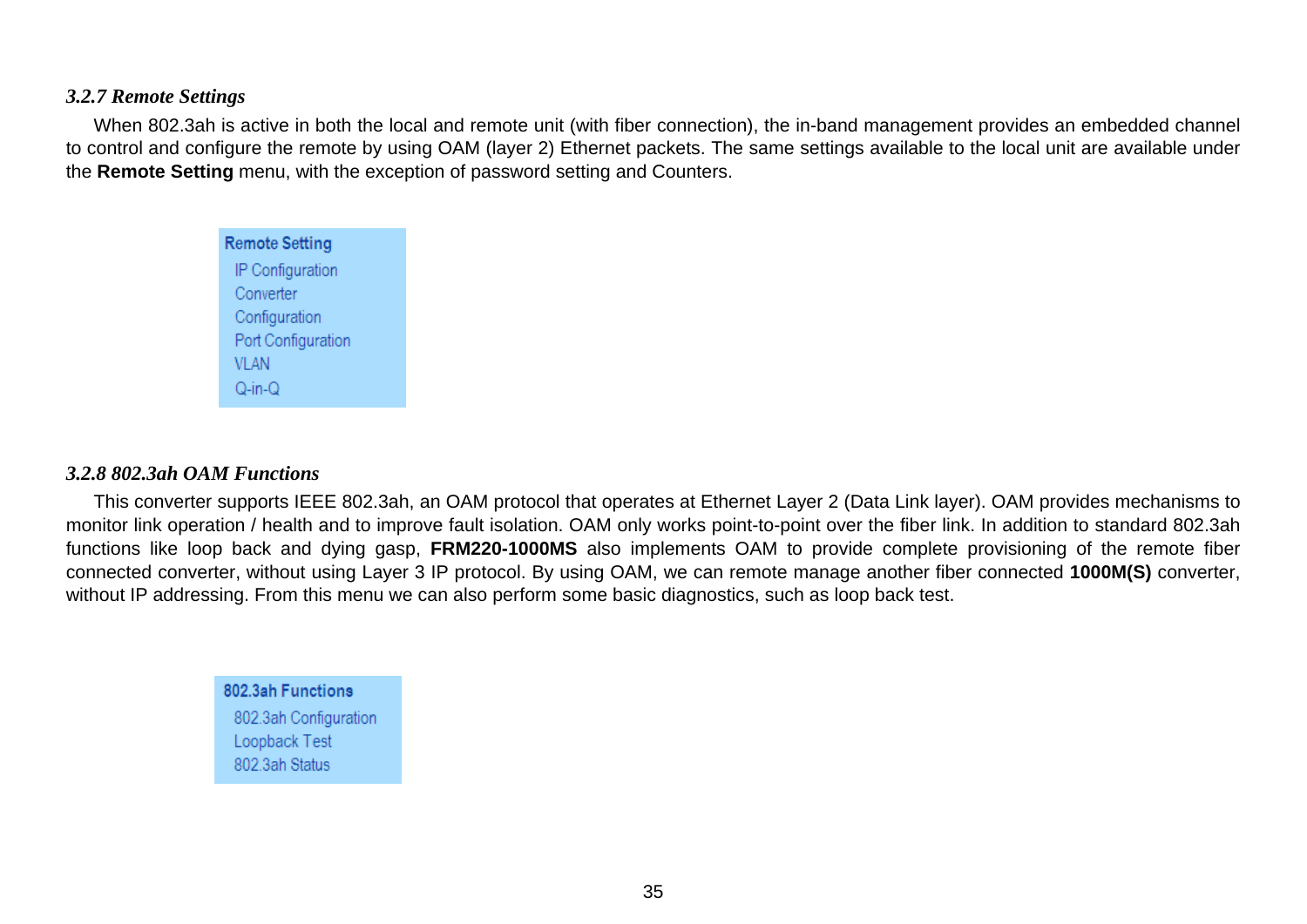#### <span id="page-34-0"></span>*3.2.7 Remote Settings*

When 802.3ah is active in both the local and remote unit (with fiber connection), the in-band management provides an embedded channel to control and configure the remote by using OAM (layer 2) Ethernet packets. The same settings available to the local unit are available under the **Remote Setting** menu, with the exception of password setting and Counters.

> **Remote Setting** IP Configuration Converter Configuration Port Configuration **VLAN**  $Q-in-Q$

#### *3.2.8 802.3ah OAM Functions*

This converter supports IEEE 802.3ah, an OAM protocol that operates at Ethernet Layer 2 (Data Link layer). OAM provides mechanisms to monitor link operation / health and to improve fault isolation. OAM only works point-to-point over the fiber link. In addition to standard 802.3ah functions like loop back and dying gasp, **FRM220-1000MS** also implements OAM to provide complete provisioning of the remote fiber connected converter, without using Layer 3 IP protocol. By using OAM, we can remote manage another fiber connected **1000M(S)** converter, without IP addressing. From this menu we can also perform some basic diagnostics, such as loop back test.

#### 802.3ah Functions 802.3ah Configuration Loopback Test 802.3ah Status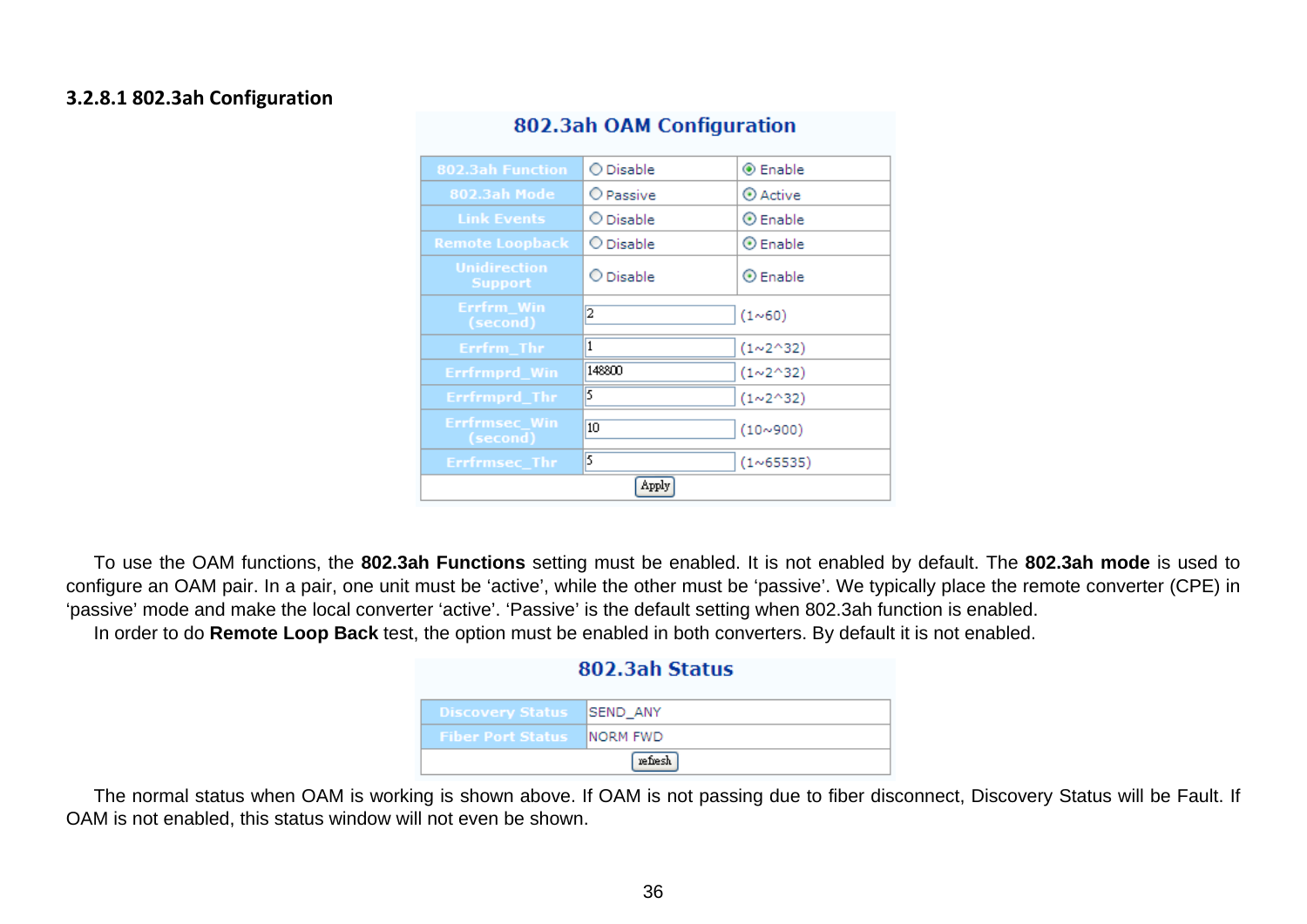#### **3.2.8.1 802.3ah Configuration**

| 802.3ah Function                      | ◯ Disable | <b>◉</b> Enable          |  |
|---------------------------------------|-----------|--------------------------|--|
| 802.3ah Mode                          | O Passive | $\odot$ Active           |  |
| <b>Link Events</b>                    | O Disable | $\odot$ Enable           |  |
| <b>Remote Loopback</b>                | O Disable | $\odot$ Enable           |  |
| <b>Unidirection</b><br><b>Support</b> | O Disable | $\odot$ Enable           |  |
| Errfrm Win<br>(second)                | 2         | (1~0)                    |  |
| Errfrm Thr                            | 1         | (1~2~32)                 |  |
| Errfrmprd_Win                         | 148800    | $(1 \times 2 \times 32)$ |  |
| Errfrmprd_Thr                         | 5         | (1~2~32)                 |  |
| Errfrmsec_Win<br>(second)             | 10        | (10~900)                 |  |
| Errfrmsec_Thr                         | 5         | (1~65535)                |  |
| Apply                                 |           |                          |  |

#### 802.3ah OAM Configuration

To use the OAM functions, the **802.3ah Functions** setting must be enabled. It is not enabled by default. The **802.3ah mode** is used to configure an OAM pair. In a pair, one unit must be 'active', while the other must be 'passive'. We typically place the remote converter (CPE) in 'passive' mode and make the local converter 'active'. 'Passive' is the default setting when 802.3ah function is enabled. In order to do **Remote Loop Back** test, the option must be enabled in both converters. By default it is not enabled.

| 802.3ah Status           |                  |
|--------------------------|------------------|
| <b>Discovery Status</b>  | <b>ISEND ANY</b> |
| <b>Fiber Port Status</b> | INORM FWD        |
| refresh                  |                  |

The normal status when OAM is working is shown above. If OAM is not passing due to fiber disconnect, Discovery Status will be Fault. If OAM is not enabled, this status window will not even be shown.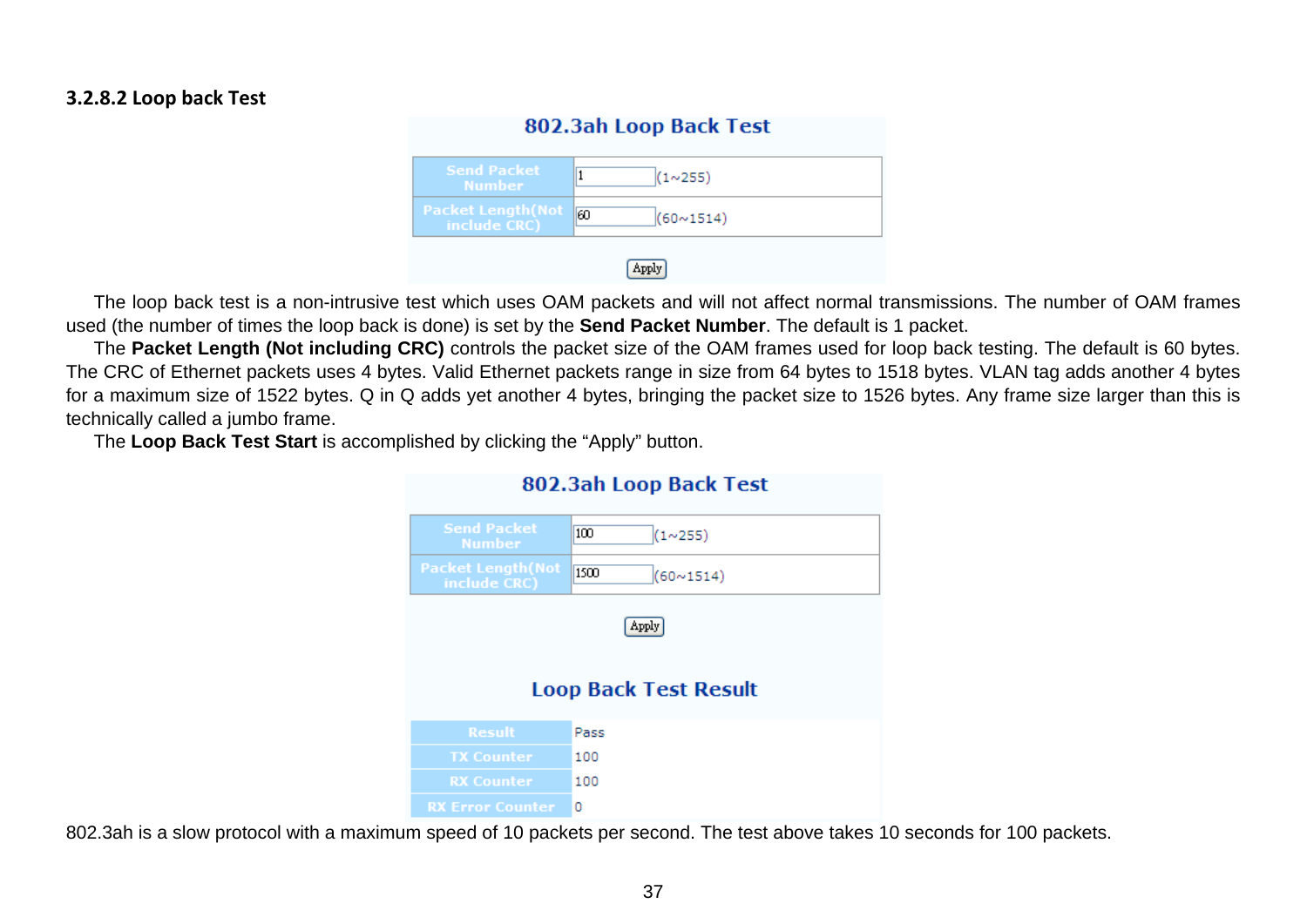### **3.2.8.2 Loop back Test**

| 802.3ah Loop Back Test                    |                          |
|-------------------------------------------|--------------------------|
| <b>Send Packet</b><br><b>Number</b>       | (1~255)                  |
| <b>Packet Length (Not</b><br>include CRC) | 60<br>$(60 \times 1514)$ |
|                                           |                          |

The loop back test is a non-intrusive test which uses OAM packets and will not affect normal transmissions. The number of OAM frames used (the number of times the loop back is done) is set by the **Send Packet Number**. The default is 1 packet.

The **Packet Length (Not including CRC)** controls the packet size of the OAM frames used for loop back testing. The default is 60 bytes. The CRC of Ethernet packets uses 4 bytes. Valid Ethernet packets range in size from 64 bytes to 1518 bytes. VLAN tag adds another 4 bytes for a maximum size of 1522 bytes. Q in Q adds yet another 4 bytes, bringing the packet size to 1526 bytes. Any frame size larger than this is technically called a jumbo frame.

802 3ah Loon Back Test

The **Loop Back Test Start** is accomplished by clicking the "Apply" button.

| <b>OVERVAIL LOOP DUCK LCSC</b>            |                                       |
|-------------------------------------------|---------------------------------------|
| <b>Send Packet</b><br><b>Number</b>       | 100<br>(1~255)                        |
| <b>Packet Length (Not</b><br>include CRC) | 1500<br>$(60 \times 1514)$            |
|                                           | Apply<br><b>Loop Back Test Result</b> |
| <b>Result</b>                             | Pass                                  |
| <b>TX Counter</b>                         | 100                                   |
| <b>RX Counter</b>                         | 100                                   |
| <b>RX Error Counter</b>                   | 0                                     |

#### 802.3ah is a slow protocol with a maximum speed of 10 packets per second. The test above takes 10 seconds for 100 packets.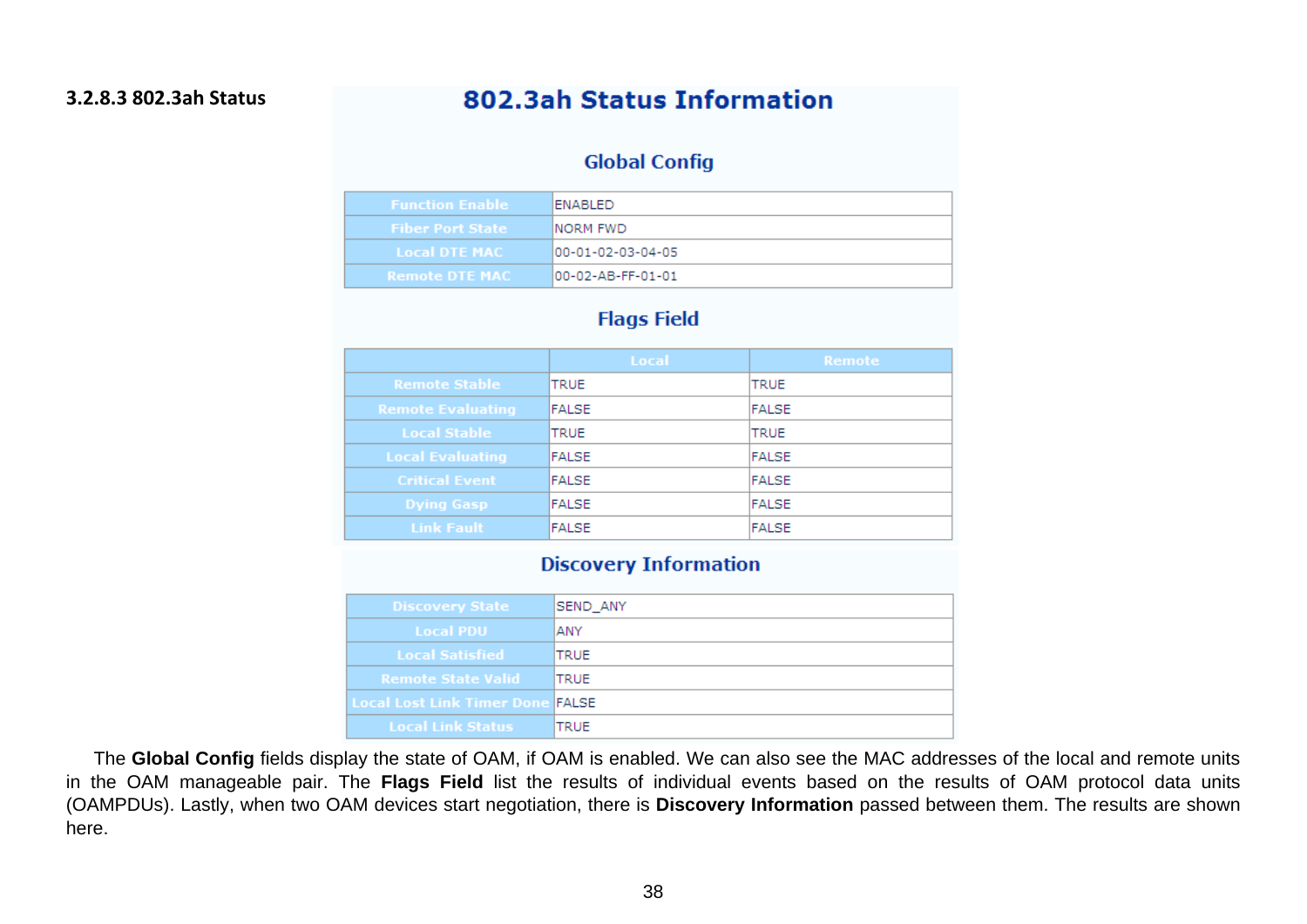### 802.3ah Status Information

### **Global Config**

| <b>Function Enable</b>  | IENABLED.          |
|-------------------------|--------------------|
| <b>Fiber Port State</b> | INORM FWD.         |
| <b>Local DTE MAC</b>    | 100-01-02-03-04-05 |
| <b>Remote DTE MAC</b>   | I00-02-AB-FF-01-01 |

### **Flags Field**

|                          | Local       | Remote |
|--------------------------|-------------|--------|
| <b>Remote Stable</b>     | <b>TRUE</b> | TRUE   |
| <b>Remote Evaluating</b> | FALSE       | FALSE  |
| <b>Local Stable</b>      | <b>TRUE</b> | TRUE   |
| <b>Local Evaluating</b>  | FALSE       | FALSE  |
| <b>Critical Event</b>    | FALSE       | FALSE  |
| <b>Dying Gasp</b>        | FALSE       | FALSE  |
| <b>Link Fault</b>        | FALSE       | FALSE  |

#### **Discovery Information**

| <b>Discovery State</b>                  | SEND_ANY     |
|-----------------------------------------|--------------|
| <b>Local PDU</b>                        | <b>ANY</b>   |
| <b>Local Satisfied</b>                  | ITRUE        |
| <b>Remote State Valid</b>               | <b>ITRUE</b> |
| <b>Local Lost Link Timer Done FALSE</b> |              |
| <b>Local Link Status</b>                | <b>TRUE</b>  |

The **Global Config** fields display the state of OAM, if OAM is enabled. We can also see the MAC addresses of the local and remote units in the OAM manageable pair. The **Flags Field** list the results of individual events based on the results of OAM protocol data units (OAMPDUs). Lastly, when two OAM devices start negotiation, there is **Discovery Information** passed between them. The results are shown here.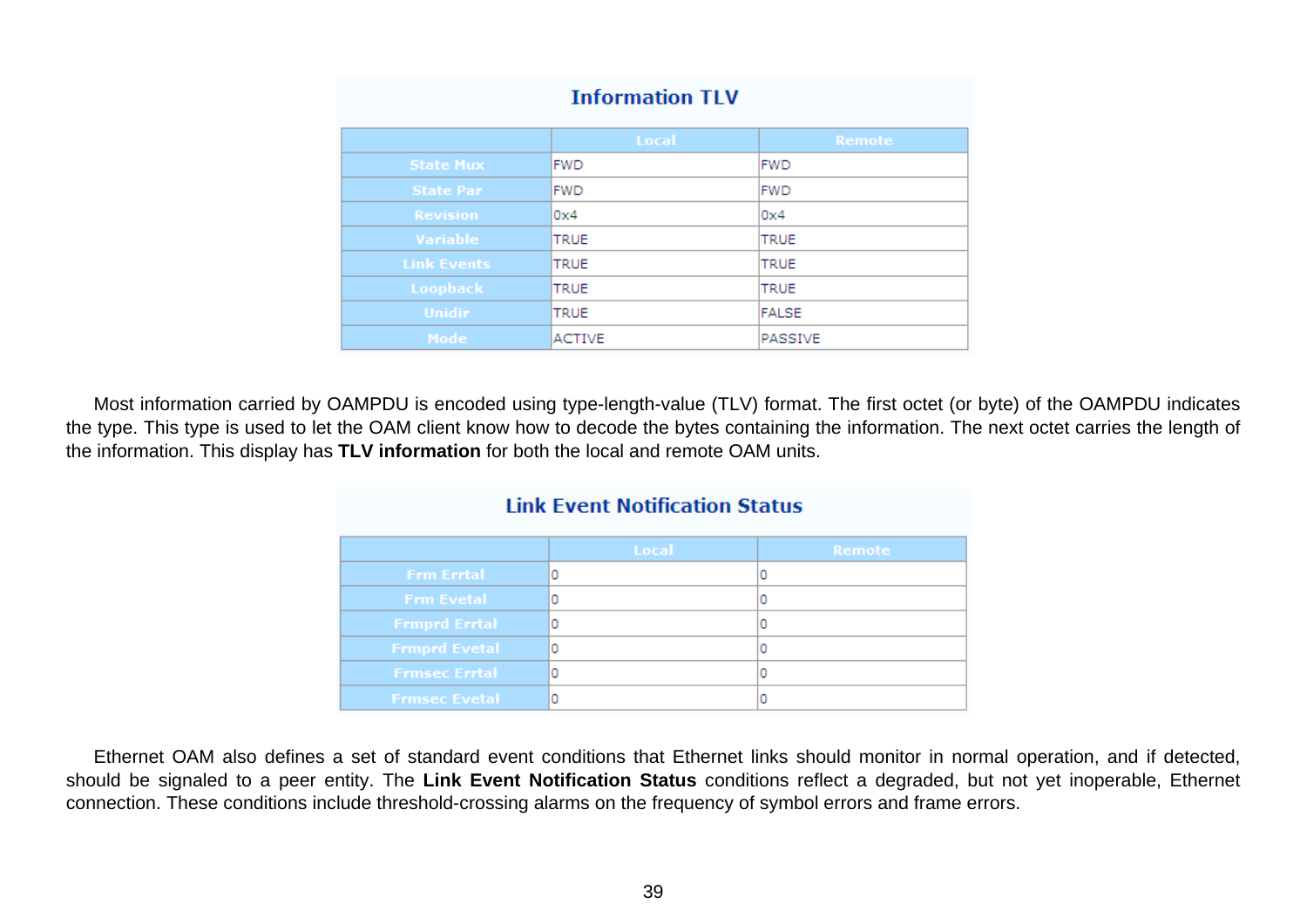|                    | Local         | Remote      |
|--------------------|---------------|-------------|
| <b>State Mux</b>   | IFWD.         | <b>FWD</b>  |
| <b>State Par</b>   | <b>FWD</b>    | <b>FWD</b>  |
| <b>Revision</b>    | 0x4           | 0x4         |
| <b>Variable</b>    | <b>TRUE</b>   | TRUE        |
| <b>Link Events</b> | <b>TRUE</b>   | TRUE        |
| Loopback           | <b>ITRUE</b>  | <b>TRUE</b> |
| <b>Unidir</b>      | <b>TRUE</b>   | FALSE       |
| Mode               | <b>ACTIVE</b> | PASSIVE     |

#### **Information TLV**

Most information carried by OAMPDU is encoded using type-length-value (TLV) format. The first octet (or byte) of the OAMPDU indicates the type. This type is used to let the OAM client know how to decode the bytes containing the information. The next octet carries the length of the information. This display has **TLV information** for both the local and remote OAM units.

| <b>Link Event Notification Status</b> |       |               |
|---------------------------------------|-------|---------------|
|                                       | Local | <b>Remote</b> |
| <b>Frm Errtal</b>                     | ٥     |               |
| <b>Frm Evetal</b>                     | Ω     |               |
| <b>Frmprd Errtal</b>                  | 0     |               |
| <b>Frmprd Evetal</b>                  | ٥     |               |
| <b>Frmsec Errtal</b>                  | ٥     |               |
| <b>Frmsec Evetal</b>                  |       |               |

Ethernet OAM also defines a set of standard event conditions that Ethernet links should monitor in normal operation, and if detected, should be signaled to a peer entity. The **Link Event Notification Status** conditions reflect a degraded, but not yet inoperable, Ethernet connection. These conditions include threshold-crossing alarms on the frequency of symbol errors and frame errors.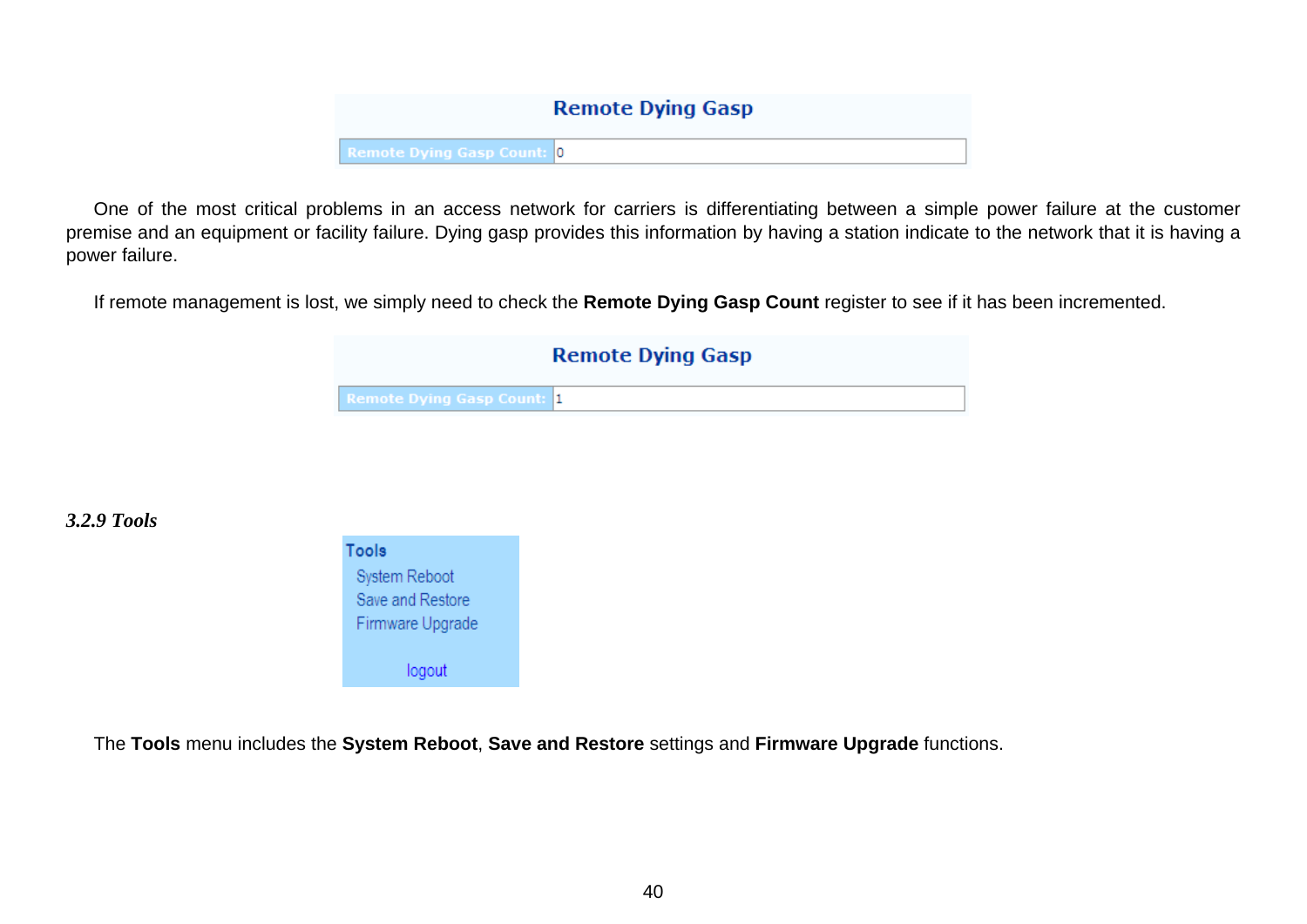# **Remote Dying Gasp Remote Dying Gasp Count: 0**

<span id="page-39-0"></span>One of the most critical problems in an access network for carriers is differentiating between a simple power failure at the customer premise and an equipment or facility failure. Dying gasp provides this information by having a station indicate to the network that it is having a power failure.

If remote management is lost, we simply need to check the **Remote Dying Gasp Count** register to see if it has been incremented.

|                                   | <b>Remote Dying Gasp</b> |
|-----------------------------------|--------------------------|
| <b>Remote Dying Gasp Count: 1</b> |                          |

*3.2.9 Tools* 



The **Tools** menu includes the **System Reboot**, **Save and Restore** settings and **Firmware Upgrade** functions.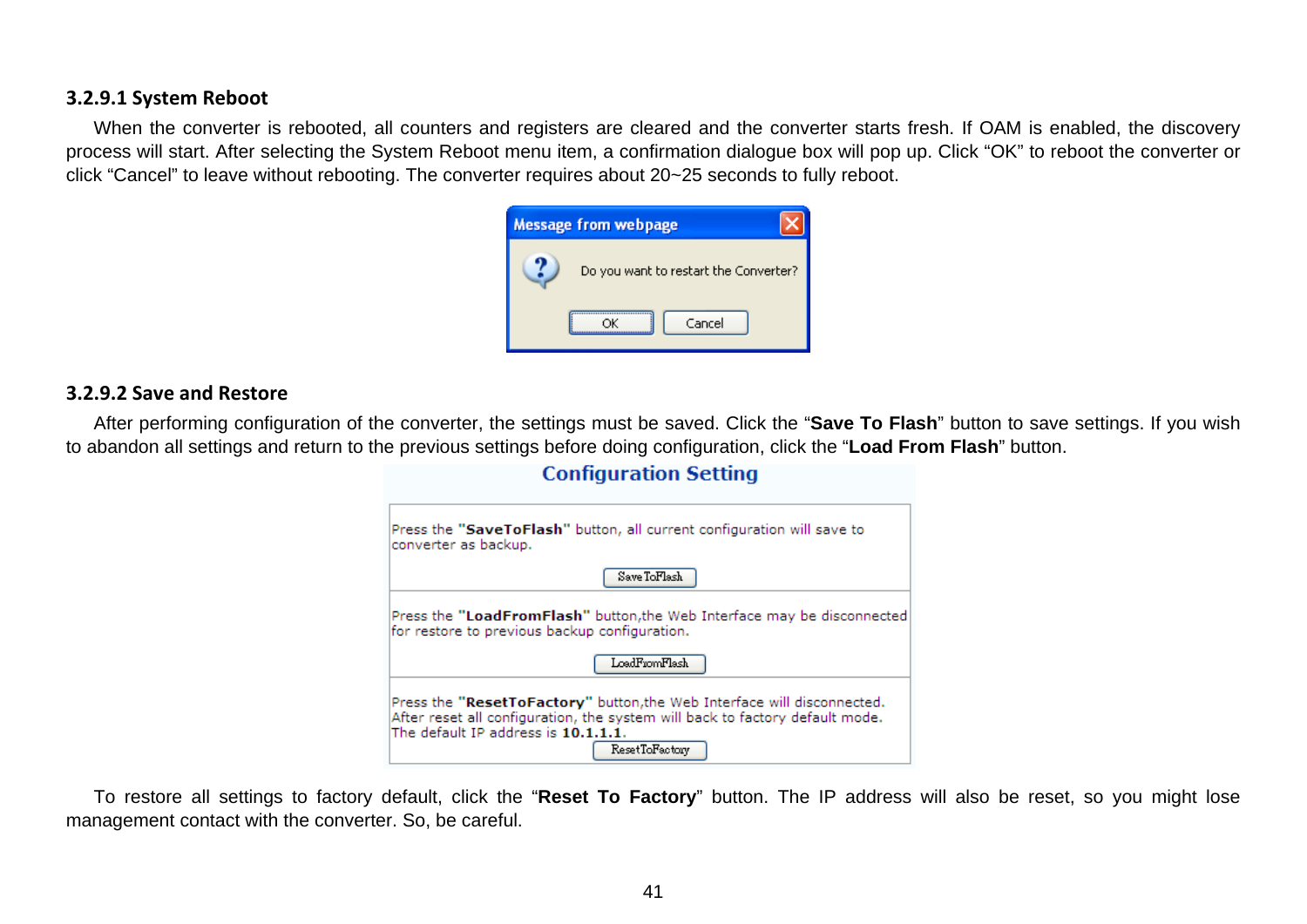#### **3.2.9.1 System Reboot**

When the converter is rebooted, all counters and registers are cleared and the converter starts fresh. If OAM is enabled, the discovery process will start. After selecting the System Reboot menu item, a confirmation dialogue box will pop up. Click "OK" to reboot the converter or click "Cancel" to leave without rebooting. The converter requires about 20~25 seconds to fully reboot.

| <b>Message from webpage</b> |                                       |
|-----------------------------|---------------------------------------|
|                             | Do you want to restart the Converter? |
|                             | Cancel                                |

#### **3.2.9.2 Save and Restore**

After performing configuration of the converter, the settings must be saved. Click the "**Save To Flash**" button to save settings. If you wish to abandon all settings and return to the previous settings before doing configuration, click the "**Load From Flash**" button.

| Press the "SaveToFlash" button, all current configuration will save to<br>converter as backup.                                                                                                                   |
|------------------------------------------------------------------------------------------------------------------------------------------------------------------------------------------------------------------|
| Save ToFlash                                                                                                                                                                                                     |
| Press the "LoadFromFlash" button, the Web Interface may be disconnected<br>for restore to previous backup configuration.                                                                                         |
| LoadFromFlash                                                                                                                                                                                                    |
| Press the "ResetToFactory" button, the Web Interface will disconnected.<br>After reset all configuration, the system will back to factory default mode.<br>The default IP address is 10.1.1.1.<br>ResetToFactory |

**Configuration Setting** 

To restore all settings to factory default, click the "**Reset To Factory**" button. The IP address will also be reset, so you might lose management contact with the converter. So, be careful.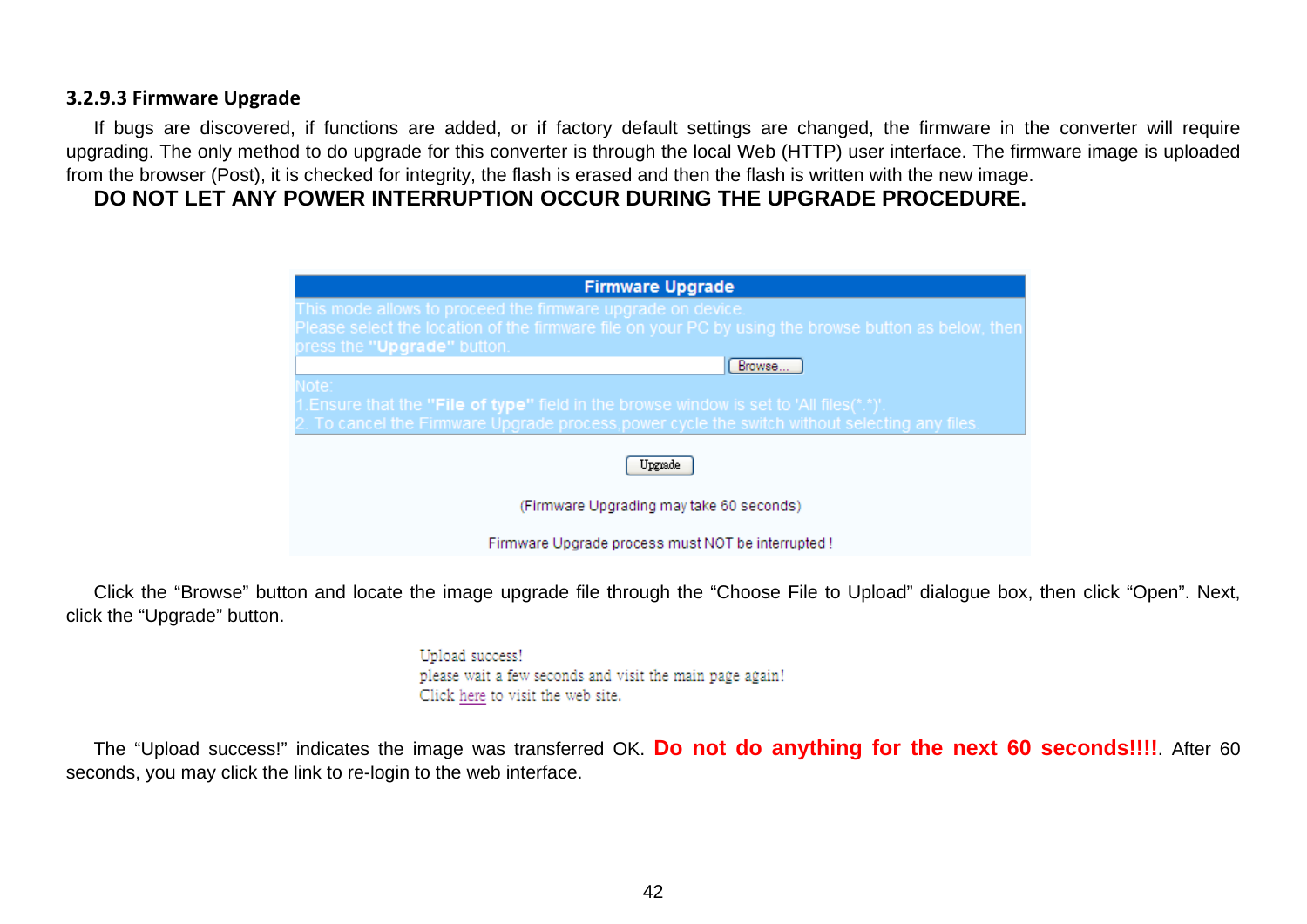#### **3.2.9.3 Firmware Upgrade**

If bugs are discovered, if functions are added, or if factory default settings are changed, the firmware in the converter will require upgrading. The only method to do upgrade for this converter is through the local Web (HTTP) user interface. The firmware image is uploaded from the browser (Post), it is checked for integrity, the flash is erased and then the flash is written with the new image.

### **DO NOT LET ANY POWER INTERRUPTION OCCUR DURING THE UPGRADE PROCEDURE.**

| <b>Firmware Upgrade</b>                                                                              |
|------------------------------------------------------------------------------------------------------|
| This mode allows to proceed the firmware upgrade on device.                                          |
| Please select the location of the firmware file on your PC by using the browse button as below, then |
| press the "Upgrade" button.                                                                          |
| Browse                                                                                               |
| Note:                                                                                                |
| 1. Ensure that the "File of type" field in the browse window is set to 'All files(*.*)'.             |
| 2. To cancel the Firmware Upgrade process, power cycle the switch without selecting any files.       |
|                                                                                                      |
| Upgrade                                                                                              |
| (Firmware Upgrading may take 60 seconds)                                                             |
| Firmware Upgrade process must NOT be interrupted !                                                   |

Click the "Browse" button and locate the image upgrade file through the "Choose File to Upload" dialogue box, then click "Open". Next, click the "Upgrade" button.

> Upload success! please wait a few seconds and visit the main page again! Click here to visit the web site.

The "Upload success!" indicates the image was transferred OK. **Do not do anything for the next 60 seconds!!!!**. After 60 seconds, you may click the link to re-login to the web interface.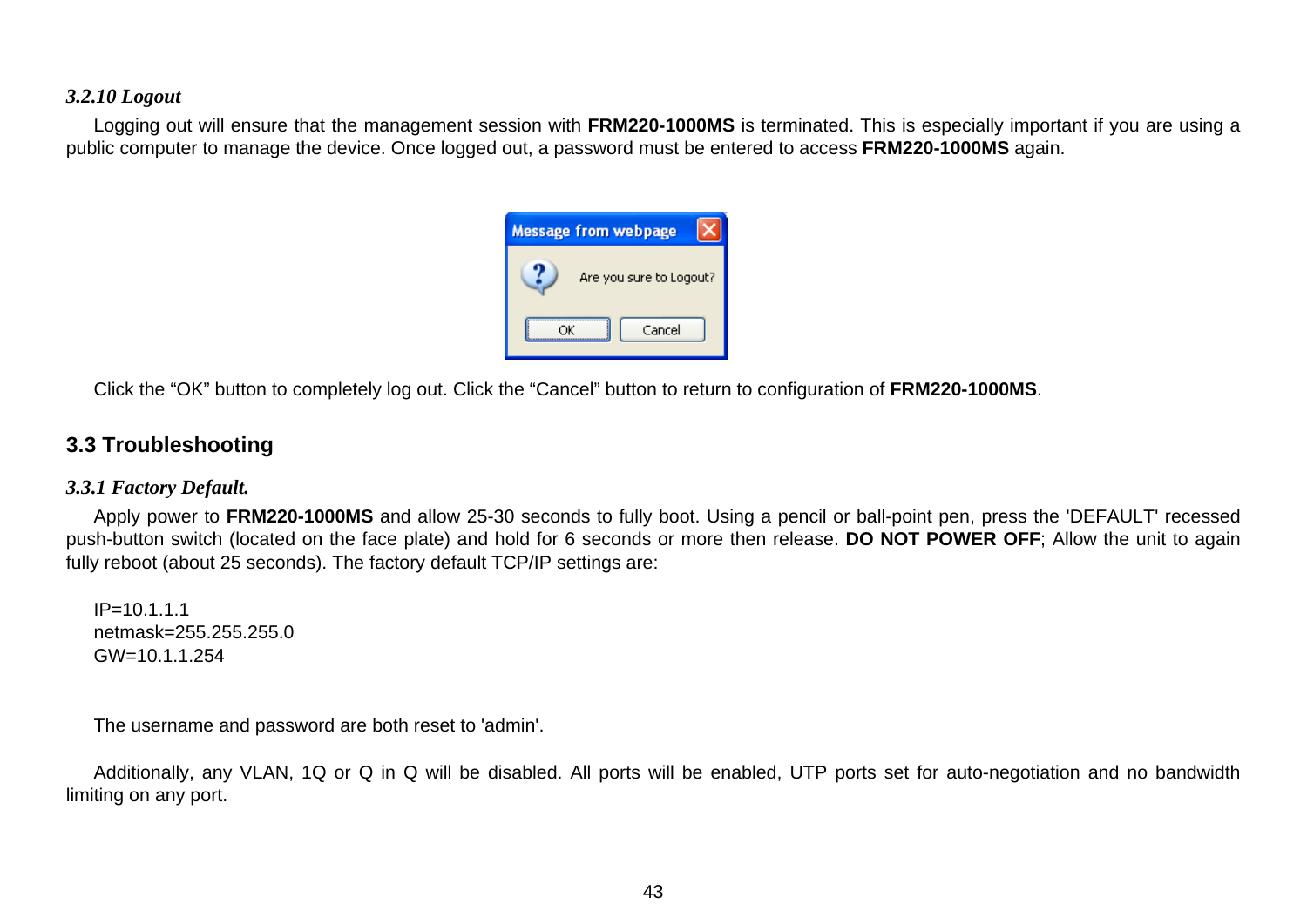#### <span id="page-42-0"></span>*3.2.10 Logout*

Logging out will ensure that the management session with **FRM220-1000MS** is terminated. This is especially important if you are using a public computer to manage the device. Once logged out, a password must be entered to access **FRM220-1000MS** again.



Click the "OK" button to completely log out. Click the "Cancel" button to return to configuration of **FRM220-1000MS**.

### **3.3 Troubleshooting**

#### *3.3.1 Factory Default.*

Apply power to **FRM220-1000MS** and allow 25-30 seconds to fully boot. Using a pencil or ball-point pen, press the 'DEFAULT' recessed push-button switch (located on the face plate) and hold for 6 seconds or more then release. **DO NOT POWER OFF**; Allow the unit to again fully reboot (about 25 seconds). The factory default TCP/IP settings are:

 $IP = 10.1.1.1$ netmask=255.255.255.0 GW=10.1.1.254

The username and password are both reset to 'admin'.

Additionally, any VLAN, 1Q or Q in Q will be disabled. All ports will be enabled, UTP ports set for auto-negotiation and no bandwidth limiting on any port.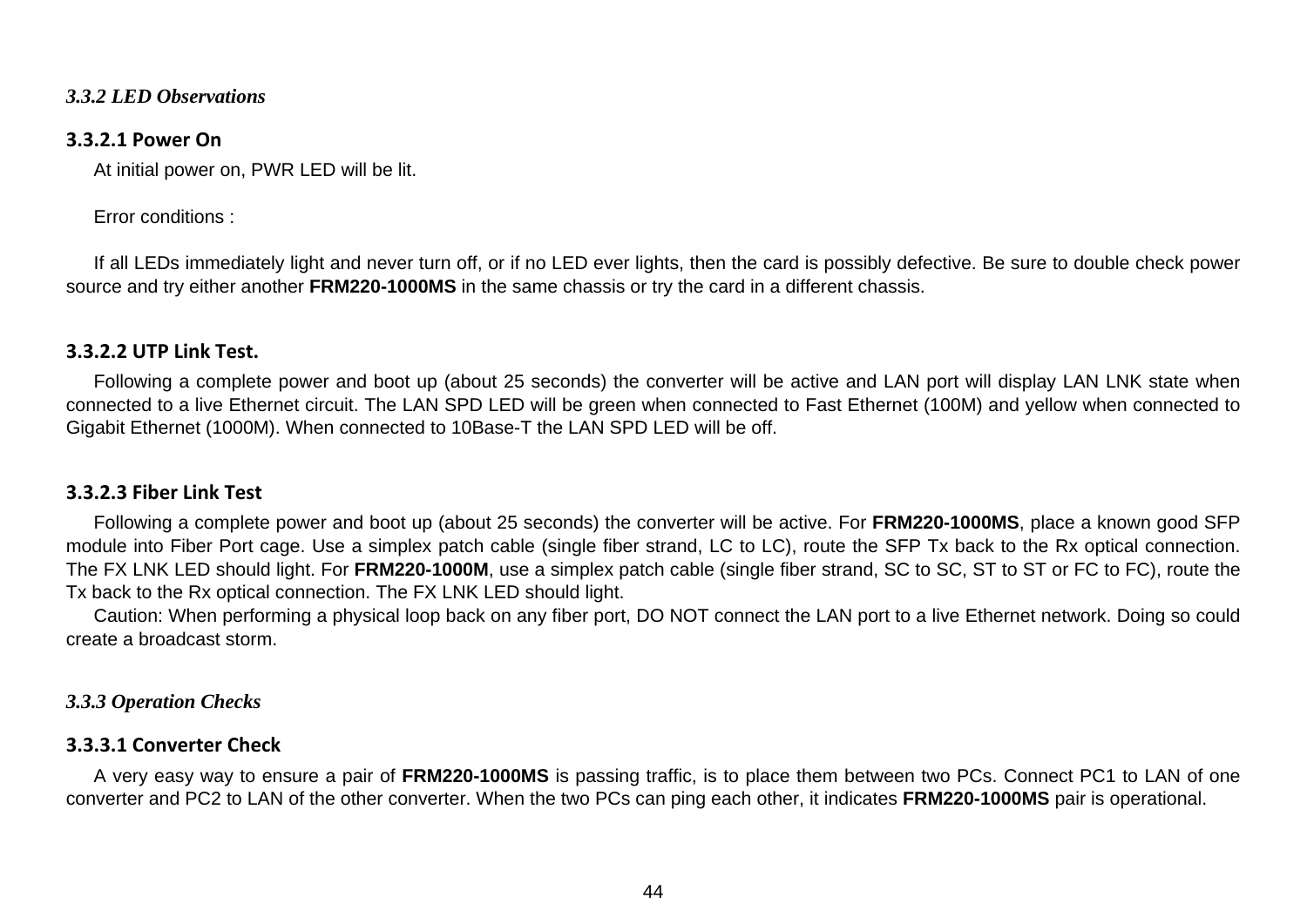#### <span id="page-43-0"></span>*3.3.2 LED Observations*

#### **3.3.2.1 Power On**

At initial power on, PWR LED will be lit.

#### Error conditions :

If all LEDs immediately light and never turn off, or if no LED ever lights, then the card is possibly defective. Be sure to double check power source and try either another **FRM220-1000MS** in the same chassis or try the card in a different chassis.

#### **3.3.2.2 UTP Link Test.**

Following a complete power and boot up (about 25 seconds) the converter will be active and LAN port will display LAN LNK state when connected to a live Ethernet circuit. The LAN SPD LED will be green when connected to Fast Ethernet (100M) and yellow when connected to Gigabit Ethernet (1000M). When connected to 10Base-T the LAN SPD LED will be off.

#### **3.3.2.3 Fiber Link Test**

Following a complete power and boot up (about 25 seconds) the converter will be active. For **FRM220-1000MS**, place a known good SFP module into Fiber Port cage. Use a simplex patch cable (single fiber strand, LC to LC), route the SFP Tx back to the Rx optical connection. The FX LNK LED should light. For **FRM220-1000M**, use a simplex patch cable (single fiber strand, SC to SC, ST to ST or FC to FC), route the Tx back to the Rx optical connection. The FX LNK LED should light.

Caution: When performing a physical loop back on any fiber port, DO NOT connect the LAN port to a live Ethernet network. Doing so could create a broadcast storm.

#### *3.3.3 Operation Checks*

#### **3.3.3.1 Converter Check**

A very easy way to ensure a pair of **FRM220-1000MS** is passing traffic, is to place them between two PCs. Connect PC1 to LAN of one converter and PC2 to LAN of the other converter. When the two PCs can ping each other, it indicates **FRM220-1000MS** pair is operational.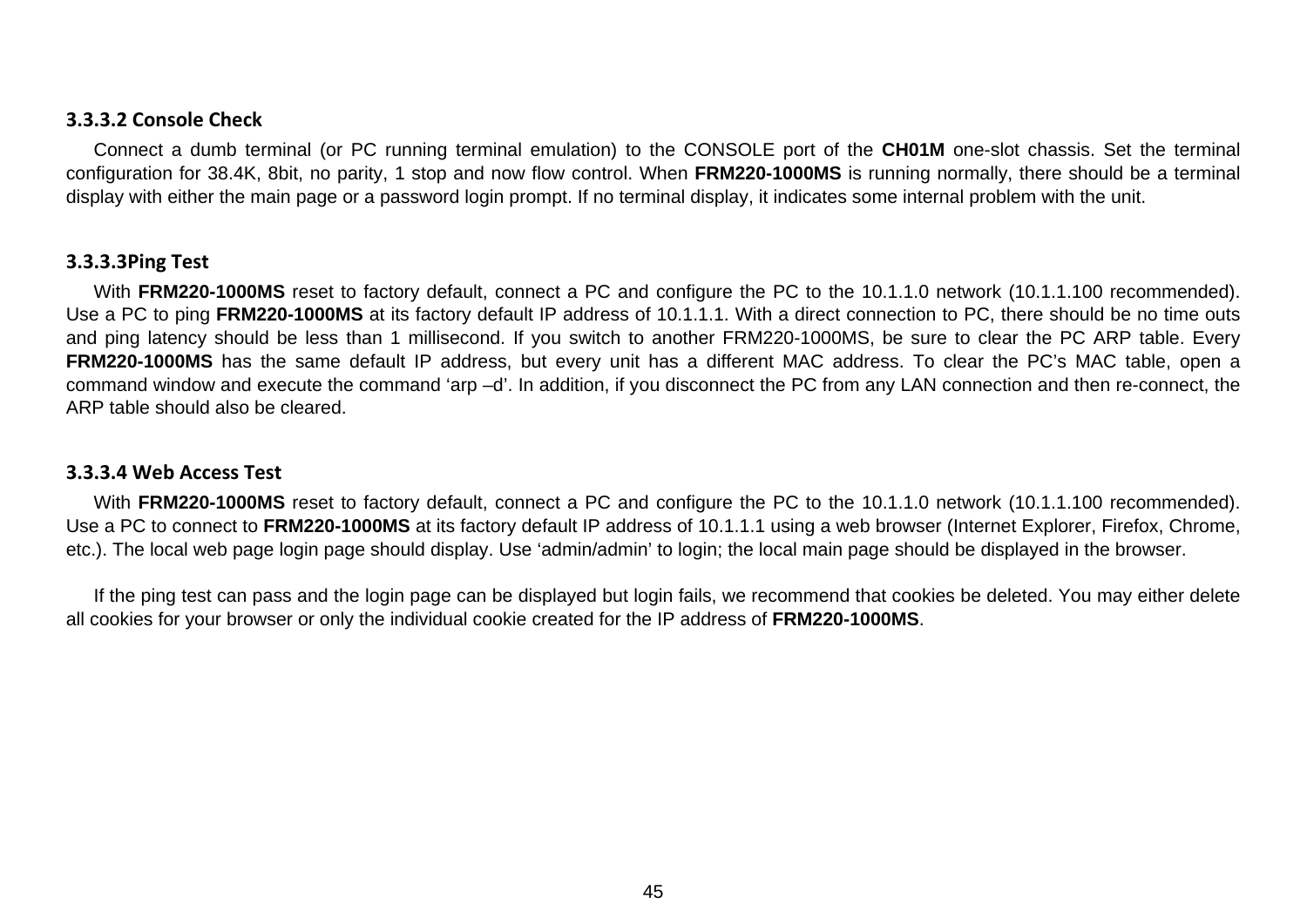#### **3.3.3.2 Console Check**

Connect a dumb terminal (or PC running terminal emulation) to the CONSOLE port of the **CH01M** one-slot chassis. Set the terminal configuration for 38.4K, 8bit, no parity, 1 stop and now flow control. When **FRM220-1000MS** is running normally, there should be a terminal display with either the main page or a password login prompt. If no terminal display, it indicates some internal problem with the unit.

#### **3.3.3.3Ping Test**

With **FRM220-1000MS** reset to factory default, connect a PC and configure the PC to the 10.1.1.0 network (10.1.1.100 recommended). Use a PC to ping **FRM220-1000MS** at its factory default IP address of 10.1.1.1. With a direct connection to PC, there should be no time outs and ping latency should be less than 1 millisecond. If you switch to another FRM220-1000MS, be sure to clear the PC ARP table. Every **FRM220-1000MS** has the same default IP address, but every unit has a different MAC address. To clear the PC's MAC table, open a command window and execute the command 'arp –d'. In addition, if you disconnect the PC from any LAN connection and then re-connect, the ARP table should also be cleared.

#### **3.3.3.4 Web Access Test**

With **FRM220-1000MS** reset to factory default, connect a PC and configure the PC to the 10.1.1.0 network (10.1.1.100 recommended). Use a PC to connect to **FRM220-1000MS** at its factory default IP address of 10.1.1.1 using a web browser (Internet Explorer, Firefox, Chrome, etc.). The local web page login page should display. Use 'admin/admin' to login; the local main page should be displayed in the browser.

If the ping test can pass and the login page can be displayed but login fails, we recommend that cookies be deleted. You may either delete all cookies for your browser or only the individual cookie created for the IP address of **FRM220-1000MS**.